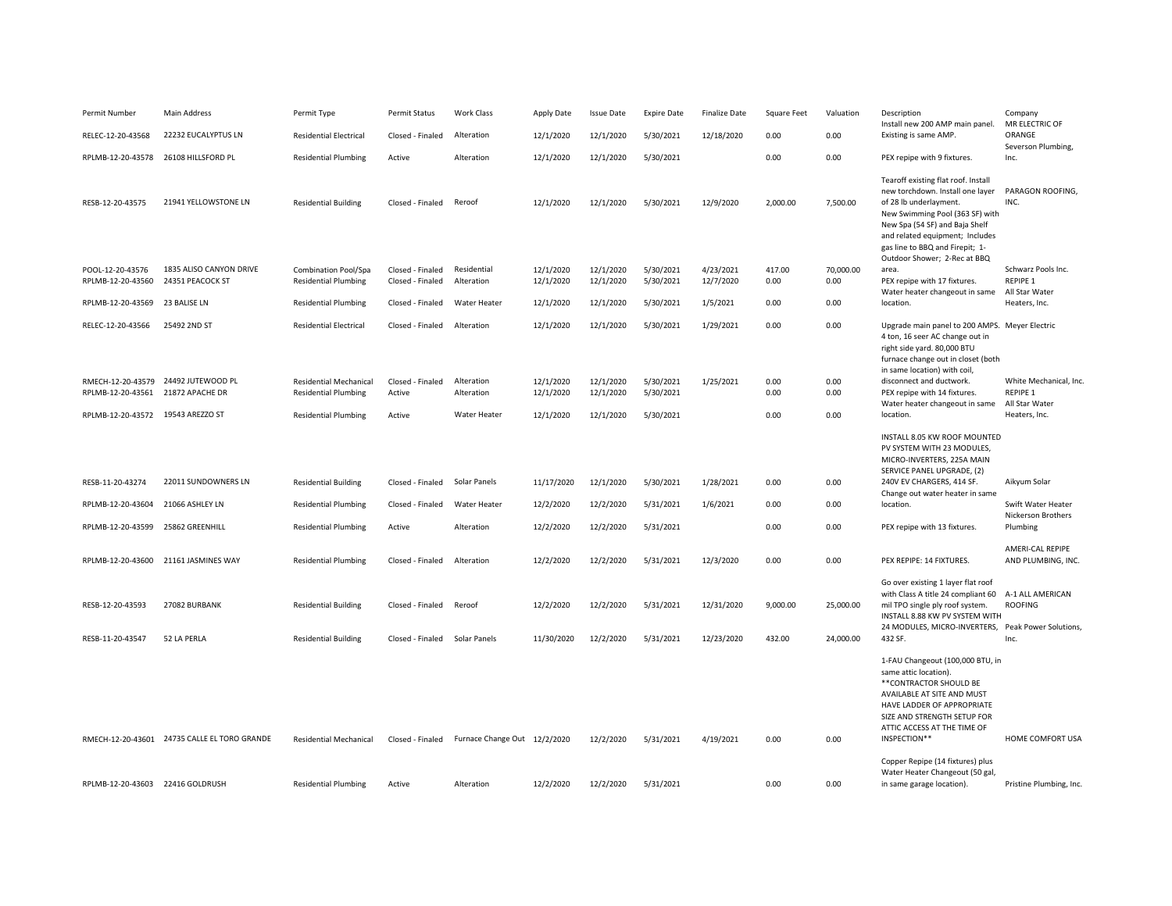| Permit Number                                          | Main Address                                 | Permit Type                                                  | Permit Status                        | <b>Work Class</b>                             | Apply Date              | <b>Issue Date</b>      | <b>Expire Date</b>     | <b>Finalize Date</b>     | Square Feet        | Valuation              | Description<br>Install new 200 AMP main panel.                                                                                                                                                                                                                                                 | Company<br>MR ELECTRIC OF                  |
|--------------------------------------------------------|----------------------------------------------|--------------------------------------------------------------|--------------------------------------|-----------------------------------------------|-------------------------|------------------------|------------------------|--------------------------|--------------------|------------------------|------------------------------------------------------------------------------------------------------------------------------------------------------------------------------------------------------------------------------------------------------------------------------------------------|--------------------------------------------|
| RELEC-12-20-43568                                      | 22232 EUCALYPTUS LN                          | <b>Residential Electrical</b>                                | Closed - Finaled                     | Alteration                                    | 12/1/2020               | 12/1/2020              | 5/30/2021              | 12/18/2020               | 0.00               | 0.00                   | Existing is same AMP.                                                                                                                                                                                                                                                                          | ORANGE<br>Severson Plumbing,               |
| RPLMB-12-20-43578                                      | 26108 HILLSFORD PL                           | <b>Residential Plumbing</b>                                  | Active                               | Alteration                                    | 12/1/2020               | 12/1/2020              | 5/30/2021              |                          | 0.00               | 0.00                   | PEX repipe with 9 fixtures.                                                                                                                                                                                                                                                                    | Inc.                                       |
| RESB-12-20-43575                                       | 21941 YELLOWSTONE LN                         | <b>Residential Building</b>                                  | Closed - Finaled                     | Reroof                                        | 12/1/2020               | 12/1/2020              | 5/30/2021              | 12/9/2020                | 2,000.00           | 7,500.00               | Tearoff existing flat roof. Install<br>new torchdown. Install one layer  PARAGON ROOFING,<br>of 28 lb underlayment.<br>New Swimming Pool (363 SF) with<br>New Spa (54 SF) and Baja Shelf<br>and related equipment; Includes<br>gas line to BBQ and Firepit; 1-<br>Outdoor Shower; 2-Rec at BBQ | INC.                                       |
| POOL-12-20-43576<br>RPLMB-12-20-43560                  | 1835 ALISO CANYON DRIVE<br>24351 PEACOCK ST  | <b>Combination Pool/Spa</b><br><b>Residential Plumbing</b>   | Closed - Finaled<br>Closed - Finaled | Residential<br>Alteration                     | 12/1/2020<br>12/1/2020  | 12/1/2020<br>12/1/2020 | 5/30/2021<br>5/30/2021 | 4/23/2021<br>12/7/2020   | 417.00<br>0.00     | 70,000.00<br>0.00      | area.<br>PEX repipe with 17 fixtures.                                                                                                                                                                                                                                                          | Schwarz Pools Inc.<br><b>REPIPE 1</b>      |
| RPLMB-12-20-43569                                      | 23 BALISE LN                                 | <b>Residential Plumbing</b>                                  | Closed - Finaled                     | Water Heater                                  | 12/1/2020               | 12/1/2020              | 5/30/2021              | 1/5/2021                 | 0.00               | 0.00                   | Water heater changeout in same All Star Water<br>location.                                                                                                                                                                                                                                     | Heaters, Inc.                              |
| RELEC-12-20-43566                                      | 25492 2ND ST                                 | <b>Residential Electrical</b>                                | Closed - Finaled                     | Alteration                                    | 12/1/2020               | 12/1/2020              | 5/30/2021              | 1/29/2021                | 0.00               | 0.00                   | Upgrade main panel to 200 AMPS. Meyer Electric<br>4 ton, 16 seer AC change out in<br>right side yard. 80,000 BTU<br>furnace change out in closet (both<br>in same location) with coil,                                                                                                         |                                            |
| RMECH-12-20-43579<br>RPLMB-12-20-43561 21872 APACHE DR | 24492 JUTEWOOD PL                            | <b>Residential Mechanical</b><br><b>Residential Plumbing</b> | Closed - Finaled<br>Active           | Alteration<br>Alteration                      | 12/1/2020<br>12/1/2020  | 12/1/2020<br>12/1/2020 | 5/30/2021<br>5/30/2021 | 1/25/2021                | 0.00<br>0.00       | 0.00<br>0.00           | disconnect and ductwork.<br>PEX repipe with 14 fixtures.                                                                                                                                                                                                                                       | White Mechanical, Inc<br><b>REPIPE 1</b>   |
| RPLMB-12-20-43572 19543 AREZZO ST                      |                                              | <b>Residential Plumbing</b>                                  | Active                               | <b>Water Heater</b>                           | 12/1/2020               | 12/1/2020              | 5/30/2021              |                          | 0.00               | 0.00                   | Water heater changeout in same<br>location.                                                                                                                                                                                                                                                    | All Star Water<br>Heaters, Inc.            |
| RESB-11-20-43274                                       | 22011 SUNDOWNERS LN                          | <b>Residential Building</b>                                  | Closed - Finaled                     | Solar Panels                                  | 11/17/2020              | 12/1/2020              | 5/30/2021              | 1/28/2021                | 0.00               | 0.00                   | INSTALL 8.05 KW ROOF MOUNTED<br>PV SYSTEM WITH 23 MODULES,<br>MICRO-INVERTERS, 225A MAIN<br>SERVICE PANEL UPGRADE, (2)<br>240V EV CHARGERS, 414 SF.                                                                                                                                            | Aikyum Solar                               |
| RPLMB-12-20-43604                                      | 21066 ASHLEY LN                              | <b>Residential Plumbing</b>                                  | Closed - Finaled                     | Water Heater                                  | 12/2/2020               | 12/2/2020              | 5/31/2021              | 1/6/2021                 | 0.00               | 0.00                   | Change out water heater in same<br>location.                                                                                                                                                                                                                                                   | Swift Water Heater                         |
| RPLMB-12-20-43599                                      | 25862 GREENHILL                              | <b>Residential Plumbing</b>                                  | Active                               | Alteration                                    | 12/2/2020               | 12/2/2020              | 5/31/2021              |                          | 0.00               | 0.00                   | PEX repipe with 13 fixtures.                                                                                                                                                                                                                                                                   | <b>Nickerson Brothers</b><br>Plumbing      |
| RPLMB-12-20-43600                                      | 21161 JASMINES WAY                           | <b>Residential Plumbing</b>                                  | Closed - Finaled                     | Alteration                                    | 12/2/2020               | 12/2/2020              | 5/31/2021              | 12/3/2020                | 0.00               | 0.00                   | PEX REPIPE: 14 FIXTURES.                                                                                                                                                                                                                                                                       | AMERI-CAL REPIPE<br>AND PLUMBING, INC.     |
| RESB-12-20-43593<br>RESB-11-20-43547                   | 27082 BURBANK<br>52 LA PERLA                 | <b>Residential Building</b><br><b>Residential Building</b>   | Closed - Finaled<br>Closed - Finaled | Reroof<br>Solar Panels                        | 12/2/2020<br>11/30/2020 | 12/2/2020<br>12/2/2020 | 5/31/2021<br>5/31/2021 | 12/31/2020<br>12/23/2020 | 9,000.00<br>432.00 | 25,000.00<br>24,000.00 | Go over existing 1 layer flat roof<br>with Class A title 24 compliant 60<br>mil TPO single ply roof system.<br>INSTALL 8.88 KW PV SYSTEM WITH<br>24 MODULES, MICRO-INVERTERS, Peak Power Solutions,<br>432 SF.                                                                                 | A-1 ALL AMERICAN<br><b>ROOFING</b><br>Inc. |
|                                                        | RMECH-12-20-43601 24735 CALLE EL TORO GRANDE | <b>Residential Mechanical</b>                                |                                      | Closed - Finaled Furnace Change Out 12/2/2020 |                         | 12/2/2020              | 5/31/2021              | 4/19/2021                | 0.00               | 0.00                   | 1-FAU Changeout (100,000 BTU, in<br>same attic location).<br>**CONTRACTOR SHOULD BE<br>AVAILABLE AT SITE AND MUST<br>HAVE LADDER OF APPROPRIATE<br>SIZE AND STRENGTH SETUP FOR<br>ATTIC ACCESS AT THE TIME OF<br>INSPECTION**                                                                  | HOME COMFORT USA                           |
| RPLMB-12-20-43603                                      | 22416 GOLDRUSH                               | <b>Residential Plumbing</b>                                  | Active                               | Alteration                                    | 12/2/2020               | 12/2/2020              | 5/31/2021              |                          | 0.00               | 0.00                   | Copper Repipe (14 fixtures) plus<br>Water Heater Changeout (50 gal,<br>in same garage location).                                                                                                                                                                                               | Pristine Plumbing, Inc.                    |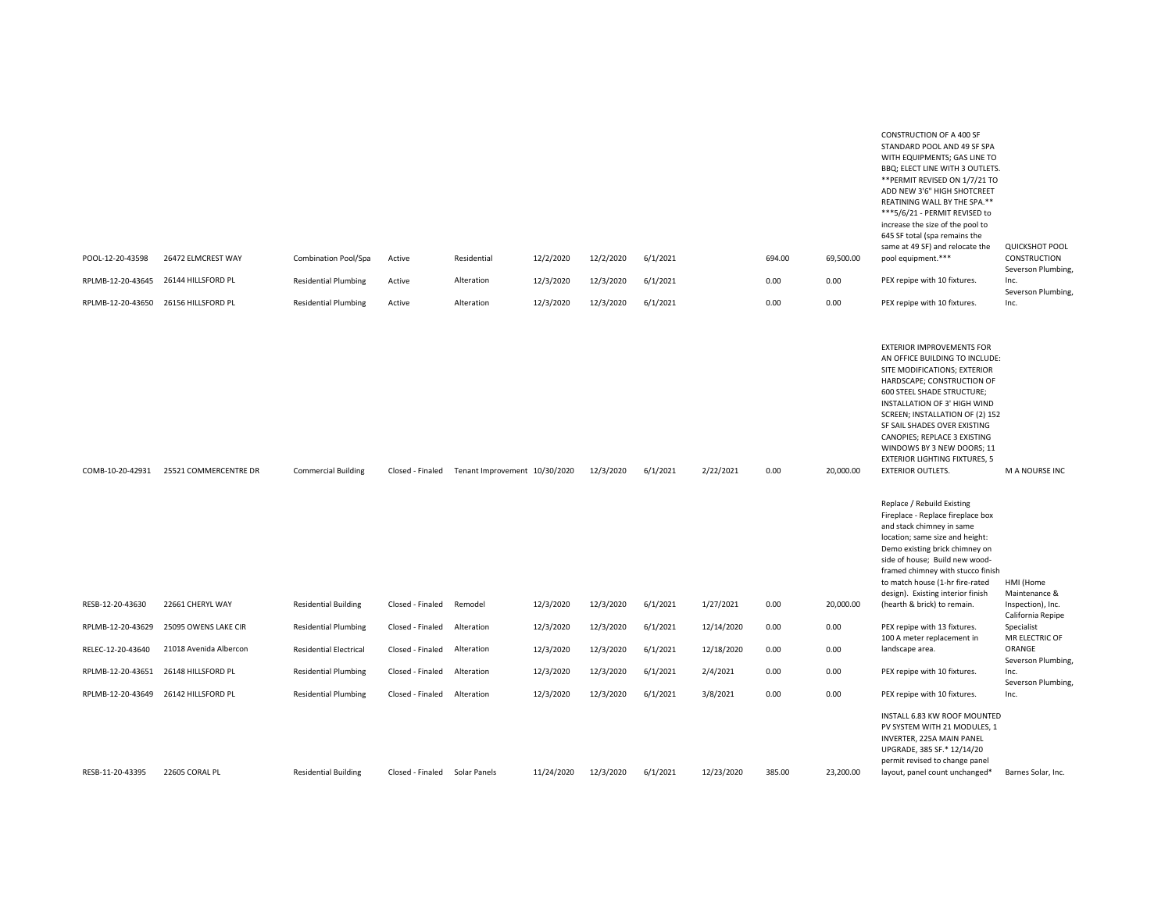| POOL-12-20-43598<br>RPLMB-12-20-43645<br>RPLMB-12-20-43650 | 26472 ELMCREST WAY<br>26144 HILLSFORD PL<br>26156 HILLSFORD PL | <b>Combination Pool/Spa</b><br><b>Residential Plumbing</b><br><b>Residential Plumbing</b> | Active<br>Active<br>Active    | Residential<br>Alteration<br>Alteration | 12/2/2020<br>12/3/2020<br>12/3/2020 | 12/2/2020<br>12/3/2020<br>12/3/2020 | 6/1/2021<br>6/1/2021<br>6/1/2021 |            | 694.00<br>0.00<br>0.00 | 69,500.00<br>0.00<br>0.00 | <b>CONSTRUCTION OF A 400 SF</b><br>STANDARD POOL AND 49 SF SPA<br>WITH EQUIPMENTS; GAS LINE TO<br>BBQ; ELECT LINE WITH 3 OUTLETS.<br>** PERMIT REVISED ON 1/7/21 TO<br>ADD NEW 3'6" HIGH SHOTCREET<br>REATINING WALL BY THE SPA.**<br>***5/6/21 - PERMIT REVISED to<br>increase the size of the pool to<br>645 SF total (spa remains the<br>same at 49 SF) and relocate the<br>pool equipment.***<br>PEX repipe with 10 fixtures.<br>PEX repipe with 10 fixtures. | <b>QUICKSHOT POOL</b><br>CONSTRUCTION<br>Severson Plumbing,<br>Inc.<br>Severson Plumbing,<br>Inc. |
|------------------------------------------------------------|----------------------------------------------------------------|-------------------------------------------------------------------------------------------|-------------------------------|-----------------------------------------|-------------------------------------|-------------------------------------|----------------------------------|------------|------------------------|---------------------------|-------------------------------------------------------------------------------------------------------------------------------------------------------------------------------------------------------------------------------------------------------------------------------------------------------------------------------------------------------------------------------------------------------------------------------------------------------------------|---------------------------------------------------------------------------------------------------|
| COMB-10-20-42931                                           | 25521 COMMERCENTRE DR                                          | <b>Commercial Building</b>                                                                | Closed - Finaled              | Tenant Improvement 10/30/2020           |                                     | 12/3/2020                           | 6/1/2021                         | 2/22/2021  | 0.00                   | 20,000.00                 | <b>EXTERIOR IMPROVEMENTS FOR</b><br>AN OFFICE BUILDING TO INCLUDE:<br>SITE MODIFICATIONS; EXTERIOR<br>HARDSCAPE; CONSTRUCTION OF<br><b>600 STEEL SHADE STRUCTURE;</b><br>INSTALLATION OF 3' HIGH WIND<br>SCREEN; INSTALLATION OF (2) 152<br>SF SAIL SHADES OVER EXISTING<br>CANOPIES; REPLACE 3 EXISTING<br>WINDOWS BY 3 NEW DOORS; 11<br><b>EXTERIOR LIGHTING FIXTURES, 5</b><br><b>EXTERIOR OUTLETS.</b>                                                        | M A NOURSE INC                                                                                    |
|                                                            |                                                                |                                                                                           |                               |                                         |                                     |                                     |                                  |            |                        |                           | Replace / Rebuild Existing<br>Fireplace - Replace fireplace box<br>and stack chimney in same<br>location; same size and height:<br>Demo existing brick chimney on<br>side of house; Build new wood-<br>framed chimney with stucco finish<br>to match house (1-hr fire-rated<br>design). Existing interior finish                                                                                                                                                  | HMI (Home<br>Maintenance &                                                                        |
| RESB-12-20-43630                                           | 22661 CHERYL WAY                                               | <b>Residential Building</b>                                                               | Closed - Finaled              | Remodel                                 | 12/3/2020                           | 12/3/2020                           | 6/1/2021                         | 1/27/2021  | 0.00                   | 20,000.00                 | (hearth & brick) to remain.                                                                                                                                                                                                                                                                                                                                                                                                                                       | Inspection), Inc.<br>California Repipe                                                            |
| RPLMB-12-20-43629                                          | 25095 OWENS LAKE CIR                                           | <b>Residential Plumbing</b>                                                               | Closed - Finaled              | Alteration                              | 12/3/2020                           | 12/3/2020                           | 6/1/2021                         | 12/14/2020 | 0.00                   | 0.00                      | PEX repipe with 13 fixtures.<br>100 A meter replacement in                                                                                                                                                                                                                                                                                                                                                                                                        | Specialist<br>MR ELECTRIC OF                                                                      |
| RELEC-12-20-43640                                          | 21018 Avenida Albercon                                         | <b>Residential Electrical</b>                                                             | Closed - Finaled              | Alteration                              | 12/3/2020                           | 12/3/2020                           | 6/1/2021                         | 12/18/2020 | 0.00                   | 0.00                      | landscape area.                                                                                                                                                                                                                                                                                                                                                                                                                                                   | ORANGE<br>Severson Plumbing,                                                                      |
| RPLMB-12-20-43651                                          | 26148 HILLSFORD PL                                             | <b>Residential Plumbing</b>                                                               | Closed - Finaled              | Alteration                              | 12/3/2020                           | 12/3/2020                           | 6/1/2021                         | 2/4/2021   | 0.00                   | 0.00                      | PEX repipe with 10 fixtures.                                                                                                                                                                                                                                                                                                                                                                                                                                      | Inc.<br>Severson Plumbing,                                                                        |
| RPLMB-12-20-43649                                          | 26142 HILLSFORD PL                                             | <b>Residential Plumbing</b>                                                               | Closed - Finaled              | Alteration                              | 12/3/2020                           | 12/3/2020                           | 6/1/2021                         | 3/8/2021   | 0.00                   | 0.00                      | PEX repipe with 10 fixtures.                                                                                                                                                                                                                                                                                                                                                                                                                                      | Inc.                                                                                              |
| RESB-11-20-43395                                           | 22605 CORAL PL                                                 | <b>Residential Building</b>                                                               | Closed - Finaled Solar Panels |                                         | 11/24/2020                          | 12/3/2020                           | 6/1/2021                         | 12/23/2020 | 385.00                 | 23,200.00                 | INSTALL 6.83 KW ROOF MOUNTED<br>PV SYSTEM WITH 21 MODULES, 1<br>INVERTER, 225A MAIN PANEL<br>UPGRADE, 385 SF.* 12/14/20<br>permit revised to change panel<br>layout, panel count unchanged*                                                                                                                                                                                                                                                                       | Barnes Solar, Inc.                                                                                |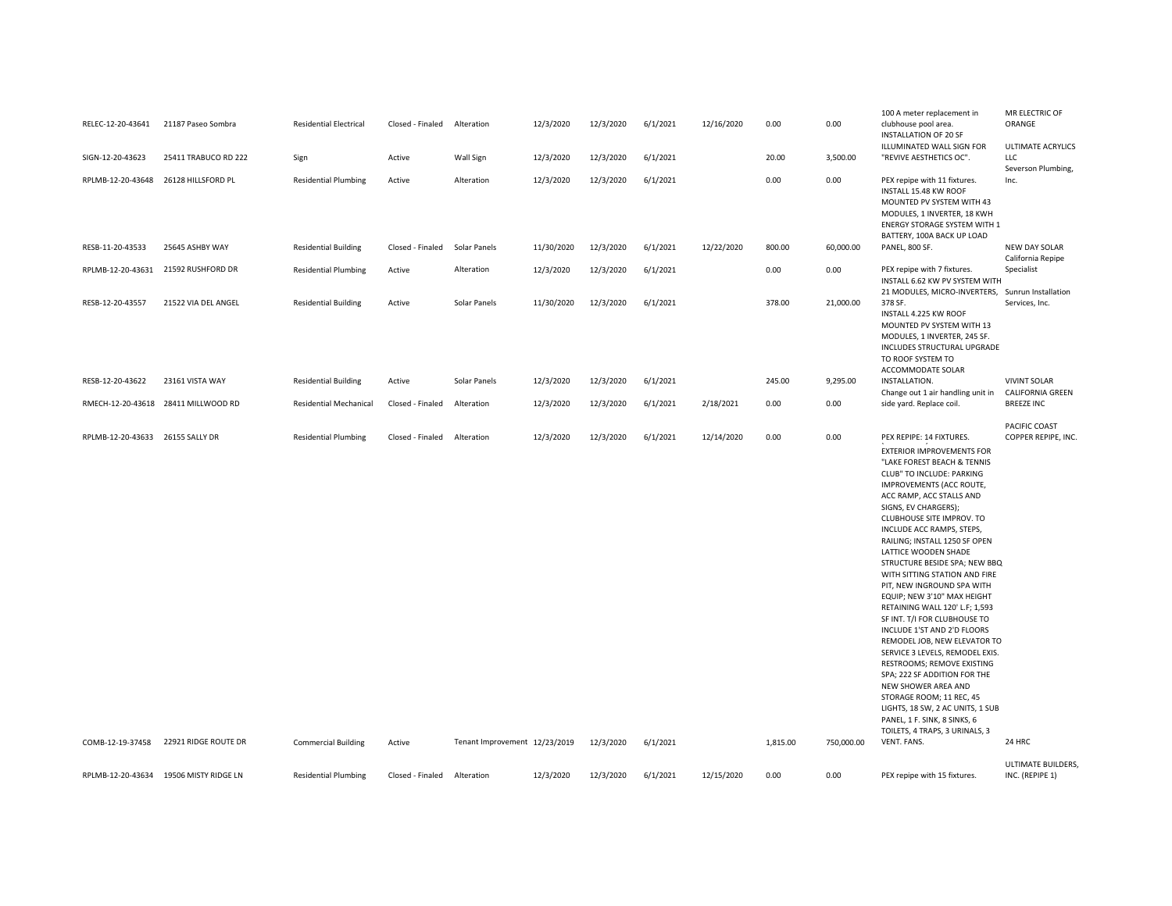| RELEC-12-20-43641                                    | 21187 Paseo Sombra                     | <b>Residential Electrical</b>                             | Closed - Finaled           | Alteration                                  | 12/3/2020  | 12/3/2020              | 6/1/2021             | 12/16/2020 | 0.00             | 0.00               | 100 A meter replacement in<br>clubhouse pool area.<br><b>INSTALLATION OF 20 SF</b>                                                                                                                                                                                                                                                                                                                                                                                                                                                                                                                                                                                                                                                                                                                                                                            | MR ELECTRIC OF<br>ORANGE                       |
|------------------------------------------------------|----------------------------------------|-----------------------------------------------------------|----------------------------|---------------------------------------------|------------|------------------------|----------------------|------------|------------------|--------------------|---------------------------------------------------------------------------------------------------------------------------------------------------------------------------------------------------------------------------------------------------------------------------------------------------------------------------------------------------------------------------------------------------------------------------------------------------------------------------------------------------------------------------------------------------------------------------------------------------------------------------------------------------------------------------------------------------------------------------------------------------------------------------------------------------------------------------------------------------------------|------------------------------------------------|
| SIGN-12-20-43623                                     | 25411 TRABUCO RD 222                   | Sign                                                      | Active                     | Wall Sign                                   | 12/3/2020  | 12/3/2020              | 6/1/2021             |            | 20.00            | 3,500.00           | ILLUMINATED WALL SIGN FOR<br>"REVIVE AESTHETICS OC".                                                                                                                                                                                                                                                                                                                                                                                                                                                                                                                                                                                                                                                                                                                                                                                                          | <b>ULTIMATE ACRYLICS</b><br>LLC                |
| RPLMB-12-20-43648                                    | 26128 HILLSFORD PL                     | <b>Residential Plumbing</b>                               | Active                     | Alteration                                  | 12/3/2020  | 12/3/2020              | 6/1/2021             |            | 0.00             | 0.00               | PEX repipe with 11 fixtures.<br>INSTALL 15.48 KW ROOF<br>MOUNTED PV SYSTEM WITH 43<br>MODULES, 1 INVERTER, 18 KWH<br>ENERGY STORAGE SYSTEM WITH 1<br>BATTERY, 100A BACK UP LOAD                                                                                                                                                                                                                                                                                                                                                                                                                                                                                                                                                                                                                                                                               | Severson Plumbing,<br>Inc.                     |
| RESB-11-20-43533                                     | 25645 ASHBY WAY                        | <b>Residential Building</b>                               | Closed - Finaled           | Solar Panels                                | 11/30/2020 | 12/3/2020              | 6/1/2021             | 12/22/2020 | 800.00           | 60,000.00          | PANEL, 800 SF.                                                                                                                                                                                                                                                                                                                                                                                                                                                                                                                                                                                                                                                                                                                                                                                                                                                | NEW DAY SOLAR<br>California Repipe             |
| RPLMB-12-20-43631                                    | 21592 RUSHFORD DR                      | <b>Residential Plumbing</b>                               | Active                     | Alteration                                  | 12/3/2020  | 12/3/2020              | 6/1/2021             |            | 0.00             | 0.00               | PEX repipe with 7 fixtures.<br>INSTALL 6.62 KW PV SYSTEM WITH<br>21 MODULES, MICRO-INVERTERS, Sunrun Installation                                                                                                                                                                                                                                                                                                                                                                                                                                                                                                                                                                                                                                                                                                                                             | Specialist                                     |
| RESB-12-20-43557                                     | 21522 VIA DEL ANGEL                    | <b>Residential Building</b>                               | Active                     | Solar Panels                                | 11/30/2020 | 12/3/2020              | 6/1/2021             |            | 378.00           | 21,000.00          | 378 SF.<br>INSTALL 4.225 KW ROOF<br>MOUNTED PV SYSTEM WITH 13<br>MODULES, 1 INVERTER, 245 SF.<br>INCLUDES STRUCTURAL UPGRADE<br>TO ROOF SYSTEM TO<br>ACCOMMODATE SOLAR                                                                                                                                                                                                                                                                                                                                                                                                                                                                                                                                                                                                                                                                                        | Services, Inc.                                 |
| RESB-12-20-43622                                     | 23161 VISTA WAY                        | <b>Residential Building</b>                               | Active                     | Solar Panels                                | 12/3/2020  | 12/3/2020              | 6/1/2021             |            | 245.00           | 9,295.00           | INSTALLATION.<br>Change out 1 air handling unit in                                                                                                                                                                                                                                                                                                                                                                                                                                                                                                                                                                                                                                                                                                                                                                                                            | <b>VIVINT SOLAR</b><br><b>CALIFORNIA GREEN</b> |
|                                                      | RMECH-12-20-43618 28411 MILLWOOD RD    | <b>Residential Mechanical</b>                             | Closed - Finaled           | Alteration                                  | 12/3/2020  | 12/3/2020              | 6/1/2021             | 2/18/2021  | 0.00             | 0.00               | side yard. Replace coil.                                                                                                                                                                                                                                                                                                                                                                                                                                                                                                                                                                                                                                                                                                                                                                                                                                      | <b>BREEZE INC</b>                              |
| RPLMB-12-20-43633 26155 SALLY DR<br>COMB-12-19-37458 | 22921 RIDGE ROUTE DR                   | <b>Residential Plumbing</b><br><b>Commercial Building</b> | Closed - Finaled<br>Active | Alteration<br>Tenant Improvement 12/23/2019 | 12/3/2020  | 12/3/2020<br>12/3/2020 | 6/1/2021<br>6/1/2021 | 12/14/2020 | 0.00<br>1,815.00 | 0.00<br>750,000.00 | PEX REPIPE: 14 FIXTURES.<br>EXTERIOR IMPROVEMENTS FOR<br>"LAKE FOREST BEACH & TENNIS<br>CLUB" TO INCLUDE: PARKING<br>IMPROVEMENTS (ACC ROUTE,<br>ACC RAMP, ACC STALLS AND<br>SIGNS, EV CHARGERS);<br>CLUBHOUSE SITE IMPROV. TO<br>INCLUDE ACC RAMPS, STEPS,<br>RAILING; INSTALL 1250 SF OPEN<br>LATTICE WOODEN SHADE<br>STRUCTURE BESIDE SPA; NEW BBQ<br>WITH SITTING STATION AND FIRE<br>PIT, NEW INGROUND SPA WITH<br>EQUIP; NEW 3'10" MAX HEIGHT<br>RETAINING WALL 120' L.F; 1,593<br>SF INT. T/I FOR CLUBHOUSE TO<br>INCLUDE 1'ST AND 2'D FLOORS<br>REMODEL JOB, NEW ELEVATOR TO<br>SERVICE 3 LEVELS, REMODEL EXIS.<br>RESTROOMS; REMOVE EXISTING<br>SPA; 222 SF ADDITION FOR THE<br>NEW SHOWER AREA AND<br>STORAGE ROOM; 11 REC, 45<br>LIGHTS, 18 SW, 2 AC UNITS, 1 SUB<br>PANEL, 1 F. SINK, 8 SINKS, 6<br>TOILETS, 4 TRAPS, 3 URINALS, 3<br>VENT. FANS. | PACIFIC COAST<br>COPPER REPIPE, INC.<br>24 HRC |
|                                                      | RPLMB-12-20-43634 19506 MISTY RIDGE LN | <b>Residential Plumbing</b>                               | Closed - Finaled           | Alteration                                  | 12/3/2020  | 12/3/2020              | 6/1/2021             | 12/15/2020 | 0.00             | 0.00               | PEX repipe with 15 fixtures.                                                                                                                                                                                                                                                                                                                                                                                                                                                                                                                                                                                                                                                                                                                                                                                                                                  | ULTIMATE BUILDERS,<br>INC. (REPIPE 1)          |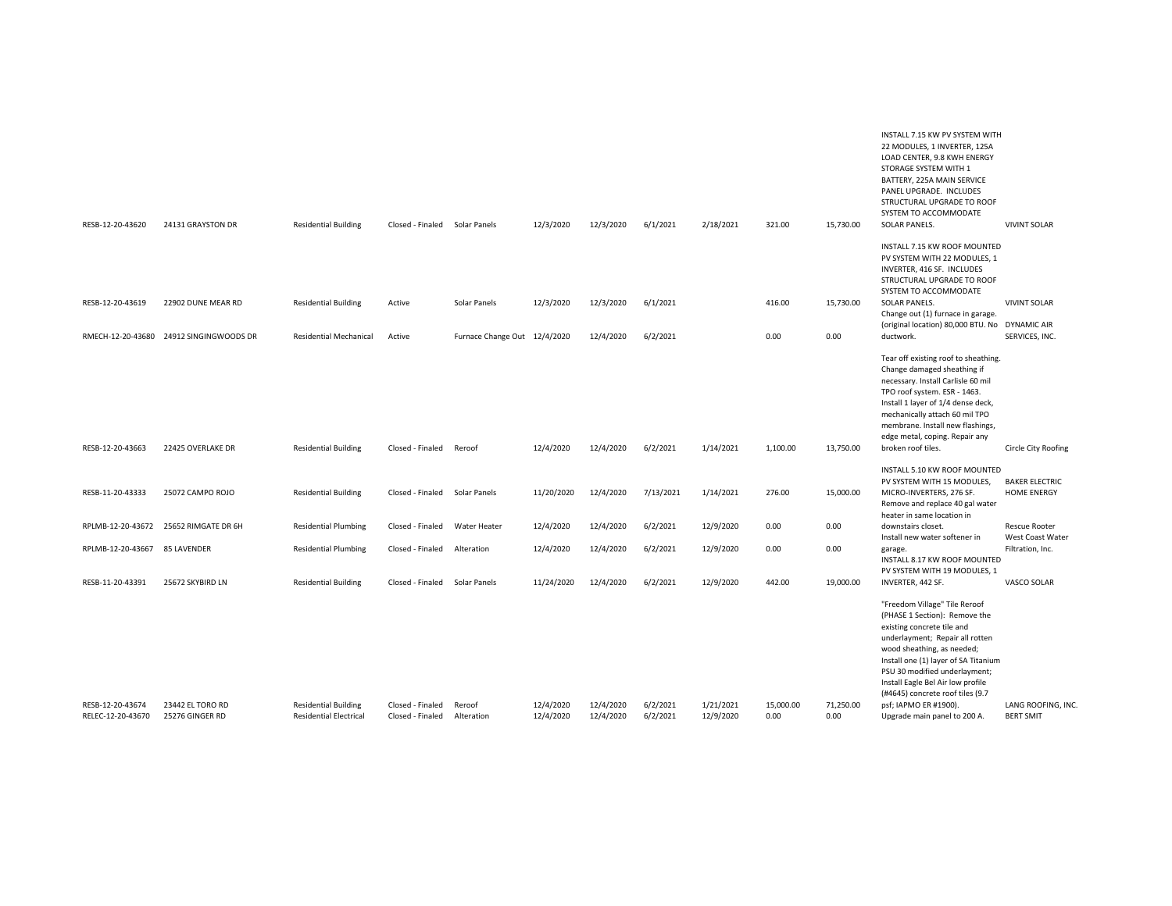| SOLAR PANELS.<br><b>VIVINT SOLAR</b><br>INSTALL 7.15 KW ROOF MOUNTED<br>PV SYSTEM WITH 22 MODULES, 1                                                                                                                                                                                                                                                                                                               |
|--------------------------------------------------------------------------------------------------------------------------------------------------------------------------------------------------------------------------------------------------------------------------------------------------------------------------------------------------------------------------------------------------------------------|
|                                                                                                                                                                                                                                                                                                                                                                                                                    |
| INVERTER, 416 SF. INCLUDES<br>STRUCTURAL UPGRADE TO ROOF<br>SYSTEM TO ACCOMMODATE                                                                                                                                                                                                                                                                                                                                  |
| SOLAR PANELS.<br><b>VIVINT SOLAR</b><br>Change out (1) furnace in garage.                                                                                                                                                                                                                                                                                                                                          |
| (original location) 80,000 BTU. No DYNAMIC AIR<br>SERVICES, INC.<br>ductwork.                                                                                                                                                                                                                                                                                                                                      |
| Tear off existing roof to sheathing.<br>Change damaged sheathing if<br>necessary. Install Carlisle 60 mil<br>TPO roof system. ESR - 1463.<br>Install 1 layer of 1/4 dense deck,<br>mechanically attach 60 mil TPO<br>membrane. Install new flashings,<br>edge metal, coping. Repair any                                                                                                                            |
| broken roof tiles.<br>Circle City Roofing                                                                                                                                                                                                                                                                                                                                                                          |
| INSTALL 5.10 KW ROOF MOUNTED<br><b>BAKER ELECTRIC</b><br>PV SYSTEM WITH 15 MODULES,<br>MICRO-INVERTERS, 276 SF.<br><b>HOME ENERGY</b><br>Remove and replace 40 gal water<br>heater in same location in                                                                                                                                                                                                             |
| downstairs closet.<br><b>Rescue Rooter</b><br>Install new water softener in<br>West Coast Water                                                                                                                                                                                                                                                                                                                    |
| Filtration, Inc.<br>garage.<br>INSTALL 8.17 KW ROOF MOUNTED<br>PV SYSTEM WITH 19 MODULES, 1                                                                                                                                                                                                                                                                                                                        |
| INVERTER, 442 SF.<br>VASCO SOLAR                                                                                                                                                                                                                                                                                                                                                                                   |
| "Freedom Village" Tile Reroof<br>(PHASE 1 Section): Remove the<br>existing concrete tile and<br>underlayment; Repair all rotten<br>wood sheathing, as needed;<br>Install one (1) layer of SA Titanium<br>PSU 30 modified underlayment;<br>Install Eagle Bel Air low profile<br>(#4645) concrete roof tiles (9.7<br>psf; IAPMO ER #1900).<br>LANG ROOFING, INC.<br><b>BERT SMIT</b><br>Upgrade main panel to 200 A. |
|                                                                                                                                                                                                                                                                                                                                                                                                                    |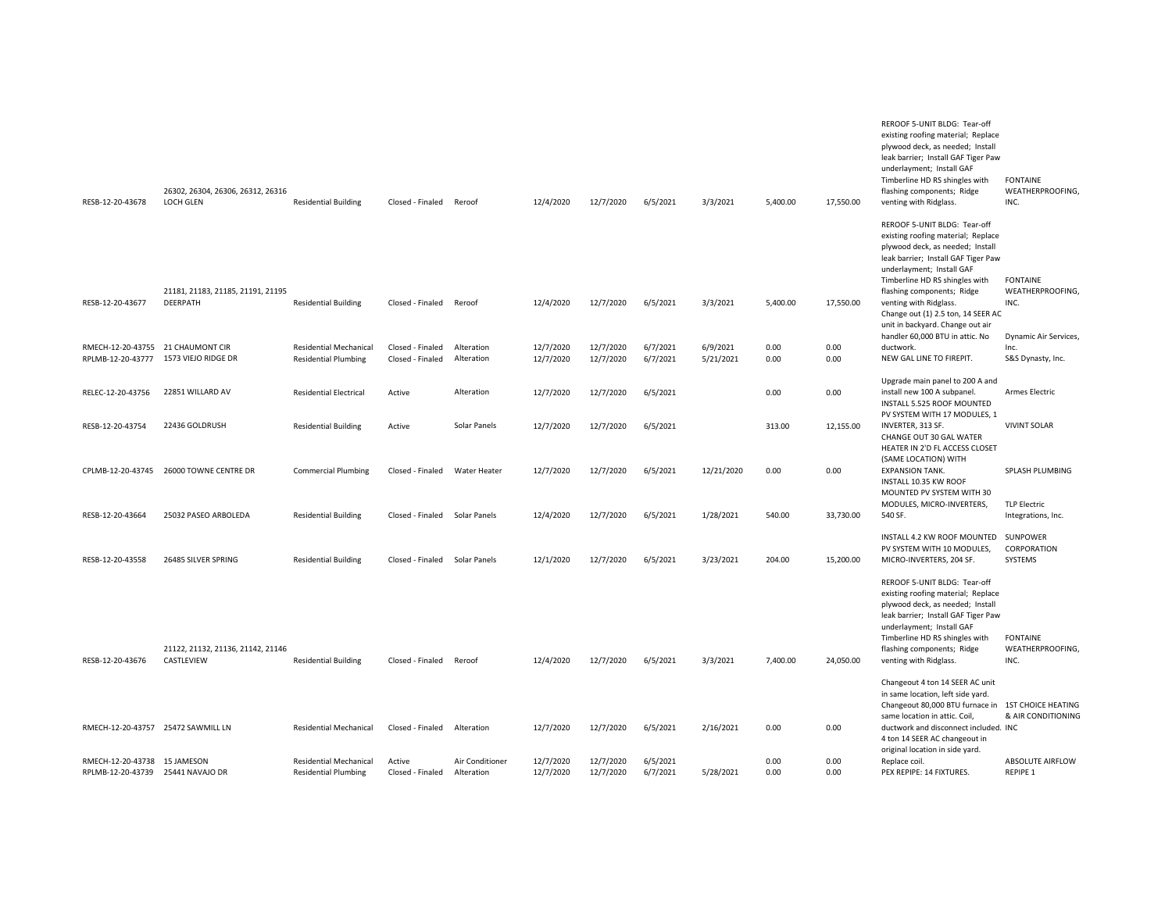| RESB-12-20-43678                      | 26302, 26304, 26306, 26312, 26316<br>LOCH GLEN  | <b>Residential Building</b>   | Closed - Finaled              | Reroof          | 12/4/2020 | 12/7/2020 | 6/5/2021 | 3/3/2021   | 5,400.00 | 17,550.00    | REROOF 5-UNIT BLDG: Tear-off<br>existing roofing material; Replace<br>plywood deck, as needed; Install<br>leak barrier; Install GAF Tiger Paw<br>underlayment; Install GAF<br>Timberline HD RS shingles with<br>flashing components; Ridge<br>venting with Ridglass. | <b>FONTAINE</b><br>WEATHERPROOFING.<br>INC. |
|---------------------------------------|-------------------------------------------------|-------------------------------|-------------------------------|-----------------|-----------|-----------|----------|------------|----------|--------------|----------------------------------------------------------------------------------------------------------------------------------------------------------------------------------------------------------------------------------------------------------------------|---------------------------------------------|
|                                       | 21181, 21183, 21185, 21191, 21195               |                               |                               |                 |           |           |          |            |          |              | REROOF 5-UNIT BLDG: Tear-off<br>existing roofing material; Replace<br>plywood deck, as needed; Install<br>leak barrier; Install GAF Tiger Paw<br>underlayment; Install GAF<br>Timberline HD RS shingles with<br>flashing components; Ridge                           | <b>FONTAINE</b><br>WEATHERPROOFING,         |
| RESB-12-20-43677                      | DEERPATH                                        | <b>Residential Building</b>   | Closed - Finaled              | Reroof          | 12/4/2020 | 12/7/2020 | 6/5/2021 | 3/3/2021   | 5,400.00 | 17,550.00    | venting with Ridglass.<br>Change out (1) 2.5 ton, 14 SEER AC<br>unit in backyard. Change out air<br>handler 60,000 BTU in attic. No                                                                                                                                  | INC.<br>Dynamic Air Services,               |
| RMECH-12-20-43755 21 CHAUMONT CIR     |                                                 | <b>Residential Mechanical</b> | Closed - Finaled              | Alteration      | 12/7/2020 | 12/7/2020 | 6/7/2021 | 6/9/2021   | 0.00     | 0.00<br>0.00 | ductwork.                                                                                                                                                                                                                                                            | Inc.                                        |
| RPLMB-12-20-43777 1573 VIEJO RIDGE DR |                                                 | <b>Residential Plumbing</b>   | Closed - Finaled              | Alteration      | 12/7/2020 | 12/7/2020 | 6/7/2021 | 5/21/2021  | 0.00     |              | NEW GAL LINE TO FIREPIT.                                                                                                                                                                                                                                             | S&S Dynasty, Inc.                           |
| RELEC-12-20-43756                     | 22851 WILLARD AV                                | <b>Residential Electrical</b> | Active                        | Alteration      | 12/7/2020 | 12/7/2020 | 6/5/2021 |            | 0.00     | 0.00         | Upgrade main panel to 200 A and<br>install new 100 A subpanel.<br>INSTALL 5.525 ROOF MOUNTED<br>PV SYSTEM WITH 17 MODULES, 1                                                                                                                                         | Armes Electric                              |
| RESB-12-20-43754                      | 22436 GOLDRUSH                                  | <b>Residential Building</b>   | Active                        | Solar Panels    | 12/7/2020 | 12/7/2020 | 6/5/2021 |            | 313.00   | 12,155.00    | INVERTER, 313 SF.<br>CHANGE OUT 30 GAL WATER<br>HEATER IN 2'D FL ACCESS CLOSET                                                                                                                                                                                       | <b>VIVINT SOLAR</b>                         |
| CPLMB-12-20-43745                     | 26000 TOWNE CENTRE DR                           | <b>Commercial Plumbing</b>    | Closed - Finaled              | Water Heater    | 12/7/2020 | 12/7/2020 | 6/5/2021 | 12/21/2020 | 0.00     | 0.00         | (SAME LOCATION) WITH<br><b>EXPANSION TANK.</b><br>INSTALL 10.35 KW ROOF<br>MOUNTED PV SYSTEM WITH 30                                                                                                                                                                 | SPLASH PLUMBING                             |
| RESB-12-20-43664                      | 25032 PASEO ARBOLEDA                            | <b>Residential Building</b>   | Closed - Finaled Solar Panels |                 | 12/4/2020 | 12/7/2020 | 6/5/2021 | 1/28/2021  | 540.00   | 33,730.00    | MODULES, MICRO-INVERTERS,<br>540 SF.                                                                                                                                                                                                                                 | <b>TLP Electric</b><br>Integrations, Inc.   |
| RESB-12-20-43558                      | 26485 SILVER SPRING                             | <b>Residential Building</b>   | Closed - Finaled              | Solar Panels    | 12/1/2020 | 12/7/2020 | 6/5/2021 | 3/23/2021  | 204.00   | 15,200.00    | INSTALL 4.2 KW ROOF MOUNTED<br>PV SYSTEM WITH 10 MODULES,<br>MICRO-INVERTERS, 204 SF.                                                                                                                                                                                | SUNPOWER<br>CORPORATION<br>SYSTEMS          |
| RESB-12-20-43676                      | 21122, 21132, 21136, 21142, 21146<br>CASTLEVIEW | <b>Residential Building</b>   | Closed - Finaled              | Reroof          | 12/4/2020 | 12/7/2020 | 6/5/2021 | 3/3/2021   | 7,400.00 | 24,050.00    | REROOF 5-UNIT BLDG: Tear-off<br>existing roofing material; Replace<br>plywood deck, as needed; Install<br>leak barrier; Install GAF Tiger Paw<br>underlayment; Install GAF<br>Timberline HD RS shingles with<br>flashing components; Ridge<br>venting with Ridglass. | <b>FONTAINE</b><br>WEATHERPROOFING,<br>INC. |
|                                       |                                                 |                               |                               |                 |           |           |          |            |          |              | Changeout 4 ton 14 SEER AC unit<br>in same location, left side yard.<br>Changeout 80,000 BTU furnace in 1ST CHOICE HEATING                                                                                                                                           |                                             |
| RMECH-12-20-43757 25472 SAWMILL LN    |                                                 | <b>Residential Mechanical</b> | Closed - Finaled              | Alteration      | 12/7/2020 | 12/7/2020 | 6/5/2021 | 2/16/2021  | 0.00     | 0.00         | same location in attic. Coil<br>ductwork and disconnect included. INC<br>4 ton 14 SEER AC changeout in<br>original location in side yard.                                                                                                                            | & AIR CONDITIONING                          |
| RMECH-12-20-43738 15 JAMESON          |                                                 | <b>Residential Mechanical</b> | Active                        | Air Conditioner | 12/7/2020 | 12/7/2020 | 6/5/2021 |            | 0.00     | 0.00         | Replace coil.                                                                                                                                                                                                                                                        | ABSOLUTE AIRFLOW<br>REPIPE 1                |
| RPLMB-12-20-43739 25441 NAVAJO DR     |                                                 | <b>Residential Plumbing</b>   | Closed - Finaled              | Alteration      | 12/7/2020 | 12/7/2020 | 6/7/2021 | 5/28/2021  | 0.00     | 0.00         | PEX REPIPE: 14 FIXTURES.                                                                                                                                                                                                                                             |                                             |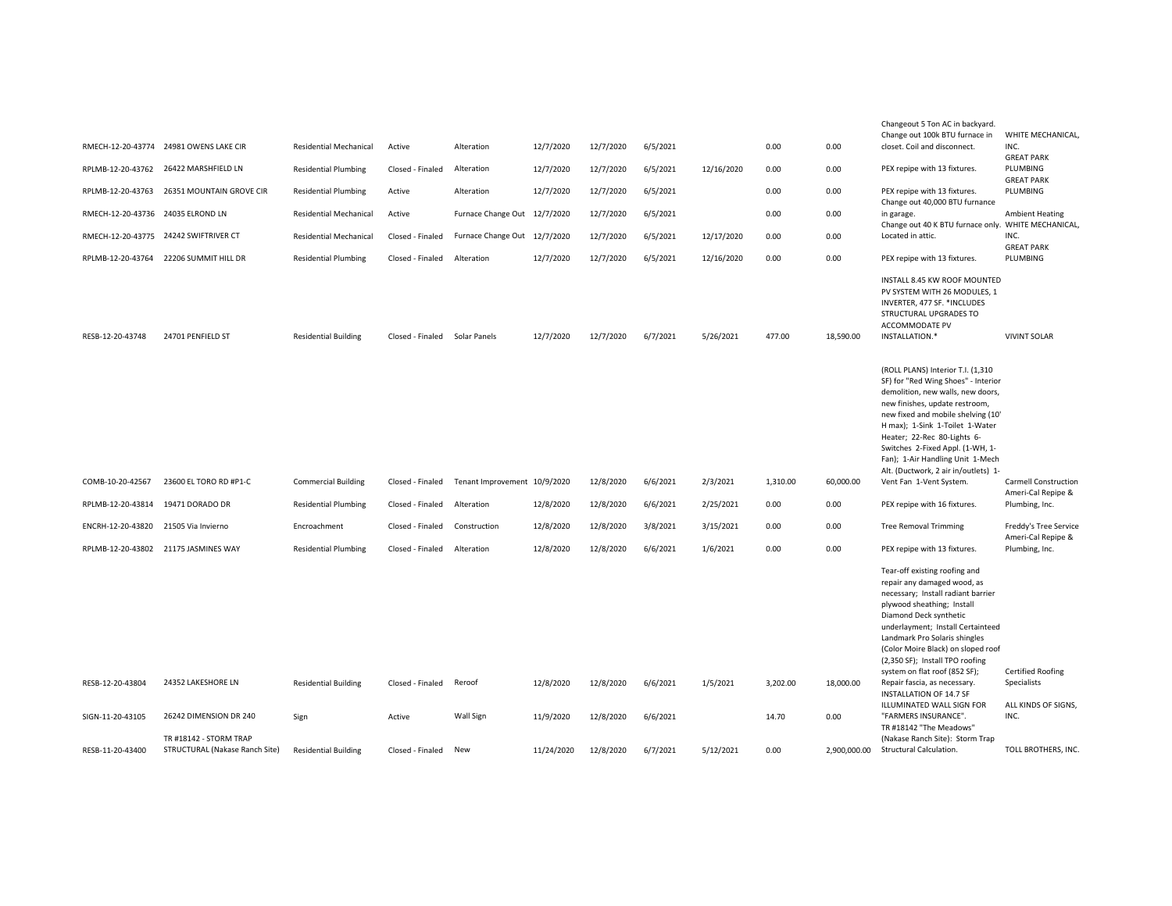|                                   | RMECH-12-20-43774 24981 OWENS LAKE CIR                   | <b>Residential Mechanical</b> | Active           | Alteration                   | 12/7/2020  | 12/7/2020 | 6/5/2021 |            | 0.00     | 0.00         | Changeout 5 Ton AC in backyard.<br>Change out 100k BTU furnace in<br>closet. Coil and disconnect.                                                                                                                                                                                                                                                                       | WHITE MECHANICAL,<br>INC.<br><b>GREAT PARK</b>    |
|-----------------------------------|----------------------------------------------------------|-------------------------------|------------------|------------------------------|------------|-----------|----------|------------|----------|--------------|-------------------------------------------------------------------------------------------------------------------------------------------------------------------------------------------------------------------------------------------------------------------------------------------------------------------------------------------------------------------------|---------------------------------------------------|
|                                   | RPLMB-12-20-43762 26422 MARSHFIELD LN                    | <b>Residential Plumbing</b>   | Closed - Finaled | Alteration                   | 12/7/2020  | 12/7/2020 | 6/5/2021 | 12/16/2020 | 0.00     | 0.00         | PEX repipe with 13 fixtures.                                                                                                                                                                                                                                                                                                                                            | PLUMBING<br><b>GREAT PARK</b>                     |
| RPLMB-12-20-43763                 | 26351 MOUNTAIN GROVE CIR                                 | <b>Residential Plumbing</b>   | Active           | Alteration                   | 12/7/2020  | 12/7/2020 | 6/5/2021 |            | 0.00     | 0.00         | PEX repipe with 13 fixtures.<br>Change out 40,000 BTU furnance                                                                                                                                                                                                                                                                                                          | PLUMBING                                          |
| RMECH-12-20-43736 24035 ELROND LN |                                                          | <b>Residential Mechanical</b> | Active           | Furnace Change Out 12/7/2020 |            | 12/7/2020 | 6/5/2021 |            | 0.00     | 0.00         | in garage.<br>Change out 40 K BTU furnace only. WHITE MECHANICAL,                                                                                                                                                                                                                                                                                                       | <b>Ambient Heating</b>                            |
| RMECH-12-20-43775                 | 24242 SWIFTRIVER CT                                      | <b>Residential Mechanical</b> | Closed - Finaled | Furnace Change Out 12/7/2020 |            | 12/7/2020 | 6/5/2021 | 12/17/2020 | 0.00     | 0.00         | Located in attic.                                                                                                                                                                                                                                                                                                                                                       | INC.<br><b>GREAT PARK</b>                         |
|                                   | RPLMB-12-20-43764 22206 SUMMIT HILL DR                   | <b>Residential Plumbing</b>   | Closed - Finaled | Alteration                   | 12/7/2020  | 12/7/2020 | 6/5/2021 | 12/16/2020 | 0.00     | 0.00         | PEX repipe with 13 fixtures.                                                                                                                                                                                                                                                                                                                                            | PLUMBING                                          |
| RESB-12-20-43748                  | 24701 PENFIELD ST                                        | <b>Residential Building</b>   | Closed - Finaled | Solar Panels                 | 12/7/2020  | 12/7/2020 | 6/7/2021 | 5/26/2021  | 477.00   | 18,590.00    | INSTALL 8.45 KW ROOF MOUNTED<br>PV SYSTEM WITH 26 MODULES. 1<br>INVERTER, 477 SF. *INCLUDES<br>STRUCTURAL UPGRADES TO<br>ACCOMMODATE PV<br>INSTALLATION.*                                                                                                                                                                                                               | <b>VIVINT SOLAR</b>                               |
|                                   |                                                          |                               |                  |                              |            |           |          |            |          |              | (ROLL PLANS) Interior T.I. (1,310<br>SF) for "Red Wing Shoes" - Interior<br>demolition, new walls, new doors,<br>new finishes, update restroom,<br>new fixed and mobile shelving (10'<br>H max); 1-Sink 1-Toilet 1-Water<br>Heater; 22-Rec 80-Lights 6-<br>Switches 2-Fixed Appl. (1-WH, 1-<br>Fan); 1-Air Handling Unit 1-Mech<br>Alt. (Ductwork, 2 air in/outlets) 1- |                                                   |
| COMB-10-20-42567                  | 23600 EL TORO RD #P1-C                                   | <b>Commercial Building</b>    | Closed - Finaled | Tenant Improvement 10/9/2020 |            | 12/8/2020 | 6/6/2021 | 2/3/2021   | 1,310.00 | 60,000.00    | Vent Fan 1-Vent System.                                                                                                                                                                                                                                                                                                                                                 | <b>Carmell Construction</b><br>Ameri-Cal Repipe & |
| RPLMB-12-20-43814                 | 19471 DORADO DR                                          | <b>Residential Plumbing</b>   | Closed - Finaled | Alteration                   | 12/8/2020  | 12/8/2020 | 6/6/2021 | 2/25/2021  | 0.00     | 0.00         | PEX repipe with 16 fixtures.                                                                                                                                                                                                                                                                                                                                            | Plumbing, Inc.                                    |
| ENCRH-12-20-43820                 | 21505 Via Invierno                                       | Encroachment                  | Closed - Finaled | Construction                 | 12/8/2020  | 12/8/2020 | 3/8/2021 | 3/15/2021  | 0.00     | 0.00         | <b>Tree Removal Trimming</b>                                                                                                                                                                                                                                                                                                                                            | Freddy's Tree Service<br>Ameri-Cal Repipe &       |
|                                   | RPLMB-12-20-43802 21175 JASMINES WAY                     | <b>Residential Plumbing</b>   | Closed - Finaled | Alteration                   | 12/8/2020  | 12/8/2020 | 6/6/2021 | 1/6/2021   | 0.00     | 0.00         | PEX repipe with 13 fixtures.                                                                                                                                                                                                                                                                                                                                            | Plumbing, Inc.                                    |
|                                   |                                                          |                               |                  |                              |            |           |          |            |          |              | Tear-off existing roofing and<br>repair any damaged wood, as<br>necessary; Install radiant barrier<br>plywood sheathing; Install<br>Diamond Deck synthetic<br>underlayment; Install Certainteed<br>Landmark Pro Solaris shingles<br>(Color Moire Black) on sloped roof<br>(2,350 SF); Install TPO roofing<br>system on flat roof (852 SF);                              | <b>Certified Roofing</b>                          |
| RESB-12-20-43804                  | 24352 LAKESHORE LN                                       | <b>Residential Building</b>   | Closed - Finaled | Reroof                       | 12/8/2020  | 12/8/2020 | 6/6/2021 | 1/5/2021   | 3,202.00 | 18,000.00    | Repair fascia, as necessary.<br>INSTALLATION OF 14.7 SF<br>ILLUMINATED WALL SIGN FOR                                                                                                                                                                                                                                                                                    | Specialists<br>ALL KINDS OF SIGNS,                |
| SIGN-11-20-43105                  | 26242 DIMENSION DR 240                                   | Sign                          | Active           | Wall Sign                    | 11/9/2020  | 12/8/2020 | 6/6/2021 |            | 14.70    | 0.00         | "FARMERS INSURANCE".<br>TR #18142 "The Meadows'                                                                                                                                                                                                                                                                                                                         | INC.                                              |
| RESB-11-20-43400                  | TR #18142 - STORM TRAP<br>STRUCTURAL (Nakase Ranch Site) | <b>Residential Building</b>   | Closed - Finaled | New                          | 11/24/2020 | 12/8/2020 | 6/7/2021 | 5/12/2021  | 0.00     | 2,900,000.00 | (Nakase Ranch Site): Storm Trap<br>Structural Calculation.                                                                                                                                                                                                                                                                                                              | TOLL BROTHERS, INC.                               |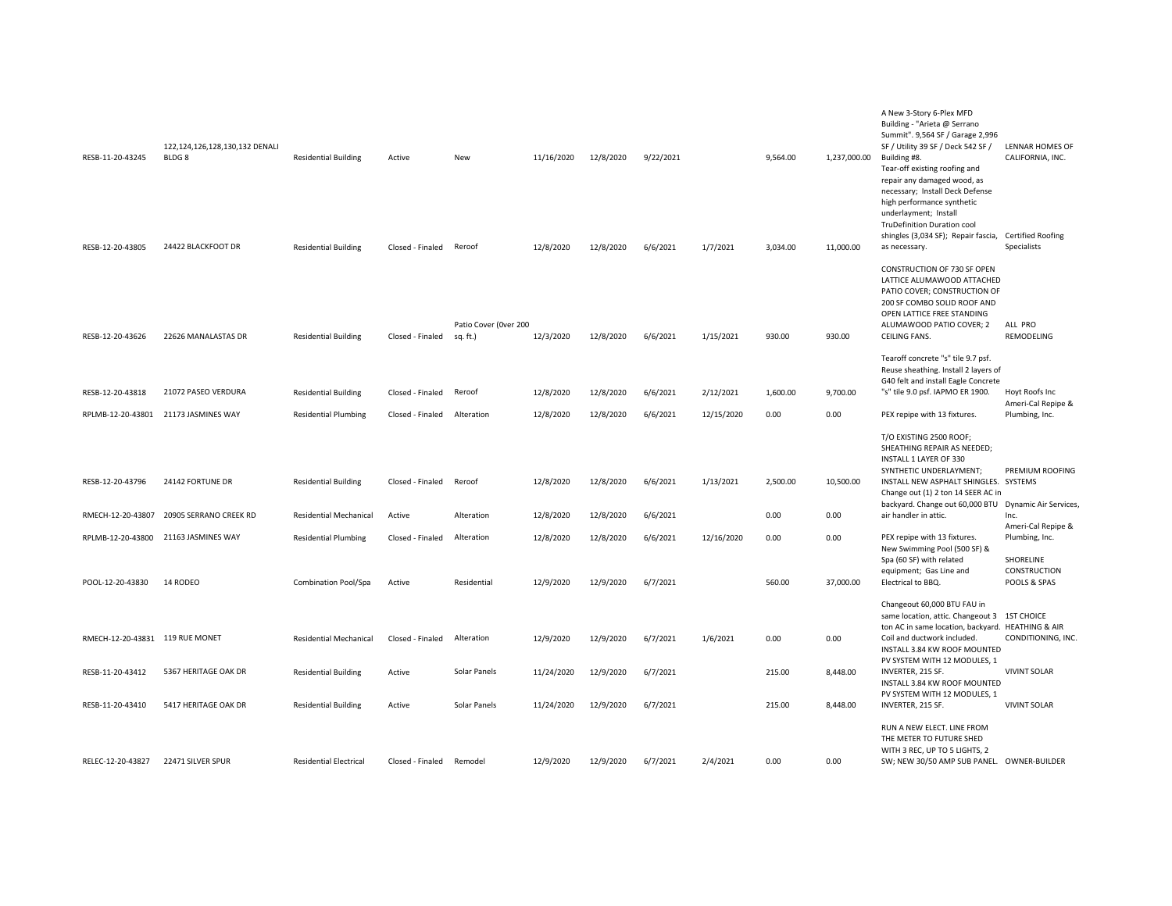| RESB-11-20-43245                | 122,124,126,128,130,132 DENALI<br>BLDG <sub>8</sub> | <b>Residential Building</b>   | Active           | New                               | 11/16/2020 | 12/8/2020 | 9/22/2021 |            | 9,564.00 | 1,237,000.00 | A New 3-Story 6-Plex MFD<br>Building - "Arieta @ Serrano<br>Summit". 9,564 SF / Garage 2,996<br>SF / Utility 39 SF / Deck 542 SF /<br>Building #8.<br>Tear-off existing roofing and<br>repair any damaged wood, as<br>necessary; Install Deck Defense<br>high performance synthetic<br>underlayment; Install<br>TruDefinition Duration cool | <b>LENNAR HOMES OF</b><br>CALIFORNIA, INC. |
|---------------------------------|-----------------------------------------------------|-------------------------------|------------------|-----------------------------------|------------|-----------|-----------|------------|----------|--------------|---------------------------------------------------------------------------------------------------------------------------------------------------------------------------------------------------------------------------------------------------------------------------------------------------------------------------------------------|--------------------------------------------|
| RESB-12-20-43805                | 24422 BLACKFOOT DR                                  | <b>Residential Building</b>   | Closed - Finaled | Reroof                            | 12/8/2020  | 12/8/2020 | 6/6/2021  | 1/7/2021   | 3,034.00 | 11,000.00    | shingles (3,034 SF); Repair fascia, Certified Roofing<br>as necessary.                                                                                                                                                                                                                                                                      | Specialists                                |
|                                 |                                                     |                               |                  |                                   |            |           |           |            |          |              | CONSTRUCTION OF 730 SF OPEN<br>LATTICE ALUMAWOOD ATTACHED<br>PATIO COVER; CONSTRUCTION OF<br>200 SF COMBO SOLID ROOF AND<br>OPEN LATTICE FREE STANDING                                                                                                                                                                                      |                                            |
| RESB-12-20-43626                | 22626 MANALASTAS DR                                 | <b>Residential Building</b>   | Closed - Finaled | Patio Cover (Over 200<br>sq. ft.) | 12/3/2020  | 12/8/2020 | 6/6/2021  | 1/15/2021  | 930.00   | 930.00       | ALUMAWOOD PATIO COVER; 2<br>CEILING FANS.                                                                                                                                                                                                                                                                                                   | ALL PRO<br>REMODELING                      |
|                                 |                                                     |                               |                  |                                   |            |           |           |            |          |              | Tearoff concrete "s" tile 9.7 psf.<br>Reuse sheathing. Install 2 layers of<br>G40 felt and install Eagle Concrete                                                                                                                                                                                                                           |                                            |
| RESB-12-20-43818                | 21072 PASEO VERDURA                                 | <b>Residential Building</b>   | Closed - Finaled | Reroof                            | 12/8/2020  | 12/8/2020 | 6/6/2021  | 2/12/2021  | 1,600.00 | 9,700.00     | "s" tile 9.0 psf. IAPMO ER 1900.                                                                                                                                                                                                                                                                                                            | Hoyt Roofs Inc<br>Ameri-Cal Repipe &       |
| RPLMB-12-20-43801               | 21173 JASMINES WAY                                  | <b>Residential Plumbing</b>   | Closed - Finaled | Alteration                        | 12/8/2020  | 12/8/2020 | 6/6/2021  | 12/15/2020 | 0.00     | 0.00         | PEX repipe with 13 fixtures.                                                                                                                                                                                                                                                                                                                | Plumbing, Inc.                             |
|                                 |                                                     |                               |                  |                                   |            |           |           |            |          |              | T/O EXISTING 2500 ROOF;<br>SHEATHING REPAIR AS NEEDED;<br>INSTALL 1 LAYER OF 330<br>SYNTHETIC UNDERLAYMENT;                                                                                                                                                                                                                                 | PREMIUM ROOFING                            |
| RESB-12-20-43796                | 24142 FORTUNE DR                                    | <b>Residential Building</b>   | Closed - Finaled | Reroof                            | 12/8/2020  | 12/8/2020 | 6/6/2021  | 1/13/2021  | 2,500.00 | 10,500.00    | INSTALL NEW ASPHALT SHINGLES. SYSTEMS<br>Change out (1) 2 ton 14 SEER AC in<br>backyard. Change out 60,000 BTU Dynamic Air Services,                                                                                                                                                                                                        |                                            |
| RMECH-12-20-43807               | 20905 SERRANO CREEK RD                              | <b>Residential Mechanical</b> | Active           | Alteration                        | 12/8/2020  | 12/8/2020 | 6/6/2021  |            | 0.00     | 0.00         | air handler in attic.                                                                                                                                                                                                                                                                                                                       | Inc.                                       |
| RPLMB-12-20-43800               | 21163 JASMINES WAY                                  | <b>Residential Plumbing</b>   | Closed - Finaled | Alteration                        | 12/8/2020  | 12/8/2020 | 6/6/2021  | 12/16/2020 | 0.00     | 0.00         | PEX repipe with 13 fixtures.<br>New Swimming Pool (500 SF) &                                                                                                                                                                                                                                                                                | Ameri-Cal Repipe &<br>Plumbing, Inc.       |
|                                 |                                                     |                               |                  |                                   |            |           |           |            |          |              | Spa (60 SF) with related<br>equipment; Gas Line and                                                                                                                                                                                                                                                                                         | SHORELINE<br>CONSTRUCTION                  |
| POOL-12-20-43830                | 14 RODEO                                            | <b>Combination Pool/Spa</b>   | Active           | Residential                       | 12/9/2020  | 12/9/2020 | 6/7/2021  |            | 560.00   | 37,000.00    | Electrical to BBQ.                                                                                                                                                                                                                                                                                                                          | POOLS & SPAS                               |
|                                 |                                                     |                               |                  |                                   |            |           |           |            |          |              | Changeout 60,000 BTU FAU in<br>same location, attic. Changeout 3 1ST CHOICE                                                                                                                                                                                                                                                                 |                                            |
| RMECH-12-20-43831 119 RUE MONET |                                                     | <b>Residential Mechanical</b> | Closed - Finaled | Alteration                        | 12/9/2020  | 12/9/2020 | 6/7/2021  | 1/6/2021   | 0.00     | 0.00         | ton AC in same location, backyard. HEATHING & AIR<br>Coil and ductwork included<br>INSTALL 3.84 KW ROOF MOUNTED                                                                                                                                                                                                                             | CONDITIONING, INC.                         |
| RESB-11-20-43412                | 5367 HERITAGE OAK DR                                | <b>Residential Building</b>   | Active           | Solar Panels                      | 11/24/2020 | 12/9/2020 | 6/7/2021  |            | 215.00   | 8,448.00     | PV SYSTEM WITH 12 MODULES, 1<br>INVERTER, 215 SF.<br>INSTALL 3.84 KW ROOF MOUNTED                                                                                                                                                                                                                                                           | <b>VIVINT SOLAR</b>                        |
| RESB-11-20-43410                | 5417 HERITAGE OAK DR                                | <b>Residential Building</b>   | Active           | Solar Panels                      | 11/24/2020 | 12/9/2020 | 6/7/2021  |            | 215.00   | 8,448.00     | PV SYSTEM WITH 12 MODULES, 1<br>INVERTER, 215 SF.                                                                                                                                                                                                                                                                                           | <b>VIVINT SOLAR</b>                        |
|                                 |                                                     |                               |                  |                                   |            |           |           |            |          |              | RUN A NEW ELECT. LINE FROM<br>THE METER TO FUTURE SHED<br>WITH 3 REC, UP TO 5 LIGHTS, 2                                                                                                                                                                                                                                                     |                                            |
| RELEC-12-20-43827               | 22471 SILVER SPUR                                   | <b>Residential Electrical</b> | Closed - Finaled | Remodel                           | 12/9/2020  | 12/9/2020 | 6/7/2021  | 2/4/2021   | 0.00     | 0.00         | SW; NEW 30/50 AMP SUB PANEL. OWNER-BUILDER                                                                                                                                                                                                                                                                                                  |                                            |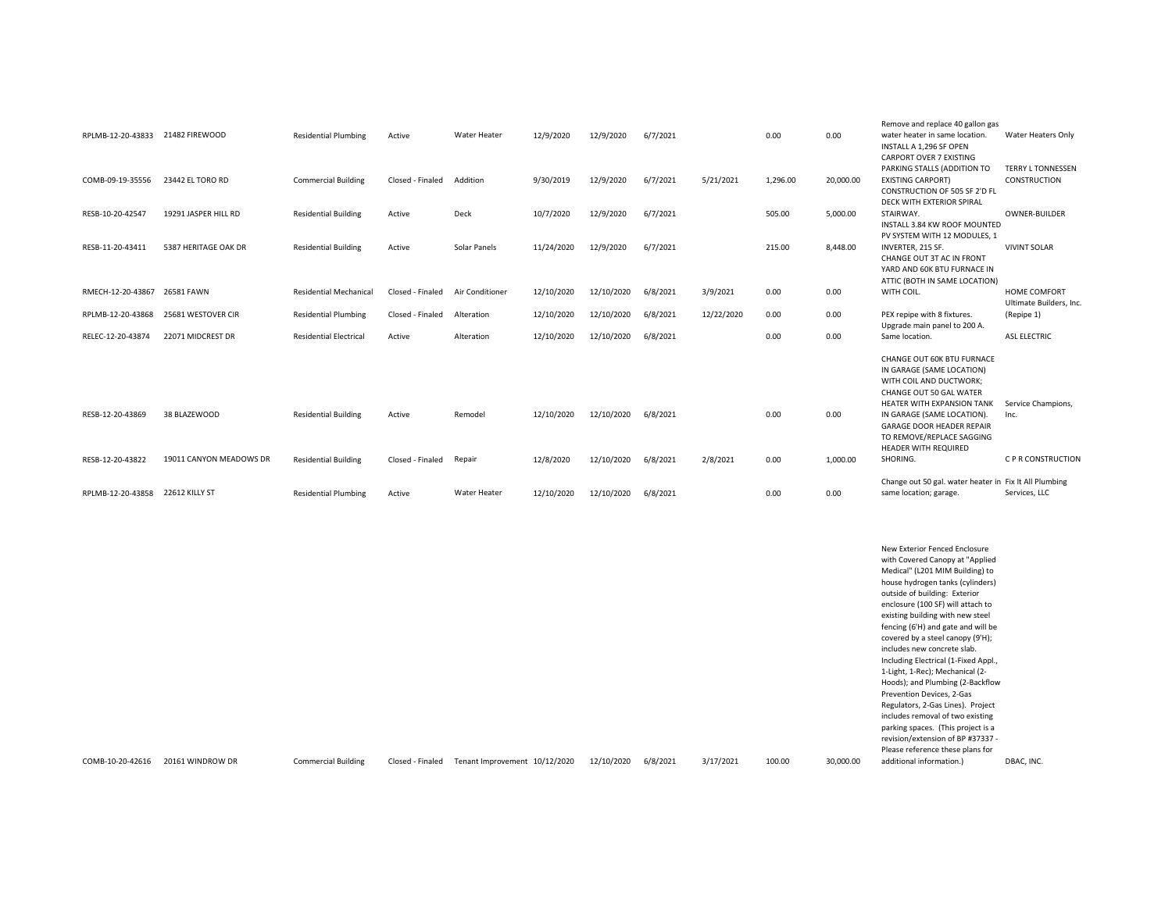|                   |                         |                               |                  |                 |            |            |          |            |          |           | Remove and replace 40 gallon gas                       |                           |
|-------------------|-------------------------|-------------------------------|------------------|-----------------|------------|------------|----------|------------|----------|-----------|--------------------------------------------------------|---------------------------|
| RPLMB-12-20-43833 | 21482 FIREWOOD          | <b>Residential Plumbing</b>   | Active           | Water Heater    | 12/9/2020  | 12/9/2020  | 6/7/2021 |            | 0.00     | 0.00      | water heater in same location.                         | Water Heaters Only        |
|                   |                         |                               |                  |                 |            |            |          |            |          |           | INSTALL A 1,296 SF OPEN                                |                           |
|                   |                         |                               |                  |                 |            |            |          |            |          |           | <b>CARPORT OVER 7 EXISTING</b>                         |                           |
|                   |                         |                               |                  |                 |            |            |          |            |          |           | PARKING STALLS (ADDITION TO                            | <b>TERRY L TONNESSEN</b>  |
| COMB-09-19-35556  | 23442 EL TORO RD        | <b>Commercial Building</b>    | Closed - Finaled | Addition        | 9/30/2019  | 12/9/2020  | 6/7/2021 | 5/21/2021  | 1,296.00 | 20,000.00 | <b>EXISTING CARPORT)</b>                               | CONSTRUCTION              |
|                   |                         |                               |                  |                 |            |            |          |            |          |           | CONSTRUCTION OF 505 SF 2'D FL                          |                           |
|                   |                         |                               |                  |                 |            |            |          |            |          |           | DECK WITH EXTERIOR SPIRAL                              |                           |
| RESB-10-20-42547  | 19291 JASPER HILL RD    | <b>Residential Building</b>   | Active           | Deck            | 10/7/2020  | 12/9/2020  | 6/7/2021 |            | 505.00   | 5.000.00  | STAIRWAY.                                              | <b>OWNER-BUILDER</b>      |
|                   |                         |                               |                  |                 |            |            |          |            |          |           | INSTALL 3.84 KW ROOF MOUNTED                           |                           |
|                   |                         |                               |                  |                 |            |            |          |            |          |           | PV SYSTEM WITH 12 MODULES. 1                           |                           |
| RESB-11-20-43411  | 5387 HERITAGE OAK DR    | <b>Residential Building</b>   | Active           | Solar Panels    | 11/24/2020 | 12/9/2020  | 6/7/2021 |            | 215.00   | 8,448.00  | INVERTER, 215 SF.                                      | <b>VIVINT SOLAR</b>       |
|                   |                         |                               |                  |                 |            |            |          |            |          |           | CHANGE OUT 3T AC IN FRONT                              |                           |
|                   |                         |                               |                  |                 |            |            |          |            |          |           | YARD AND 60K BTU FURNACE IN                            |                           |
|                   |                         |                               |                  |                 |            |            |          |            |          |           | ATTIC (BOTH IN SAME LOCATION)                          |                           |
| RMECH-12-20-43867 | 26581 FAWN              | <b>Residential Mechanical</b> | Closed - Finaled | Air Conditioner | 12/10/2020 | 12/10/2020 | 6/8/2021 | 3/9/2021   | 0.00     | 0.00      | WITH COIL.                                             | HOME COMFORT              |
|                   |                         |                               |                  |                 |            |            |          |            |          |           |                                                        | Ultimate Builders, Inc.   |
| RPLMB-12-20-43868 | 25681 WESTOVER CIR      | <b>Residential Plumbing</b>   | Closed - Finaled | Alteration      | 12/10/2020 | 12/10/2020 | 6/8/2021 | 12/22/2020 | 0.00     | 0.00      | PEX repipe with 8 fixtures.                            | (Repipe 1)                |
|                   |                         |                               |                  |                 |            |            |          |            |          |           | Upgrade main panel to 200 A.                           |                           |
| RELEC-12-20-43874 | 22071 MIDCREST DR       | <b>Residential Electrical</b> | Active           | Alteration      | 12/10/2020 | 12/10/2020 | 6/8/2021 |            | 0.00     | 0.00      | Same location.                                         | <b>ASL ELECTRIC</b>       |
|                   |                         |                               |                  |                 |            |            |          |            |          |           |                                                        |                           |
|                   |                         |                               |                  |                 |            |            |          |            |          |           | <b>CHANGE OUT 60K BTU FURNACE</b>                      |                           |
|                   |                         |                               |                  |                 |            |            |          |            |          |           | IN GARAGE (SAME LOCATION)                              |                           |
|                   |                         |                               |                  |                 |            |            |          |            |          |           | WITH COIL AND DUCTWORK:                                |                           |
|                   |                         |                               |                  |                 |            |            |          |            |          |           | CHANGE OUT 50 GAL WATER                                |                           |
|                   |                         |                               |                  |                 |            |            |          |            |          |           | <b>HEATER WITH EXPANSION TANK</b>                      | Service Champions.        |
| RESB-12-20-43869  | 38 BLAZEWOOD            | <b>Residential Building</b>   | Active           | Remodel         | 12/10/2020 | 12/10/2020 | 6/8/2021 |            | 0.00     | 0.00      | IN GARAGE (SAME LOCATION).                             | Inc.                      |
|                   |                         |                               |                  |                 |            |            |          |            |          |           | <b>GARAGE DOOR HEADER REPAIR</b>                       |                           |
|                   |                         |                               |                  |                 |            |            |          |            |          |           | TO REMOVE/REPLACE SAGGING                              |                           |
|                   |                         |                               |                  |                 |            |            |          |            |          |           | <b>HEADER WITH REQUIRED</b>                            |                           |
| RESB-12-20-43822  | 19011 CANYON MEADOWS DR | <b>Residential Building</b>   | Closed - Finaled | Repair          | 12/8/2020  | 12/10/2020 | 6/8/2021 | 2/8/2021   | 0.00     | 1,000.00  | SHORING.                                               | <b>C P R CONSTRUCTION</b> |
|                   |                         |                               |                  |                 |            |            |          |            |          |           | Change out 50 gal. water heater in Fix It All Plumbing |                           |
| RPLMB-12-20-43858 | 22612 KILLY ST          | <b>Residential Plumbing</b>   | Active           | Water Heater    | 12/10/2020 | 12/10/2020 | 6/8/2021 |            | 0.00     | 0.00      | same location; garage.                                 | Services, LLC             |
|                   |                         |                               |                  |                 |            |            |          |            |          |           |                                                        |                           |

COMB-10-20-42616 20161 WINDROW DR Commercial Building Closed - Finaled Tenant Improvement 10/12/2020 12/10/2020 6/8/2021 3/17/2021 100.00 30,000.00 New Exterior Fenced Enclosure with Covered Canopy at "Applied Medical" (L201 MIM Building) to house hydrogen tanks (cylinders) outside of building: Exterior enclosure (100 SF) will attach to existing building with new steel fencing (6'H) and gate and will be covered by a steel canopy (9'H); includes new concrete slab. Including Electrical (1-Fixed Appl., 1-Light, 1-Rec); Mechanical (2- Hoods); and Plumbing (2-Backflow Prevention Devices, 2-Gas Regulators, 2-Gas Lines). Project includes removal of two existing parking spaces. (This project is a revision/extension of BP #37337 - Please reference these plans for additional information.) DBAC, INC.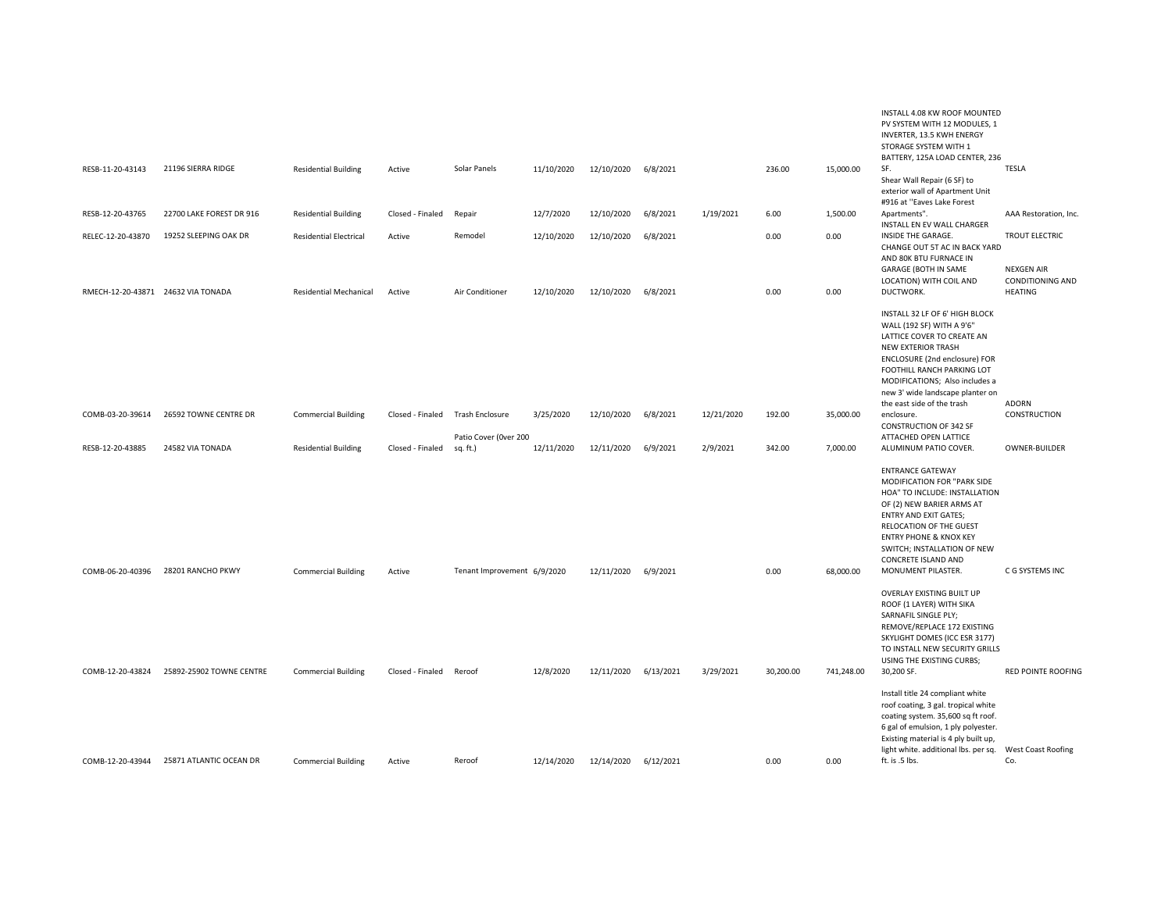|                                    |                                          |                               |                  |                                          |            |            |           |            |           |            | INSTALL 4.08 KW ROOF MOUNTED<br>PV SYSTEM WITH 12 MODULES, 1<br>INVERTER, 13.5 KWH ENERGY<br>STORAGE SYSTEM WITH 1<br>BATTERY, 125A LOAD CENTER, 236                                                                                                                                             |                                                                       |
|------------------------------------|------------------------------------------|-------------------------------|------------------|------------------------------------------|------------|------------|-----------|------------|-----------|------------|--------------------------------------------------------------------------------------------------------------------------------------------------------------------------------------------------------------------------------------------------------------------------------------------------|-----------------------------------------------------------------------|
| RESB-11-20-43143                   | 21196 SIERRA RIDGE                       | <b>Residential Building</b>   | Active           | Solar Panels                             | 11/10/2020 | 12/10/2020 | 6/8/2021  |            | 236.00    | 15,000.00  | SF.<br>Shear Wall Repair (6 SF) to<br>exterior wall of Apartment Unit<br>#916 at "Eaves Lake Forest                                                                                                                                                                                              | <b>TESLA</b>                                                          |
| RESB-12-20-43765                   | 22700 LAKE FOREST DR 916                 | <b>Residential Building</b>   | Closed - Finaled | Repair                                   | 12/7/2020  | 12/10/2020 | 6/8/2021  | 1/19/2021  | 6.00      | 1,500.00   | Apartments".<br>INSTALL EN EV WALL CHARGER                                                                                                                                                                                                                                                       | AAA Restoration, Inc.                                                 |
| RELEC-12-20-43870                  | 19252 SLEEPING OAK DR                    | <b>Residential Electrical</b> | Active           | Remodel                                  | 12/10/2020 | 12/10/2020 | 6/8/2021  |            | 0.00      | 0.00       | INSIDE THE GARAGE.<br>CHANGE OUT 5T AC IN BACK YARD<br>AND 80K BTU FURNACE IN<br><b>GARAGE (BOTH IN SAME</b><br>LOCATION) WITH COIL AND                                                                                                                                                          | <b>TROUT ELECTRIC</b><br><b>NEXGEN AIR</b><br><b>CONDITIONING AND</b> |
| RMECH-12-20-43871 24632 VIA TONADA |                                          | Residential Mechanical        | Active           | Air Conditioner                          | 12/10/2020 | 12/10/2020 | 6/8/2021  |            | 0.00      | 0.00       | DUCTWORK.                                                                                                                                                                                                                                                                                        | <b>HEATING</b>                                                        |
|                                    |                                          |                               |                  |                                          |            |            |           |            |           |            | INSTALL 32 LF OF 6' HIGH BLOCK<br>WALL (192 SF) WITH A 9'6"<br>LATTICE COVER TO CREATE AN<br><b>NEW EXTERIOR TRASH</b><br>ENCLOSURE (2nd enclosure) FOR<br>FOOTHILL RANCH PARKING LOT<br>MODIFICATIONS; Also includes a<br>new 3' wide landscape planter on<br>the east side of the trash        | <b>ADORN</b>                                                          |
| COMB-03-20-39614                   | 26592 TOWNE CENTRE DR                    | <b>Commercial Building</b>    | Closed - Finaled | Trash Enclosure<br>Patio Cover (Over 200 | 3/25/2020  | 12/10/2020 | 6/8/2021  | 12/21/2020 | 192.00    | 35,000.00  | enclosure.<br><b>CONSTRUCTION OF 342 SF</b><br>ATTACHED OPEN LATTICE                                                                                                                                                                                                                             | CONSTRUCTION                                                          |
| RESB-12-20-43885                   | 24582 VIA TONADA                         | <b>Residential Building</b>   | Closed - Finaled | sq. ft.)                                 | 12/11/2020 | 12/11/2020 | 6/9/2021  | 2/9/2021   | 342.00    | 7,000.00   | ALUMINUM PATIO COVER.                                                                                                                                                                                                                                                                            | OWNER-BUILDER                                                         |
| COMB-06-20-40396                   | 28201 RANCHO PKWY                        | <b>Commercial Building</b>    | Active           | Tenant Improvement 6/9/2020              |            | 12/11/2020 | 6/9/2021  |            | 0.00      | 68,000.00  | <b>ENTRANCE GATEWAY</b><br>MODIFICATION FOR "PARK SIDE<br>HOA" TO INCLUDE: INSTALLATION<br>OF (2) NEW BARIER ARMS AT<br><b>ENTRY AND EXIT GATES;</b><br>RELOCATION OF THE GUEST<br><b>ENTRY PHONE &amp; KNOX KEY</b><br>SWITCH; INSTALLATION OF NEW<br>CONCRETE ISLAND AND<br>MONUMENT PILASTER. | C G SYSTEMS INC                                                       |
|                                    |                                          |                               |                  |                                          |            |            |           |            |           |            | OVERLAY EXISTING BUILT UP<br>ROOF (1 LAYER) WITH SIKA<br>SARNAFIL SINGLE PLY;<br>REMOVE/REPLACE 172 EXISTING<br>SKYLIGHT DOMES (ICC ESR 3177)<br>TO INSTALL NEW SECURITY GRILLS<br>USING THE EXISTING CURBS;                                                                                     |                                                                       |
| COMB-12-20-43824                   | 25892-25902 TOWNE CENTRE                 | <b>Commercial Building</b>    | Closed - Finaled | Reroof                                   | 12/8/2020  | 12/11/2020 | 6/13/2021 | 3/29/2021  | 30,200.00 | 741,248.00 | 30,200 SF.                                                                                                                                                                                                                                                                                       | <b>RED POINTE ROOFING</b>                                             |
|                                    |                                          |                               |                  |                                          |            |            |           |            |           |            | Install title 24 compliant white<br>roof coating, 3 gal. tropical white<br>coating system. 35,600 sq ft roof.<br>6 gal of emulsion, 1 ply polyester.<br>Existing material is 4 ply built up,<br>light white. additional lbs. per sq.  West Coast Roofing                                         |                                                                       |
|                                    | COMB-12-20-43944 25871 ATLANTIC OCEAN DR | <b>Commercial Building</b>    | Active           | Reroof                                   | 12/14/2020 | 12/14/2020 | 6/12/2021 |            | 0.00      | 0.00       | ft. is .5 lbs.                                                                                                                                                                                                                                                                                   | Co.                                                                   |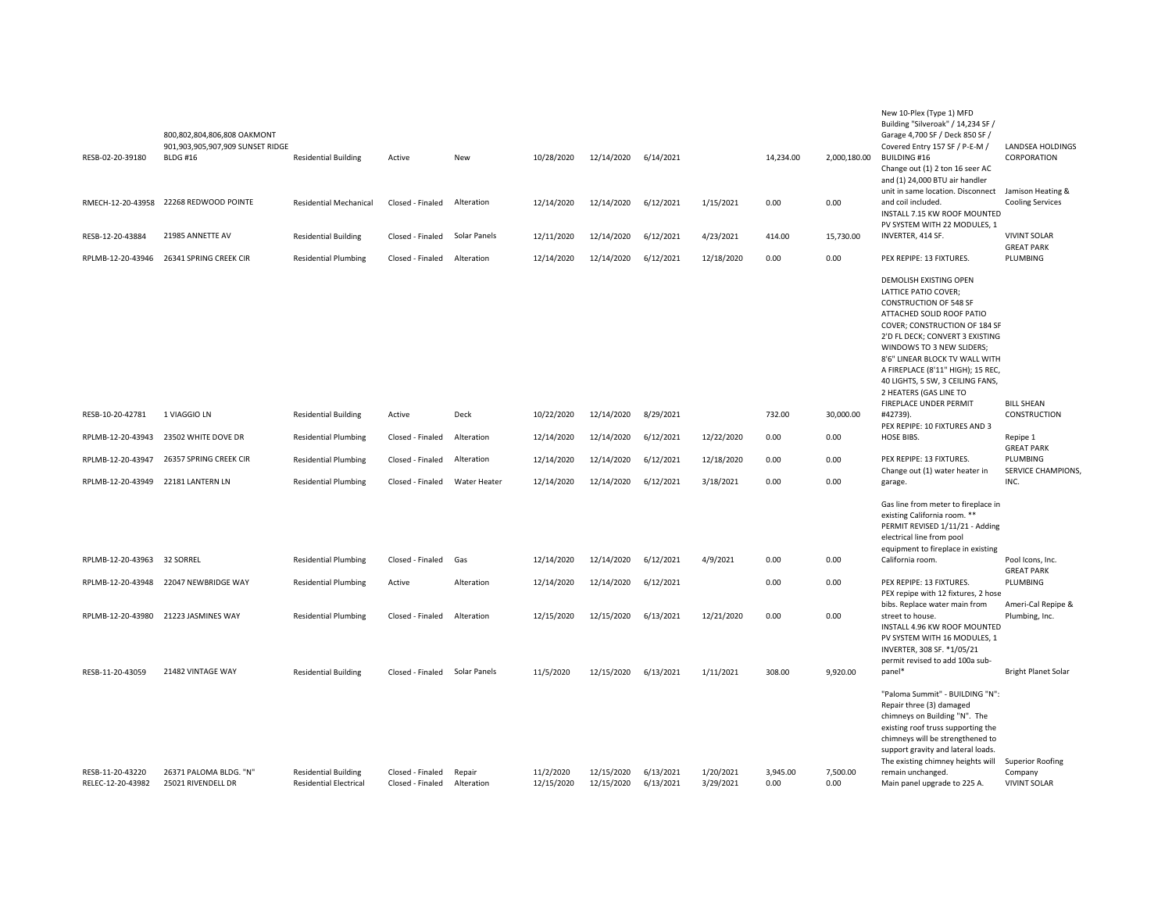| RESB-02-20-39180  | 800,802,804,806,808 OAKMONT<br>901,903,905,907,909 SUNSET RIDGE<br><b>BLDG #16</b> | <b>Residential Building</b>   | Active           | New          | 10/28/2020 | 12/14/2020 | 6/14/2021 |            | 14,234.00 | 2,000,180.00 | New 10-Plex (Type 1) MFD<br>Building "Silveroak" / 14,234 SF /<br>Garage 4,700 SF / Deck 850 SF /<br>Covered Entry 157 SF / P-E-M /<br><b>BUILDING #16</b><br>Change out (1) 2 ton 16 seer AC                                                                                                                                                      | LANDSEA HOLDINGS<br>CORPORATION          |
|-------------------|------------------------------------------------------------------------------------|-------------------------------|------------------|--------------|------------|------------|-----------|------------|-----------|--------------|----------------------------------------------------------------------------------------------------------------------------------------------------------------------------------------------------------------------------------------------------------------------------------------------------------------------------------------------------|------------------------------------------|
| RMECH-12-20-43958 | 22268 REDWOOD POINTE                                                               | <b>Residential Mechanical</b> | Closed - Finaled | Alteration   | 12/14/2020 | 12/14/2020 | 6/12/2021 | 1/15/2021  | 0.00      | 0.00         | and (1) 24,000 BTU air handler<br>unit in same location. Disconnect Jamison Heating &<br>and coil included.<br>INSTALL 7.15 KW ROOF MOUNTED<br>PV SYSTEM WITH 22 MODULES, 1                                                                                                                                                                        | <b>Cooling Services</b>                  |
| RESB-12-20-43884  | 21985 ANNETTE AV                                                                   | <b>Residential Building</b>   | Closed - Finaled | Solar Panels | 12/11/2020 | 12/14/2020 | 6/12/2021 | 4/23/2021  | 414.00    | 15,730.00    | INVERTER, 414 SF.                                                                                                                                                                                                                                                                                                                                  | <b>VIVINT SOLAR</b><br><b>GREAT PARK</b> |
| RPLMB-12-20-43946 | 26341 SPRING CREEK CIR                                                             | <b>Residential Plumbing</b>   | Closed - Finaled | Alteration   | 12/14/2020 | 12/14/2020 | 6/12/2021 | 12/18/2020 | 0.00      | 0.00         | PEX REPIPE: 13 FIXTURES.                                                                                                                                                                                                                                                                                                                           | PLUMBING                                 |
|                   |                                                                                    |                               |                  |              |            |            |           |            |           |              | DEMOLISH EXISTING OPEN<br>LATTICE PATIO COVER;<br><b>CONSTRUCTION OF 548 SF</b><br>ATTACHED SOLID ROOF PATIO<br>COVER; CONSTRUCTION OF 184 SF<br>2'D FL DECK; CONVERT 3 EXISTING<br>WINDOWS TO 3 NEW SLIDERS;<br>8'6" LINEAR BLOCK TV WALL WITH<br>A FIREPLACE (8'11" HIGH); 15 REC,<br>40 LIGHTS, 5 SW, 3 CEILING FANS,<br>2 HEATERS (GAS LINE TO |                                          |
| RESB-10-20-42781  | 1 VIAGGIO LN                                                                       | <b>Residential Building</b>   | Active           | Deck         | 10/22/2020 | 12/14/2020 | 8/29/2021 |            | 732.00    | 30,000.00    | FIREPLACE UNDER PERMIT<br>#42739).<br>PEX REPIPE: 10 FIXTURES AND 3                                                                                                                                                                                                                                                                                | <b>BILL SHEAN</b><br>CONSTRUCTION        |
| RPLMB-12-20-43943 | 23502 WHITE DOVE DR                                                                | <b>Residential Plumbing</b>   | Closed - Finaled | Alteration   | 12/14/2020 | 12/14/2020 | 6/12/2021 | 12/22/2020 | 0.00      | 0.00         | HOSE BIBS.                                                                                                                                                                                                                                                                                                                                         | Repipe 1<br><b>GREAT PARK</b>            |
| RPLMB-12-20-43947 | 26357 SPRING CREEK CIR                                                             | <b>Residential Plumbing</b>   | Closed - Finaled | Alteration   | 12/14/2020 | 12/14/2020 | 6/12/2021 | 12/18/2020 | 0.00      | 0.00         | PEX REPIPE: 13 FIXTURES.<br>Change out (1) water heater in                                                                                                                                                                                                                                                                                         | PLUMBING<br>SERVICE CHAMPIONS,           |
| RPLMB-12-20-43949 | 22181 LANTERN LN                                                                   | <b>Residential Plumbing</b>   | Closed - Finaled | Water Heater | 12/14/2020 | 12/14/2020 | 6/12/2021 | 3/18/2021  | 0.00      | 0.00         | garage.                                                                                                                                                                                                                                                                                                                                            | INC.                                     |
|                   |                                                                                    |                               |                  |              |            |            |           |            |           |              | Gas line from meter to fireplace in<br>existing California room. **<br>PERMIT REVISED 1/11/21 - Adding<br>electrical line from pool<br>equipment to fireplace in existing                                                                                                                                                                          |                                          |
| RPLMB-12-20-43963 | 32 SORREL                                                                          | <b>Residential Plumbing</b>   | Closed - Finaled | Gas          | 12/14/2020 | 12/14/2020 | 6/12/2021 | 4/9/2021   | 0.00      | 0.00         | California room.                                                                                                                                                                                                                                                                                                                                   | Pool Icons, Inc.<br><b>GREAT PARK</b>    |
| RPLMB-12-20-43948 | 22047 NEWBRIDGE WAY                                                                | <b>Residential Plumbing</b>   | Active           | Alteration   | 12/14/2020 | 12/14/2020 | 6/12/2021 |            | 0.00      | 0.00         | PEX REPIPE: 13 FIXTURES.<br>PEX repipe with 12 fixtures, 2 hose                                                                                                                                                                                                                                                                                    | PLUMBING                                 |
| RPLMB-12-20-43980 | 21223 JASMINES WAY                                                                 | <b>Residential Plumbing</b>   | Closed - Finaled | Alteration   | 12/15/2020 | 12/15/2020 | 6/13/2021 | 12/21/2020 | 0.00      | 0.00         | bibs. Replace water main from<br>street to house.<br>INSTALL 4.96 KW ROOF MOUNTED<br>PV SYSTEM WITH 16 MODULES, 1<br>INVERTER, 308 SF. * 1/05/21<br>permit revised to add 100a sub-                                                                                                                                                                | Ameri-Cal Repipe &<br>Plumbing, Inc.     |
| RESB-11-20-43059  | 21482 VINTAGE WAY                                                                  | <b>Residential Building</b>   | Closed - Finaled | Solar Panels | 11/5/2020  | 12/15/2020 | 6/13/2021 | 1/11/2021  | 308.00    | 9,920.00     | panel*                                                                                                                                                                                                                                                                                                                                             | <b>Bright Planet Solar</b>               |
| RESB-11-20-43220  | 26371 PALOMA BLDG. "N"                                                             | <b>Residential Building</b>   | Closed - Finaled | Repair       | 11/2/2020  | 12/15/2020 | 6/13/2021 | 1/20/2021  | 3,945.00  | 7,500.00     | "Paloma Summit" - BUILDING "N":<br>Repair three (3) damaged<br>chimneys on Building "N". The<br>existing roof truss supporting the<br>chimneys will be strengthened to<br>support gravity and lateral loads.<br>The existing chimney heights will<br>remain unchanged.                                                                             | Superior Roofing<br>Company              |
| RELEC-12-20-43982 | 25021 RIVENDELL DR                                                                 | <b>Residential Electrical</b> | Closed - Finaled | Alteration   | 12/15/2020 | 12/15/2020 | 6/13/2021 | 3/29/2021  | 0.00      | 0.00         | Main panel upgrade to 225 A.                                                                                                                                                                                                                                                                                                                       | <b>VIVINT SOLAR</b>                      |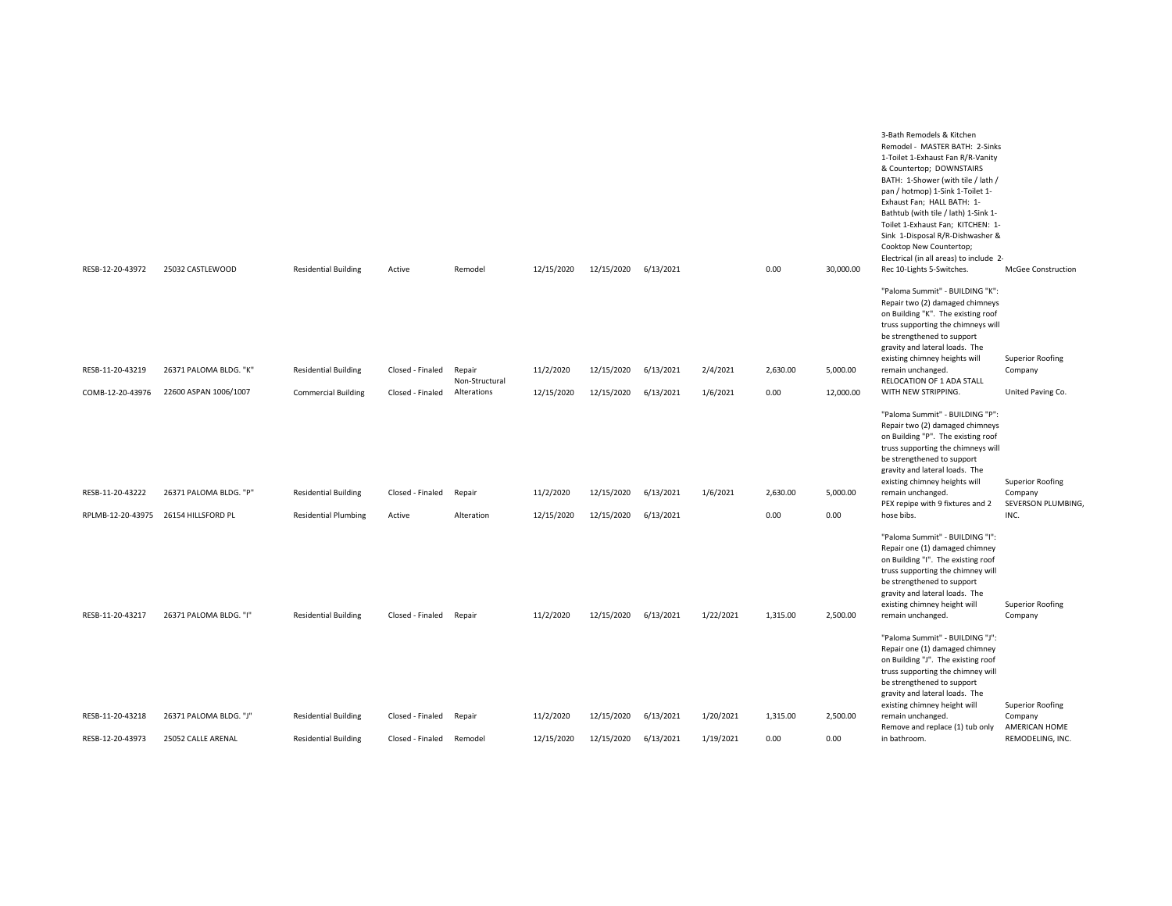| RESB-12-20-43972  |                        |                             |                  |                          |            |                      |           |           | 0.00     |           | 3-Bath Remodels & Kitchen<br>Remodel - MASTER BATH: 2-Sinks<br>1-Toilet 1-Exhaust Fan R/R-Vanity<br>& Countertop; DOWNSTAIRS<br>BATH: 1-Shower (with tile / lath /<br>pan / hotmop) 1-Sink 1-Toilet 1-<br>Exhaust Fan; HALL BATH: 1-<br>Bathtub (with tile / lath) 1-Sink 1-<br>Toilet 1-Exhaust Fan; KITCHEN: 1-<br>Sink 1-Disposal R/R-Dishwasher &<br>Cooktop New Countertop;<br>Electrical (in all areas) to include 2- | <b>McGee Construction</b>          |
|-------------------|------------------------|-----------------------------|------------------|--------------------------|------------|----------------------|-----------|-----------|----------|-----------|-----------------------------------------------------------------------------------------------------------------------------------------------------------------------------------------------------------------------------------------------------------------------------------------------------------------------------------------------------------------------------------------------------------------------------|------------------------------------|
|                   | 25032 CASTLEWOOD       | <b>Residential Building</b> | Active           | Remodel                  | 12/15/2020 | 12/15/2020 6/13/2021 |           |           |          | 30,000.00 | Rec 10-Lights 5-Switches.<br>"Paloma Summit" - BUILDING "K":<br>Repair two (2) damaged chimneys                                                                                                                                                                                                                                                                                                                             |                                    |
|                   |                        |                             |                  |                          |            |                      |           |           |          |           | on Building "K". The existing roof<br>truss supporting the chimneys will<br>be strengthened to support                                                                                                                                                                                                                                                                                                                      |                                    |
|                   |                        |                             |                  |                          |            |                      |           |           |          |           | gravity and lateral loads. The<br>existing chimney heights will                                                                                                                                                                                                                                                                                                                                                             | <b>Superior Roofing</b>            |
| RESB-11-20-43219  | 26371 PALOMA BLDG. "K" | <b>Residential Building</b> | Closed - Finaled | Repair<br>Non-Structural | 11/2/2020  | 12/15/2020           | 6/13/2021 | 2/4/2021  | 2,630.00 | 5,000.00  | remain unchanged.<br>RELOCATION OF 1 ADA STALL                                                                                                                                                                                                                                                                                                                                                                              | Company                            |
| COMB-12-20-43976  | 22600 ASPAN 1006/1007  | <b>Commercial Building</b>  | Closed - Finaled | Alterations              | 12/15/2020 | 12/15/2020           | 6/13/2021 | 1/6/2021  | 0.00     | 12,000.00 | WITH NEW STRIPPING.                                                                                                                                                                                                                                                                                                                                                                                                         | United Paving Co.                  |
|                   |                        |                             |                  |                          |            |                      |           |           |          |           | "Paloma Summit" - BUILDING "P":<br>Repair two (2) damaged chimneys<br>on Building "P". The existing roof<br>truss supporting the chimneys will<br>be strengthened to support<br>gravity and lateral loads. The<br>existing chimney heights will                                                                                                                                                                             | <b>Superior Roofing</b>            |
| RESB-11-20-43222  | 26371 PALOMA BLDG. "P" | <b>Residential Building</b> | Closed - Finaled | Repair                   | 11/2/2020  | 12/15/2020           | 6/13/2021 | 1/6/2021  | 2,630.00 | 5,000.00  | remain unchanged.<br>PEX repipe with 9 fixtures and 2                                                                                                                                                                                                                                                                                                                                                                       | Company<br>SEVERSON PLUMBING,      |
| RPLMB-12-20-43975 | 26154 HILLSFORD PL     | <b>Residential Plumbing</b> | Active           | Alteration               | 12/15/2020 | 12/15/2020           | 6/13/2021 |           | 0.00     | 0.00      | hose bibs.                                                                                                                                                                                                                                                                                                                                                                                                                  | INC.                               |
| RESB-11-20-43217  | 26371 PALOMA BLDG. "I" | <b>Residential Building</b> | Closed - Finaled | Repair                   | 11/2/2020  | 12/15/2020           | 6/13/2021 | 1/22/2021 | 1,315.00 | 2,500.00  | "Paloma Summit" - BUILDING "I":<br>Repair one (1) damaged chimney<br>on Building "I". The existing roof<br>truss supporting the chimney will<br>be strengthened to support<br>gravity and lateral loads. The<br>existing chimney height will<br>remain unchanged.                                                                                                                                                           | <b>Superior Roofing</b><br>Company |
|                   |                        |                             |                  |                          |            |                      |           |           |          |           | "Paloma Summit" - BUILDING "J":<br>Repair one (1) damaged chimney<br>on Building "J". The existing roof<br>truss supporting the chimney will<br>be strengthened to support<br>gravity and lateral loads. The<br>existing chimney height will                                                                                                                                                                                | <b>Superior Roofing</b>            |
| RESB-11-20-43218  | 26371 PALOMA BLDG. "J" | <b>Residential Building</b> | Closed - Finaled | Repair                   | 11/2/2020  | 12/15/2020           | 6/13/2021 | 1/20/2021 | 1,315.00 | 2,500.00  | remain unchanged.<br>Remove and replace (1) tub only                                                                                                                                                                                                                                                                                                                                                                        | Company<br>AMERICAN HOME           |
| RESB-12-20-43973  | 25052 CALLE ARENAL     | <b>Residential Building</b> | Closed - Finaled | Remodel                  | 12/15/2020 | 12/15/2020           | 6/13/2021 | 1/19/2021 | 0.00     | 0.00      | in bathroom.                                                                                                                                                                                                                                                                                                                                                                                                                | REMODELING, INC.                   |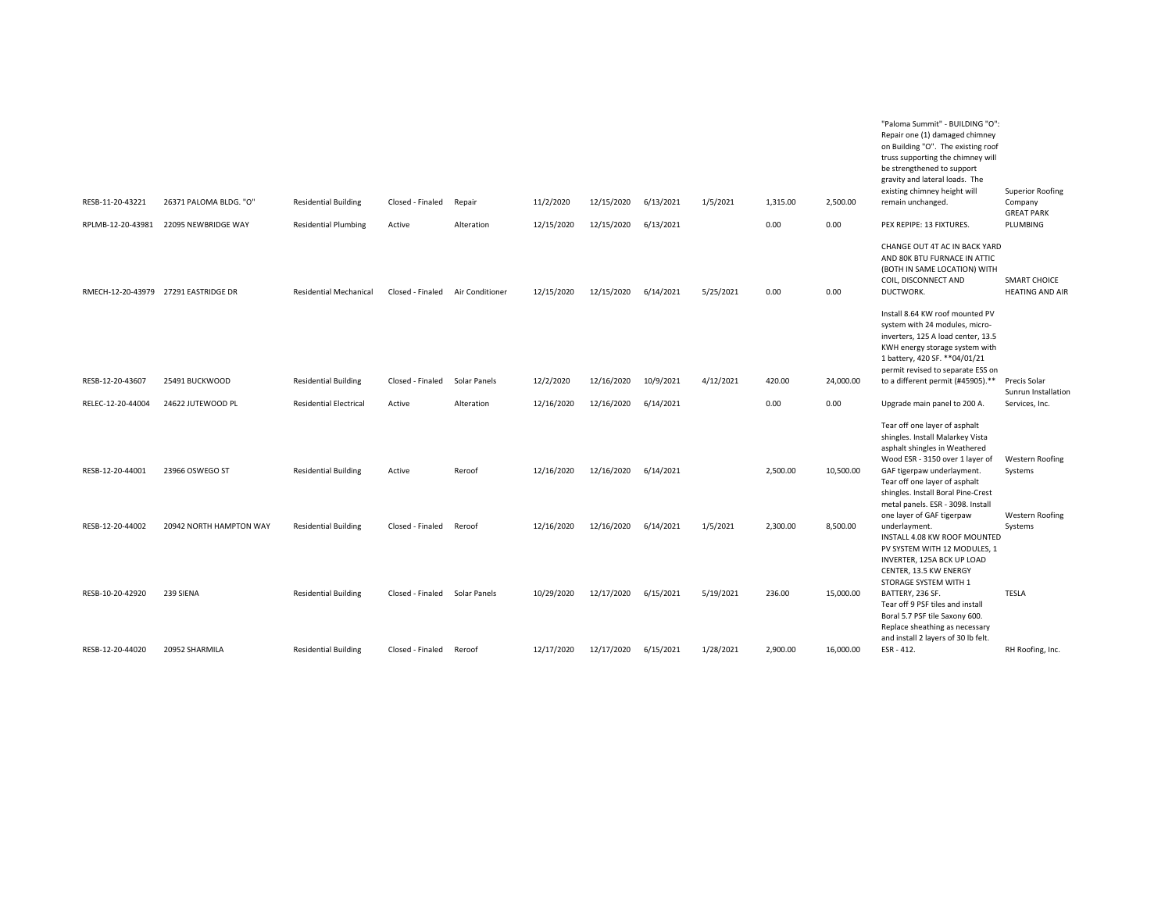| RESB-11-20-43221<br>RPLMB-12-20-43981 | 26371 PALOMA BLDG. "O"<br>22095 NEWBRIDGE WAY | <b>Residential Building</b><br><b>Residential Plumbing</b> | Closed - Finaled<br>Active | Repair<br>Alteration | 11/2/2020<br>12/15/2020 | 12/15/2020<br>12/15/2020 | 6/13/2021<br>6/13/2021 | 1/5/2021  | 1,315.00<br>0.00 | 2,500.00<br>0.00 | "Paloma Summit" - BUILDING "O":<br>Repair one (1) damaged chimney<br>on Building "O". The existing roof<br>truss supporting the chimney will<br>be strengthened to support<br>gravity and lateral loads. The<br>existing chimney height will<br>remain unchanged.<br>PEX REPIPE: 13 FIXTURES. | Superior Roofing<br>Company<br><b>GREAT PARK</b><br>PLUMBING |
|---------------------------------------|-----------------------------------------------|------------------------------------------------------------|----------------------------|----------------------|-------------------------|--------------------------|------------------------|-----------|------------------|------------------|-----------------------------------------------------------------------------------------------------------------------------------------------------------------------------------------------------------------------------------------------------------------------------------------------|--------------------------------------------------------------|
|                                       | RMECH-12-20-43979 27291 EASTRIDGE DR          | <b>Residential Mechanical</b>                              | Closed - Finaled           | Air Conditioner      | 12/15/2020              | 12/15/2020               | 6/14/2021              | 5/25/2021 | 0.00             | 0.00             | CHANGE OUT 4T AC IN BACK YARD<br>AND 80K BTU FURNACE IN ATTIC<br>(BOTH IN SAME LOCATION) WITH<br>COIL, DISCONNECT AND<br>DUCTWORK.                                                                                                                                                            | SMART CHOICE<br><b>HEATING AND AIR</b>                       |
| RESB-12-20-43607                      | 25491 BUCKWOOD                                | <b>Residential Building</b>                                | Closed - Finaled           | Solar Panels         | 12/2/2020               | 12/16/2020               | 10/9/2021              | 4/12/2021 | 420.00           | 24,000.00        | Install 8.64 KW roof mounted PV<br>system with 24 modules, micro-<br>inverters, 125 A load center, 13.5<br>KWH energy storage system with<br>1 battery, 420 SF. ** 04/01/21<br>permit revised to separate ESS on<br>to a different permit (#45905).**                                         | Precis Solar                                                 |
| RELEC-12-20-44004                     | 24622 JUTEWOOD PL                             | <b>Residential Electrical</b>                              | Active                     | Alteration           | 12/16/2020              | 12/16/2020               | 6/14/2021              |           | 0.00             | 0.00             | Upgrade main panel to 200 A.                                                                                                                                                                                                                                                                  | Sunrun Installation<br>Services, Inc.                        |
| RESB-12-20-44001                      | 23966 OSWEGO ST                               | <b>Residential Building</b>                                | Active                     | Reroof               | 12/16/2020              | 12/16/2020               | 6/14/2021              |           | 2,500.00         | 10.500.00        | Tear off one layer of asphalt<br>shingles. Install Malarkey Vista<br>asphalt shingles in Weathered<br>Wood ESR - 3150 over 1 layer of<br>GAF tigerpaw underlayment.<br>Tear off one layer of asphalt<br>shingles. Install Boral Pine-Crest<br>metal panels. ESR - 3098. Install               | Western Roofing<br>Systems                                   |
| RESB-12-20-44002                      | 20942 NORTH HAMPTON WAY                       | <b>Residential Building</b>                                | Closed - Finaled           | Reroof               | 12/16/2020              | 12/16/2020               | 6/14/2021              | 1/5/2021  | 2,300.00         | 8,500.00         | one layer of GAF tigerpaw<br>underlayment.<br>INSTALL 4.08 KW ROOF MOUNTED<br>PV SYSTEM WITH 12 MODULES, 1<br>INVERTER, 125A BCK UP LOAD<br>CENTER, 13.5 KW ENERGY                                                                                                                            | Western Roofing<br>Systems                                   |
| RESB-10-20-42920                      | 239 SIENA                                     | <b>Residential Building</b>                                | Closed - Finaled           | Solar Panels         | 10/29/2020              | 12/17/2020               | 6/15/2021              | 5/19/2021 | 236.00           | 15,000.00        | STORAGE SYSTEM WITH 1<br>BATTERY, 236 SF.<br>Tear off 9 PSF tiles and install<br>Boral 5.7 PSF tile Saxony 600.<br>Replace sheathing as necessary                                                                                                                                             | <b>TESLA</b>                                                 |
| RESB-12-20-44020                      | 20952 SHARMILA                                | <b>Residential Building</b>                                | Closed - Finaled           | Reroof               | 12/17/2020              | 12/17/2020               | 6/15/2021              | 1/28/2021 | 2,900.00         | 16,000.00        | and install 2 layers of 30 lb felt.<br>ESR - 412.                                                                                                                                                                                                                                             | RH Roofing, Inc.                                             |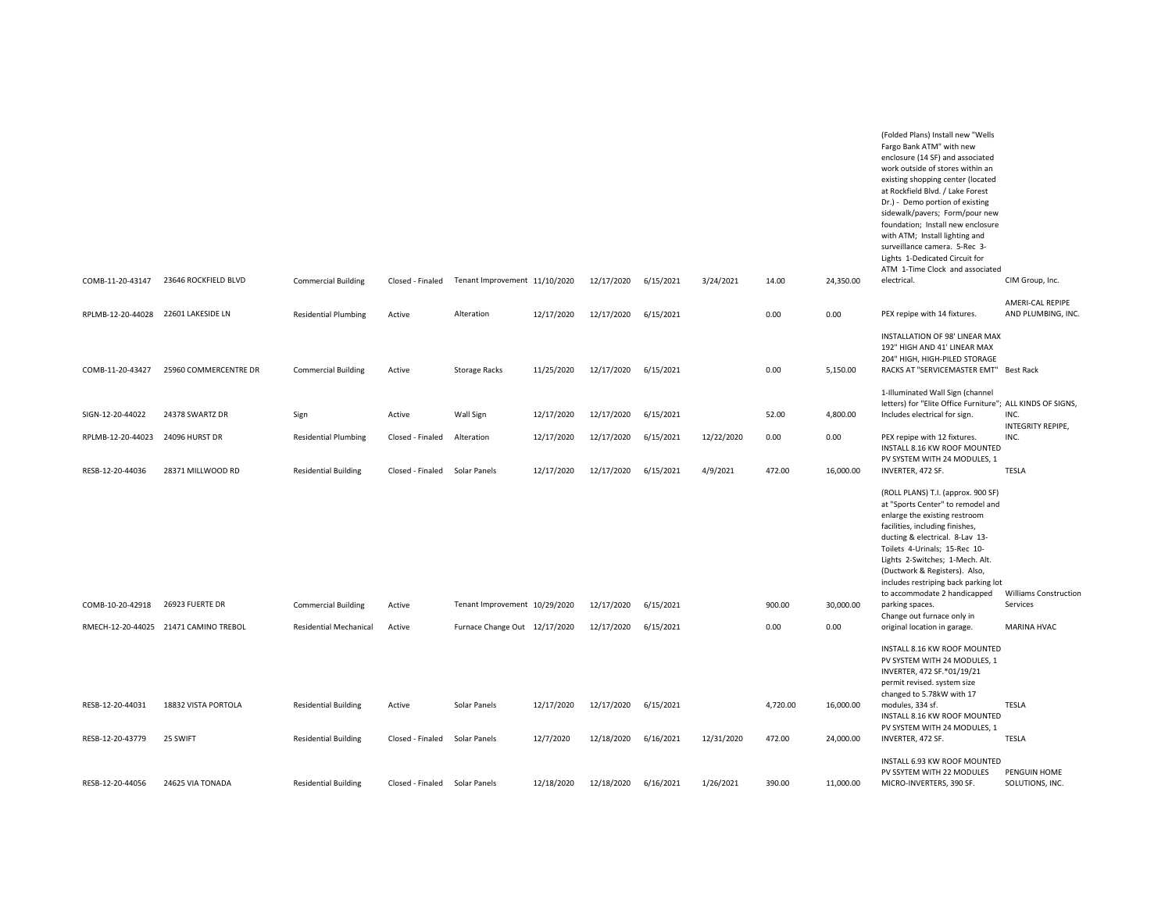| COMB-11-20-43147                    | 23646 ROCKFIELD BLVD                  | <b>Commercial Building</b>    | Closed - Finaled              | Tenant Improvement 11/10/2020 |            | 12/17/2020 | 6/15/2021 | 3/24/2021  | 14.00    | 24,350.00 | (Folded Plans) Install new "Wells<br>Fargo Bank ATM" with new<br>enclosure (14 SF) and associated<br>work outside of stores within an<br>existing shopping center (located<br>at Rockfield Blvd. / Lake Forest<br>Dr.) - Demo portion of existing<br>sidewalk/pavers; Form/pour new<br>foundation; Install new enclosure<br>with ATM; Install lighting and<br>surveillance camera. 5-Rec 3-<br>Lights 1-Dedicated Circuit for<br>ATM 1-Time Clock and associated<br>electrical. | CIM Group, Inc.                          |
|-------------------------------------|---------------------------------------|-------------------------------|-------------------------------|-------------------------------|------------|------------|-----------|------------|----------|-----------|---------------------------------------------------------------------------------------------------------------------------------------------------------------------------------------------------------------------------------------------------------------------------------------------------------------------------------------------------------------------------------------------------------------------------------------------------------------------------------|------------------------------------------|
|                                     |                                       |                               |                               |                               |            |            |           |            |          |           |                                                                                                                                                                                                                                                                                                                                                                                                                                                                                 | AMERI-CAL REPIPE                         |
| RPLMB-12-20-44028 22601 LAKESIDE LN |                                       | <b>Residential Plumbing</b>   | Active                        | Alteration                    | 12/17/2020 | 12/17/2020 | 6/15/2021 |            | 0.00     | 0.00      | PEX repipe with 14 fixtures.                                                                                                                                                                                                                                                                                                                                                                                                                                                    | AND PLUMBING, INC.                       |
| COMB-11-20-43427                    | 25960 COMMERCENTRE DR                 | <b>Commercial Building</b>    | Active                        | Storage Racks                 | 11/25/2020 | 12/17/2020 | 6/15/2021 |            | 0.00     | 5,150.00  | INSTALLATION OF 98' LINEAR MAX<br>192" HIGH AND 41' LINEAR MAX<br>204" HIGH, HIGH-PILED STORAGE<br>RACKS AT "SERVICEMASTER EMT" Best Rack                                                                                                                                                                                                                                                                                                                                       |                                          |
|                                     |                                       |                               |                               |                               |            |            |           |            |          |           | 1-Illuminated Wall Sign (channel                                                                                                                                                                                                                                                                                                                                                                                                                                                |                                          |
| SIGN-12-20-44022                    | 24378 SWARTZ DR                       | Sign                          | Active                        | Wall Sign                     | 12/17/2020 | 12/17/2020 | 6/15/2021 |            | 52.00    | 4,800.00  | letters) for "Elite Office Furniture"; ALL KINDS OF SIGNS,<br>Includes electrical for sign.                                                                                                                                                                                                                                                                                                                                                                                     | INC.<br>INTEGRITY REPIPE,                |
| RPLMB-12-20-44023                   | 24096 HURST DR                        | <b>Residential Plumbing</b>   | Closed - Finaled              | Alteration                    | 12/17/2020 | 12/17/2020 | 6/15/2021 | 12/22/2020 | 0.00     | 0.00      | PEX repipe with 12 fixtures.<br>INSTALL 8.16 KW ROOF MOUNTED<br>PV SYSTEM WITH 24 MODULES, 1                                                                                                                                                                                                                                                                                                                                                                                    | INC.                                     |
| RESB-12-20-44036                    | 28371 MILLWOOD RD                     | <b>Residential Building</b>   | Closed - Finaled Solar Panels |                               | 12/17/2020 | 12/17/2020 | 6/15/2021 | 4/9/2021   | 472.00   | 16,000.00 | INVERTER, 472 SF.                                                                                                                                                                                                                                                                                                                                                                                                                                                               | <b>TESLA</b>                             |
| COMB-10-20-42918                    | 26923 FUERTE DR                       | <b>Commercial Building</b>    | Active                        | Tenant Improvement 10/29/2020 |            | 12/17/2020 | 6/15/2021 |            | 900.00   | 30,000.00 | (ROLL PLANS) T.I. (approx. 900 SF)<br>at "Sports Center" to remodel and<br>enlarge the existing restroom<br>facilities, including finishes,<br>ducting & electrical. 8-Lav 13-<br>Toilets 4-Urinals; 15-Rec 10-<br>Lights 2-Switches; 1-Mech. Alt.<br>(Ductwork & Registers). Also,<br>includes restriping back parking lot<br>to accommodate 2 handicapped<br>parking spaces.                                                                                                  | <b>Williams Construction</b><br>Services |
|                                     | RMECH-12-20-44025 21471 CAMINO TREBOL | <b>Residential Mechanical</b> | Active                        | Furnace Change Out 12/17/2020 |            | 12/17/2020 | 6/15/2021 |            | 0.00     | 0.00      | Change out furnace only in<br>original location in garage.                                                                                                                                                                                                                                                                                                                                                                                                                      | <b>MARINA HVAC</b>                       |
| RESB-12-20-44031                    | 18832 VISTA PORTOLA                   | <b>Residential Building</b>   | Active                        | Solar Panels                  | 12/17/2020 | 12/17/2020 | 6/15/2021 |            | 4,720.00 | 16,000.00 | INSTALL 8.16 KW ROOF MOUNTED<br>PV SYSTEM WITH 24 MODULES, 1<br>INVERTER, 472 SF.*01/19/21<br>permit revised. system size<br>changed to 5.78kW with 17<br>modules, 334 sf.                                                                                                                                                                                                                                                                                                      | <b>TESLA</b>                             |
|                                     |                                       |                               |                               |                               |            |            |           |            |          |           | INSTALL 8.16 KW ROOF MOUNTED<br>PV SYSTEM WITH 24 MODULES, 1                                                                                                                                                                                                                                                                                                                                                                                                                    |                                          |
| RESB-12-20-43779                    | 25 SWIFT                              | <b>Residential Building</b>   | Closed - Finaled              | Solar Panels                  | 12/7/2020  | 12/18/2020 | 6/16/2021 | 12/31/2020 | 472.00   | 24,000.00 | INVERTER, 472 SF.                                                                                                                                                                                                                                                                                                                                                                                                                                                               | <b>TESLA</b>                             |
| RESB-12-20-44056                    | 24625 VIA TONADA                      | <b>Residential Building</b>   | Closed - Finaled              | Solar Panels                  | 12/18/2020 | 12/18/2020 | 6/16/2021 | 1/26/2021  | 390.00   | 11,000.00 | INSTALL 6.93 KW ROOF MOUNTED<br>PV SSYTEM WITH 22 MODULES<br>MICRO-INVERTERS, 390 SF.                                                                                                                                                                                                                                                                                                                                                                                           | PENGUIN HOME<br>SOLUTIONS, INC.          |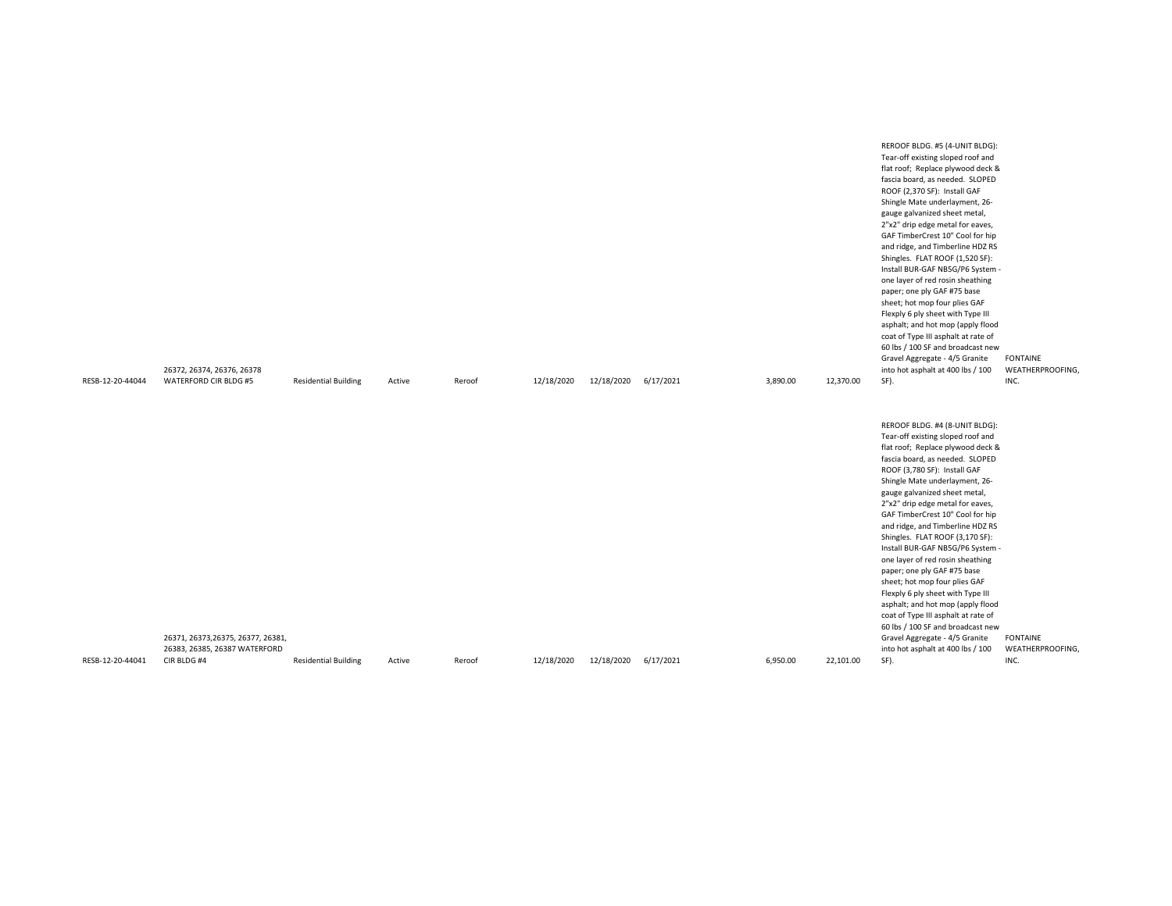| RESB-12-20-44044 | 26372, 26374, 26376, 26378<br>WATERFORD CIR BLDG #5                                | <b>Residential Building</b> | Active | Reroof | 12/18/2020 | 12/18/2020 | 6/17/2021 | 3,890.00 | 12,370.00 | REROOF BLDG. #5 (4-UNIT BLDG):<br>Tear-off existing sloped roof and<br>flat roof; Replace plywood deck &<br>fascia board, as needed. SLOPED<br>ROOF (2,370 SF): Install GAF<br>Shingle Mate underlayment, 26-<br>gauge galvanized sheet metal,<br>2"x2" drip edge metal for eaves,<br>GAF TimberCrest 10" Cool for hip<br>and ridge, and Timberline HDZ RS<br>Shingles. FLAT ROOF (1,520 SF):<br>Install BUR-GAF NB5G/P6 System -<br>one layer of red rosin sheathing<br>paper; one ply GAF #75 base<br>sheet; hot mop four plies GAF<br>Flexply 6 ply sheet with Type III<br>asphalt; and hot mop (apply flood<br>coat of Type III asphalt at rate of<br>60 lbs / 100 SF and broadcast new<br>Gravel Aggregate - 4/5 Granite<br>into hot asphalt at 400 lbs / 100<br>SF). | <b>FONTAINE</b><br>WEATHERPROOFING,<br>INC. |
|------------------|------------------------------------------------------------------------------------|-----------------------------|--------|--------|------------|------------|-----------|----------|-----------|----------------------------------------------------------------------------------------------------------------------------------------------------------------------------------------------------------------------------------------------------------------------------------------------------------------------------------------------------------------------------------------------------------------------------------------------------------------------------------------------------------------------------------------------------------------------------------------------------------------------------------------------------------------------------------------------------------------------------------------------------------------------------|---------------------------------------------|
| RESB-12-20-44041 | 26371, 26373, 26375, 26377, 26381,<br>26383, 26385, 26387 WATERFORD<br>CIR BLDG #4 | <b>Residential Building</b> | Active | Reroof | 12/18/2020 | 12/18/2020 | 6/17/2021 | 6,950.00 | 22,101.00 | REROOF BLDG. #4 (8-UNIT BLDG):<br>Tear-off existing sloped roof and<br>flat roof; Replace plywood deck &<br>fascia board, as needed. SLOPED<br>ROOF (3,780 SF): Install GAF<br>Shingle Mate underlayment, 26-<br>gauge galvanized sheet metal,<br>2"x2" drip edge metal for eaves,<br>GAF TimberCrest 10" Cool for hip<br>and ridge, and Timberline HDZ RS<br>Shingles. FLAT ROOF (3,170 SF):<br>Install BUR-GAF NB5G/P6 System -<br>one layer of red rosin sheathing<br>paper; one ply GAF #75 base<br>sheet; hot mop four plies GAF<br>Flexply 6 ply sheet with Type III<br>asphalt; and hot mop (apply flood<br>coat of Type III asphalt at rate of<br>60 lbs / 100 SF and broadcast new<br>Gravel Aggregate - 4/5 Granite<br>into hot asphalt at 400 lbs / 100<br>SF). | <b>FONTAINE</b><br>WEATHERPROOFING,<br>INC. |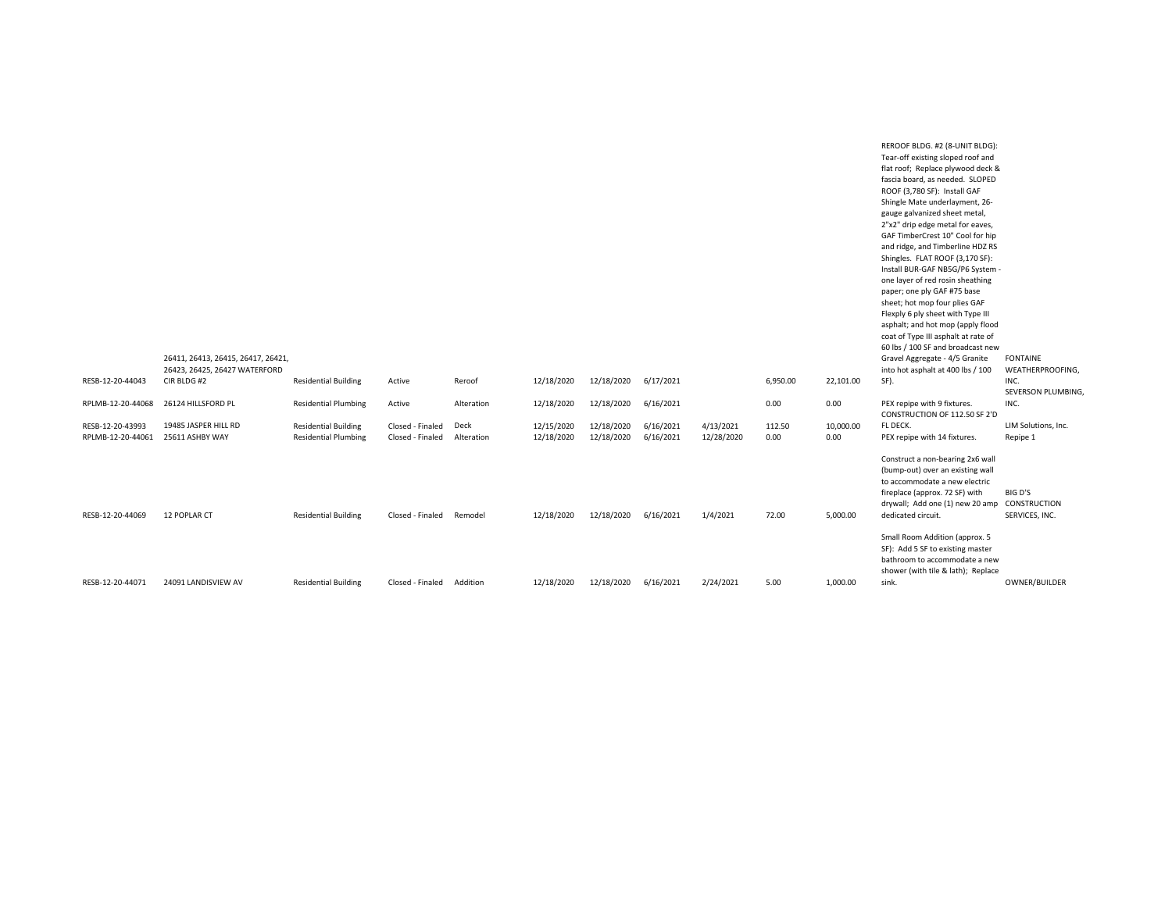|                   | 26411, 26413, 26415, 26417, 26421,<br>26423, 26425, 26427 WATERFORD |                             |                  |            |            |            |           |            |          |           | REROOF BLDG. #2 (8-UNIT BLDG):<br>Tear-off existing sloped roof and<br>flat roof; Replace plywood deck &<br>fascia board, as needed. SLOPED<br>ROOF (3,780 SF): Install GAF<br>Shingle Mate underlayment, 26-<br>gauge galvanized sheet metal,<br>2"x2" drip edge metal for eaves,<br>GAF TimberCrest 10" Cool for hip<br>and ridge, and Timberline HDZ RS<br>Shingles. FLAT ROOF (3,170 SF):<br>Install BUR-GAF NB5G/P6 System -<br>one layer of red rosin sheathing<br>paper; one ply GAF #75 base<br>sheet; hot mop four plies GAF<br>Flexply 6 ply sheet with Type III<br>asphalt; and hot mop (apply flood<br>coat of Type III asphalt at rate of<br>60 lbs / 100 SF and broadcast new<br>Gravel Aggregate - 4/5 Granite<br>into hot asphalt at 400 lbs / 100 | <b>FONTAINE</b><br>WEATHERPROOFING, |
|-------------------|---------------------------------------------------------------------|-----------------------------|------------------|------------|------------|------------|-----------|------------|----------|-----------|--------------------------------------------------------------------------------------------------------------------------------------------------------------------------------------------------------------------------------------------------------------------------------------------------------------------------------------------------------------------------------------------------------------------------------------------------------------------------------------------------------------------------------------------------------------------------------------------------------------------------------------------------------------------------------------------------------------------------------------------------------------------|-------------------------------------|
| RESB-12-20-44043  | CIR BLDG #2                                                         | <b>Residential Building</b> | Active           | Reroof     | 12/18/2020 | 12/18/2020 | 6/17/2021 |            | 6,950.00 | 22,101.00 | SF).                                                                                                                                                                                                                                                                                                                                                                                                                                                                                                                                                                                                                                                                                                                                                               | INC.<br>SEVERSON PLUMBING,          |
| RPLMB-12-20-44068 | 26124 HILLSFORD PL                                                  | <b>Residential Plumbing</b> | Active           | Alteration | 12/18/2020 | 12/18/2020 | 6/16/2021 |            | 0.00     | 0.00      | PEX repipe with 9 fixtures.<br>CONSTRUCTION OF 112.50 SF 2'D                                                                                                                                                                                                                                                                                                                                                                                                                                                                                                                                                                                                                                                                                                       | INC.                                |
| RESB-12-20-43993  | 19485 JASPER HILL RD                                                | <b>Residential Building</b> | Closed - Finaled | Deck       | 12/15/2020 | 12/18/2020 | 6/16/2021 | 4/13/2021  | 112.50   | 10,000.00 | FL DECK.                                                                                                                                                                                                                                                                                                                                                                                                                                                                                                                                                                                                                                                                                                                                                           | LIM Solutions, Inc.                 |
| RPLMB-12-20-44061 | 25611 ASHBY WAY                                                     | <b>Residential Plumbing</b> | Closed - Finaled | Alteration | 12/18/2020 | 12/18/2020 | 6/16/2021 | 12/28/2020 | 0.00     | 0.00      | PEX repipe with 14 fixtures.                                                                                                                                                                                                                                                                                                                                                                                                                                                                                                                                                                                                                                                                                                                                       | Repipe 1                            |
| RESB-12-20-44069  | 12 POPLAR CT                                                        | <b>Residential Building</b> | Closed - Finaled | Remodel    | 12/18/2020 | 12/18/2020 | 6/16/2021 | 1/4/2021   | 72.00    | 5,000.00  | Construct a non-bearing 2x6 wall<br>(bump-out) over an existing wall<br>to accommodate a new electric<br>fireplace (approx. 72 SF) with<br>drywall; Add one (1) new 20 amp CONSTRUCTION<br>dedicated circuit.                                                                                                                                                                                                                                                                                                                                                                                                                                                                                                                                                      | BIG D'S<br>SERVICES, INC.           |
| RESB-12-20-44071  | 24091 LANDISVIEW AV                                                 | <b>Residential Building</b> | Closed - Finaled | Addition   | 12/18/2020 | 12/18/2020 | 6/16/2021 | 2/24/2021  | 5.00     | 1.000.00  | Small Room Addition (approx. 5<br>SF): Add 5 SF to existing master<br>bathroom to accommodate a new<br>shower (with tile & lath); Replace<br>sink.                                                                                                                                                                                                                                                                                                                                                                                                                                                                                                                                                                                                                 | OWNER/BUILDER                       |
|                   |                                                                     |                             |                  |            |            |            |           |            |          |           |                                                                                                                                                                                                                                                                                                                                                                                                                                                                                                                                                                                                                                                                                                                                                                    |                                     |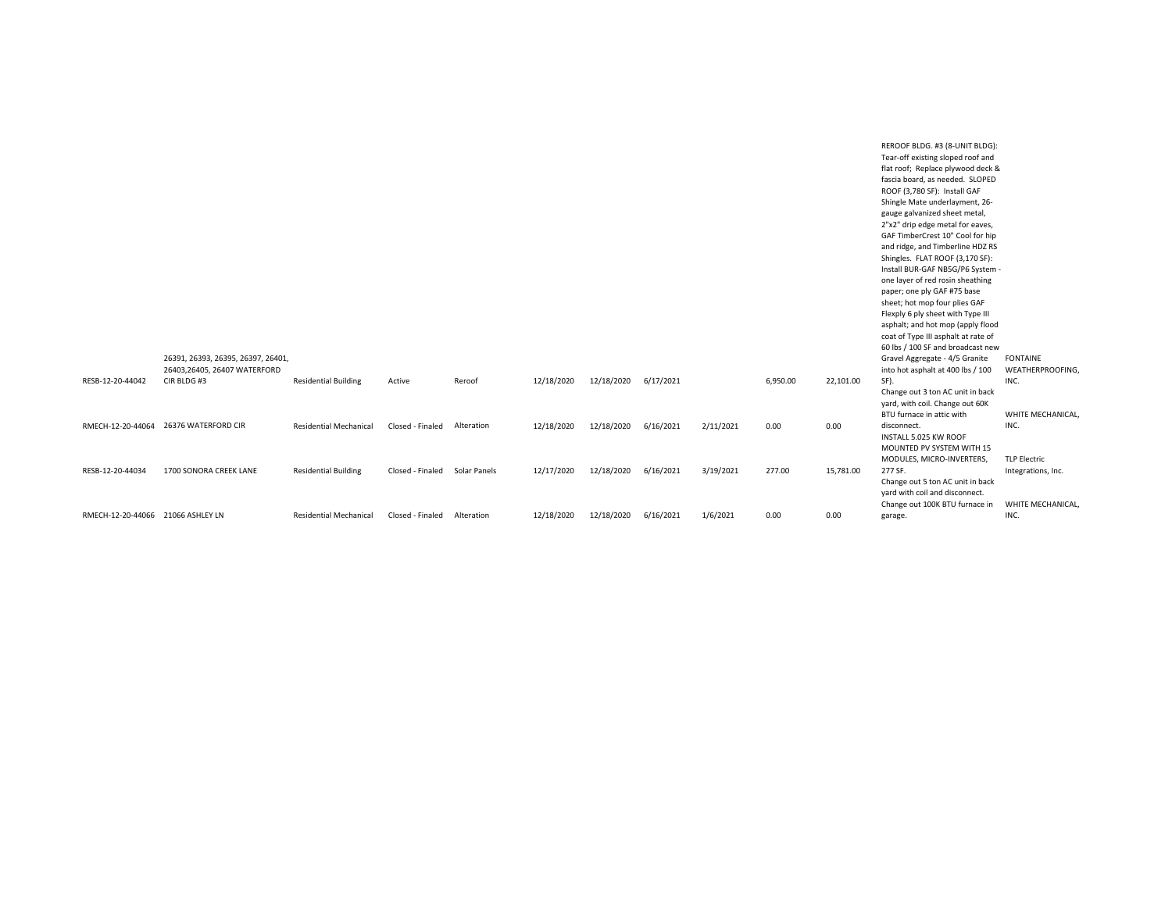|                                   |                                    |                               |                  |              |            |            |           |           |          |           | REROOF BLDG. #3 (8-UNIT BLDG):      |                     |
|-----------------------------------|------------------------------------|-------------------------------|------------------|--------------|------------|------------|-----------|-----------|----------|-----------|-------------------------------------|---------------------|
|                                   |                                    |                               |                  |              |            |            |           |           |          |           | Tear-off existing sloped roof and   |                     |
|                                   |                                    |                               |                  |              |            |            |           |           |          |           | flat roof; Replace plywood deck &   |                     |
|                                   |                                    |                               |                  |              |            |            |           |           |          |           | fascia board, as needed. SLOPED     |                     |
|                                   |                                    |                               |                  |              |            |            |           |           |          |           | ROOF (3,780 SF): Install GAF        |                     |
|                                   |                                    |                               |                  |              |            |            |           |           |          |           | Shingle Mate underlayment, 26-      |                     |
|                                   |                                    |                               |                  |              |            |            |           |           |          |           | gauge galvanized sheet metal,       |                     |
|                                   |                                    |                               |                  |              |            |            |           |           |          |           | 2"x2" drip edge metal for eaves,    |                     |
|                                   |                                    |                               |                  |              |            |            |           |           |          |           | GAF TimberCrest 10" Cool for hip    |                     |
|                                   |                                    |                               |                  |              |            |            |           |           |          |           | and ridge, and Timberline HDZ RS    |                     |
|                                   |                                    |                               |                  |              |            |            |           |           |          |           | Shingles. FLAT ROOF (3,170 SF):     |                     |
|                                   |                                    |                               |                  |              |            |            |           |           |          |           | Install BUR-GAF NB5G/P6 System -    |                     |
|                                   |                                    |                               |                  |              |            |            |           |           |          |           | one layer of red rosin sheathing    |                     |
|                                   |                                    |                               |                  |              |            |            |           |           |          |           | paper; one ply GAF #75 base         |                     |
|                                   |                                    |                               |                  |              |            |            |           |           |          |           | sheet; hot mop four plies GAF       |                     |
|                                   |                                    |                               |                  |              |            |            |           |           |          |           | Flexply 6 ply sheet with Type III   |                     |
|                                   |                                    |                               |                  |              |            |            |           |           |          |           | asphalt; and hot mop (apply flood   |                     |
|                                   |                                    |                               |                  |              |            |            |           |           |          |           | coat of Type III asphalt at rate of |                     |
|                                   |                                    |                               |                  |              |            |            |           |           |          |           |                                     |                     |
|                                   |                                    |                               |                  |              |            |            |           |           |          |           | 60 lbs / 100 SF and broadcast new   |                     |
|                                   | 26391, 26393, 26395, 26397, 26401, |                               |                  |              |            |            |           |           |          |           | Gravel Aggregate - 4/5 Granite      | <b>FONTAINE</b>     |
|                                   | 26403,26405, 26407 WATERFORD       |                               |                  |              |            |            |           |           |          |           | into hot asphalt at 400 lbs / 100   | WEATHERPROOFING,    |
| RESB-12-20-44042                  | CIR BLDG #3                        | <b>Residential Building</b>   | Active           | Reroof       | 12/18/2020 | 12/18/2020 | 6/17/2021 |           | 6,950.00 | 22,101.00 | SF).                                | INC.                |
|                                   |                                    |                               |                  |              |            |            |           |           |          |           | Change out 3 ton AC unit in back    |                     |
|                                   |                                    |                               |                  |              |            |            |           |           |          |           | yard, with coil. Change out 60K     |                     |
|                                   |                                    |                               |                  |              |            |            |           |           |          |           | BTU furnace in attic with           | WHITE MECHANICAL,   |
| RMECH-12-20-44064                 | 26376 WATERFORD CIR                | <b>Residential Mechanical</b> | Closed - Finaled | Alteration   | 12/18/2020 | 12/18/2020 | 6/16/2021 | 2/11/2021 | 0.00     | 0.00      | disconnect.                         | INC.                |
|                                   |                                    |                               |                  |              |            |            |           |           |          |           | INSTALL 5.025 KW ROOF               |                     |
|                                   |                                    |                               |                  |              |            |            |           |           |          |           | MOUNTED PV SYSTEM WITH 15           |                     |
|                                   |                                    |                               |                  |              |            |            |           |           |          |           | MODULES, MICRO-INVERTERS,           | <b>TLP Electric</b> |
| RESB-12-20-44034                  | 1700 SONORA CREEK LANE             | <b>Residential Building</b>   | Closed - Finaled | Solar Panels | 12/17/2020 | 12/18/2020 | 6/16/2021 | 3/19/2021 | 277.00   | 15,781.00 | 277 SF.                             | Integrations, Inc.  |
|                                   |                                    |                               |                  |              |            |            |           |           |          |           | Change out 5 ton AC unit in back    |                     |
|                                   |                                    |                               |                  |              |            |            |           |           |          |           | yard with coil and disconnect.      |                     |
|                                   |                                    |                               |                  |              |            |            |           |           |          |           | Change out 100K BTU furnace in      | WHITE MECHANICAL,   |
| RMECH-12-20-44066 21066 ASHLEY LN |                                    | <b>Residential Mechanical</b> | Closed - Finaled | Alteration   | 12/18/2020 | 12/18/2020 | 6/16/2021 | 1/6/2021  | 0.00     | 0.00      | garage.                             | INC.                |
|                                   |                                    |                               |                  |              |            |            |           |           |          |           |                                     |                     |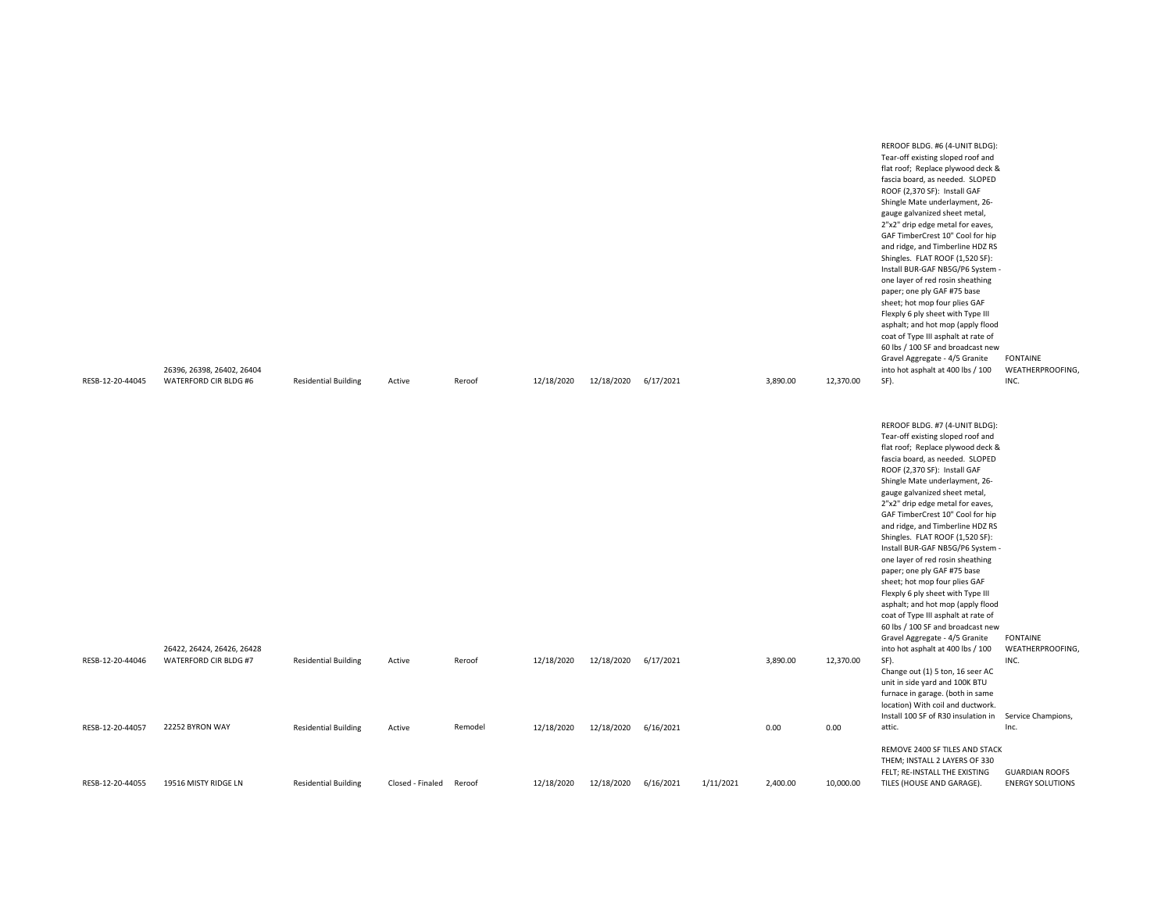|                  | 26396, 26398, 26402, 26404 |                             |                  |         |            |            |           |           |          |           | Flexply 6 ply sheet with Type III<br>asphalt; and hot mop (apply flood<br>coat of Type III asphalt at rate of<br>60 lbs / 100 SF and broadcast new<br>Gravel Aggregate - 4/5 Granite<br>into hot asphalt at 400 lbs / 100                                                                                                                                                                                                                                                                                                                                                                                                                                                                                                     | <b>FONTAINE</b><br>WEATHERPROOFING, |
|------------------|----------------------------|-----------------------------|------------------|---------|------------|------------|-----------|-----------|----------|-----------|-------------------------------------------------------------------------------------------------------------------------------------------------------------------------------------------------------------------------------------------------------------------------------------------------------------------------------------------------------------------------------------------------------------------------------------------------------------------------------------------------------------------------------------------------------------------------------------------------------------------------------------------------------------------------------------------------------------------------------|-------------------------------------|
| RESB-12-20-44045 | WATERFORD CIR BLDG #6      | <b>Residential Building</b> | Active           | Reroof  | 12/18/2020 | 12/18/2020 | 6/17/2021 |           | 3,890.00 | 12,370.00 | SF).                                                                                                                                                                                                                                                                                                                                                                                                                                                                                                                                                                                                                                                                                                                          | INC.                                |
|                  |                            |                             |                  |         |            |            |           |           |          |           | REROOF BLDG. #7 (4-UNIT BLDG):<br>Tear-off existing sloped roof and<br>flat roof; Replace plywood deck &<br>fascia board, as needed. SLOPED<br>ROOF (2,370 SF): Install GAF<br>Shingle Mate underlayment, 26-<br>gauge galvanized sheet metal,<br>2"x2" drip edge metal for eaves,<br>GAF TimberCrest 10" Cool for hip<br>and ridge, and Timberline HDZ RS<br>Shingles. FLAT ROOF (1,520 SF):<br>Install BUR-GAF NB5G/P6 System -<br>one layer of red rosin sheathing<br>paper; one ply GAF #75 base<br>sheet; hot mop four plies GAF<br>Flexply 6 ply sheet with Type III<br>asphalt; and hot mop (apply flood<br>coat of Type III asphalt at rate of<br>60 lbs / 100 SF and broadcast new<br>Gravel Aggregate - 4/5 Granite | <b>FONTAINE</b>                     |
|                  | 26422, 26424, 26426, 26428 |                             |                  |         |            |            |           |           |          |           | into hot asphalt at 400 lbs / 100                                                                                                                                                                                                                                                                                                                                                                                                                                                                                                                                                                                                                                                                                             | WEATHERPROOFING,                    |
| RESB-12-20-44046 | WATERFORD CIR BLDG #7      | <b>Residential Building</b> | Active           | Reroof  | 12/18/2020 | 12/18/2020 | 6/17/2021 |           | 3,890.00 | 12,370.00 | SF).<br>Change out (1) 5 ton, 16 seer AC<br>unit in side yard and 100K BTU<br>furnace in garage. (both in same<br>location) With coil and ductwork.<br>Install 100 SF of R30 insulation in                                                                                                                                                                                                                                                                                                                                                                                                                                                                                                                                    | INC.<br>Service Champions,          |
| RESB-12-20-44057 | 22252 BYRON WAY            | <b>Residential Building</b> | Active           | Remodel | 12/18/2020 | 12/18/2020 | 6/16/2021 |           | 0.00     | 0.00      | attic.                                                                                                                                                                                                                                                                                                                                                                                                                                                                                                                                                                                                                                                                                                                        | Inc.                                |
|                  |                            |                             |                  |         |            |            |           |           |          |           | REMOVE 2400 SF TILES AND STACK<br>THEM; INSTALL 2 LAYERS OF 330<br>FELT; RE-INSTALL THE EXISTING                                                                                                                                                                                                                                                                                                                                                                                                                                                                                                                                                                                                                              | <b>GUARDIAN ROOFS</b>               |
| RESB-12-20-44055 | 19516 MISTY RIDGE LN       | <b>Residential Building</b> | Closed - Finaled | Reroof  | 12/18/2020 | 12/18/2020 | 6/16/2021 | 1/11/2021 | 2,400.00 | 10,000.00 | TILES (HOUSE AND GARAGE).                                                                                                                                                                                                                                                                                                                                                                                                                                                                                                                                                                                                                                                                                                     | <b>ENERGY SOLUTIONS</b>             |

REROOF BLDG. #6 (4-UNIT BLDG): Tear-off existing sloped roof and flat roof; Replace plywood deck & fascia board, as needed. SLOPED ROOF (2,370 SF): Install GAF Shingle Mate underlayment, 26 gauge galvanized sheet metal, 2"x2" drip edge metal for eaves, GAF TimberCrest 10" Cool for hip and ridge, and Timberline HDZ RS Shingles. FLAT ROOF (1,520 SF): Install BUR-GAF NB5G/P6 System one layer of red rosin sheathing paper; one ply GAF #75 base sheet; hot mop four plies GAF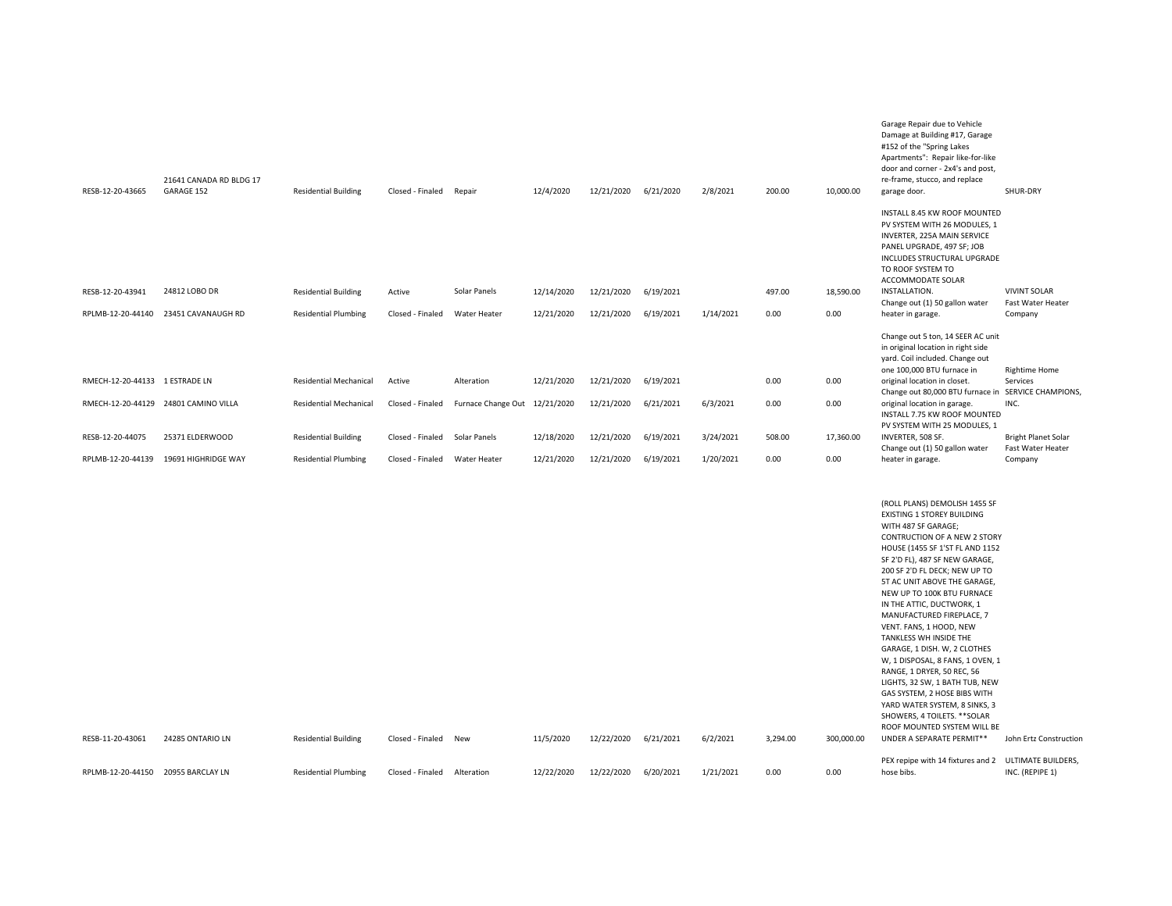| RESB-12-20-43665               | 21641 CANADA RD BLDG 17<br>GARAGE 152 | <b>Residential Building</b>   | Closed - Finaled Repair       |                               | 12/4/2020  | 12/21/2020 6/21/2020 |           | 2/8/2021  | 200.00   | 10,000.00  | Damage at Building #17, Garage<br>#152 of the "Spring Lakes<br>Apartments": Repair like-for-like<br>door and corner - 2x4's and post,<br>re-frame, stucco, and replace<br>garage door.                                                                                                                                                                                                                                                                                                                                                                                                                                                                                                                        | SHUR-DRY                                        |
|--------------------------------|---------------------------------------|-------------------------------|-------------------------------|-------------------------------|------------|----------------------|-----------|-----------|----------|------------|---------------------------------------------------------------------------------------------------------------------------------------------------------------------------------------------------------------------------------------------------------------------------------------------------------------------------------------------------------------------------------------------------------------------------------------------------------------------------------------------------------------------------------------------------------------------------------------------------------------------------------------------------------------------------------------------------------------|-------------------------------------------------|
|                                |                                       |                               |                               |                               |            |                      |           |           |          |            | INSTALL 8.45 KW ROOF MOUNTED<br>PV SYSTEM WITH 26 MODULES, 1<br>INVERTER, 225A MAIN SERVICE<br>PANEL UPGRADE, 497 SF; JOB<br>INCLUDES STRUCTURAL UPGRADE<br>TO ROOF SYSTEM TO<br>ACCOMMODATE SOLAR                                                                                                                                                                                                                                                                                                                                                                                                                                                                                                            |                                                 |
| RESB-12-20-43941               | 24812 LOBO DR                         | <b>Residential Building</b>   | Active                        | Solar Panels                  | 12/14/2020 | 12/21/2020           | 6/19/2021 |           | 497.00   | 18,590.00  | INSTALLATION.<br>Change out (1) 50 gallon water                                                                                                                                                                                                                                                                                                                                                                                                                                                                                                                                                                                                                                                               | <b>VIVINT SOLAR</b><br>Fast Water Heater        |
| RPLMB-12-20-44140              | 23451 CAVANAUGH RD                    | <b>Residential Plumbing</b>   | Closed - Finaled              | Water Heater                  | 12/21/2020 | 12/21/2020           | 6/19/2021 | 1/14/2021 | 0.00     | 0.00       | heater in garage.                                                                                                                                                                                                                                                                                                                                                                                                                                                                                                                                                                                                                                                                                             | Company                                         |
|                                |                                       |                               |                               |                               |            |                      |           |           |          |            | Change out 5 ton, 14 SEER AC unit<br>in original location in right side<br>yard. Coil included. Change out<br>one 100,000 BTU furnace in                                                                                                                                                                                                                                                                                                                                                                                                                                                                                                                                                                      | <b>Rightime Home</b>                            |
| RMECH-12-20-44133 1 ESTRADE LN |                                       | <b>Residential Mechanical</b> | Active                        | Alteration                    | 12/21/2020 | 12/21/2020           | 6/19/2021 |           | 0.00     | 0.00       | original location in closet.<br>Change out 80,000 BTU furnace in SERVICE CHAMPIONS,                                                                                                                                                                                                                                                                                                                                                                                                                                                                                                                                                                                                                           | Services                                        |
|                                | RMECH-12-20-44129 24801 CAMINO VILLA  | <b>Residential Mechanical</b> | Closed - Finaled              | Furnace Change Out 12/21/2020 |            | 12/21/2020           | 6/21/2021 | 6/3/2021  | 0.00     | 0.00       | original location in garage.<br>INSTALL 7.75 KW ROOF MOUNTED<br>PV SYSTEM WITH 25 MODULES, 1                                                                                                                                                                                                                                                                                                                                                                                                                                                                                                                                                                                                                  | INC.                                            |
| RESB-12-20-44075               | 25371 ELDERWOOD                       | <b>Residential Building</b>   | Closed - Finaled Solar Panels |                               | 12/18/2020 | 12/21/2020           | 6/19/2021 | 3/24/2021 | 508.00   | 17,360.00  | INVERTER, 508 SF.<br>Change out (1) 50 gallon water                                                                                                                                                                                                                                                                                                                                                                                                                                                                                                                                                                                                                                                           | <b>Bright Planet Solar</b><br>Fast Water Heater |
| RPLMB-12-20-44139              | 19691 HIGHRIDGE WAY                   | <b>Residential Plumbing</b>   | Closed - Finaled              | Water Heater                  | 12/21/2020 | 12/21/2020           | 6/19/2021 | 1/20/2021 | 0.00     | 0.00       | heater in garage.                                                                                                                                                                                                                                                                                                                                                                                                                                                                                                                                                                                                                                                                                             | Company                                         |
| RESB-11-20-43061               | 24285 ONTARIO LN                      | <b>Residential Building</b>   | Closed - Finaled New          |                               | 11/5/2020  | 12/22/2020           | 6/21/2021 | 6/2/2021  | 3,294.00 | 300,000.00 | (ROLL PLANS) DEMOLISH 1455 SF<br>EXISTING 1 STOREY BUILDING<br>WITH 487 SF GARAGE;<br><b>CONTRUCTION OF A NEW 2 STORY</b><br>HOUSE (1455 SF 1'ST FL AND 1152<br>SF 2'D FL), 487 SF NEW GARAGE,<br>200 SF 2'D FL DECK; NEW UP TO<br>5T AC UNIT ABOVE THE GARAGE,<br>NEW UP TO 100K BTU FURNACE<br>IN THE ATTIC, DUCTWORK, 1<br>MANUFACTURED FIREPLACE, 7<br>VENT. FANS, 1 HOOD, NEW<br>TANKLESS WH INSIDE THE<br>GARAGE, 1 DISH. W, 2 CLOTHES<br>W, 1 DISPOSAL, 8 FANS, 1 OVEN, 1<br>RANGE, 1 DRYER, 50 REC, 56<br>LIGHTS, 32 SW, 1 BATH TUB, NEW<br>GAS SYSTEM, 2 HOSE BIBS WITH<br>YARD WATER SYSTEM, 8 SINKS, 3<br>SHOWERS, 4 TOILETS. ** SOLAR<br>ROOF MOUNTED SYSTEM WILL BE<br>UNDER A SEPARATE PERMIT** | John Ertz Construction                          |
|                                |                                       |                               |                               |                               |            |                      |           |           |          |            | PEX repipe with 14 fixtures and 2 ULTIMATE BUILDERS,                                                                                                                                                                                                                                                                                                                                                                                                                                                                                                                                                                                                                                                          |                                                 |
| RPLMB-12-20-44150              | 20955 BARCLAY LN                      | <b>Residential Plumbing</b>   | Closed - Finaled              | Alteration                    | 12/22/2020 | 12/22/2020           | 6/20/2021 | 1/21/2021 | 0.00     | 0.00       | hose bibs.                                                                                                                                                                                                                                                                                                                                                                                                                                                                                                                                                                                                                                                                                                    | INC. (REPIPE 1)                                 |

Garage Repair due to Vehicle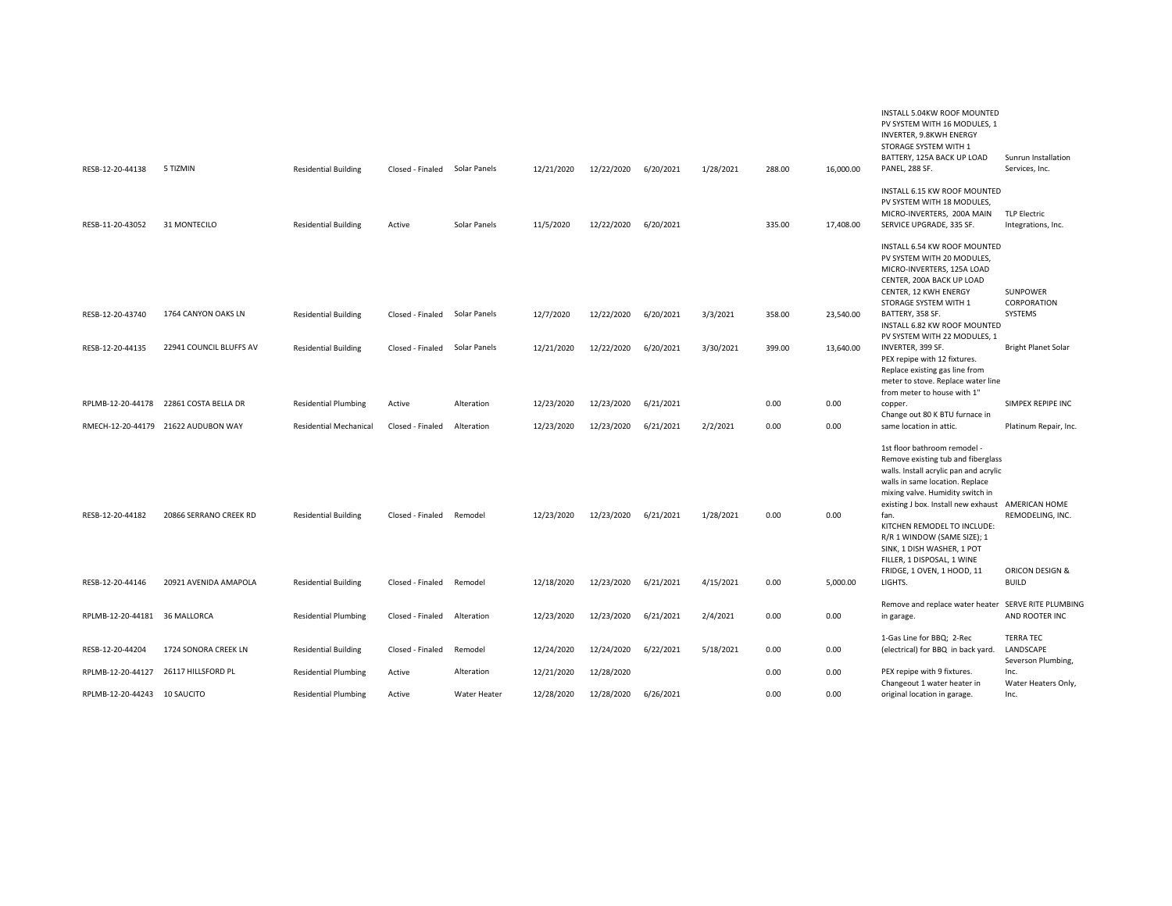|                               |                                     |                               |                  |                     |            |            |           |           |        |           | INSTALL 5.04KW ROOF MOUNTED                             |                            |
|-------------------------------|-------------------------------------|-------------------------------|------------------|---------------------|------------|------------|-----------|-----------|--------|-----------|---------------------------------------------------------|----------------------------|
|                               |                                     |                               |                  |                     |            |            |           |           |        |           | PV SYSTEM WITH 16 MODULES, 1<br>INVERTER, 9.8KWH ENERGY |                            |
|                               |                                     |                               |                  |                     |            |            |           |           |        |           | STORAGE SYSTEM WITH 1                                   |                            |
|                               |                                     |                               |                  |                     |            |            |           |           |        |           | BATTERY, 125A BACK UP LOAD                              | Sunrun Installation        |
| RESB-12-20-44138              | 5 TIZMIN                            | <b>Residential Building</b>   | Closed - Finaled | Solar Panels        | 12/21/2020 | 12/22/2020 | 6/20/2021 | 1/28/2021 | 288.00 | 16,000.00 | PANEL, 288 SF.                                          | Services, Inc.             |
|                               |                                     |                               |                  |                     |            |            |           |           |        |           | INSTALL 6.15 KW ROOF MOUNTED                            |                            |
|                               |                                     |                               |                  |                     |            |            |           |           |        |           | PV SYSTEM WITH 18 MODULES,                              |                            |
|                               |                                     |                               |                  |                     |            |            |           |           |        |           | MICRO-INVERTERS, 200A MAIN                              | <b>TLP Electric</b>        |
| RESB-11-20-43052              | 31 MONTECILO                        | <b>Residential Building</b>   | Active           | Solar Panels        | 11/5/2020  | 12/22/2020 | 6/20/2021 |           | 335.00 | 17,408.00 | SERVICE UPGRADE, 335 SF.                                | Integrations, Inc.         |
|                               |                                     |                               |                  |                     |            |            |           |           |        |           | INSTALL 6.54 KW ROOF MOUNTED                            |                            |
|                               |                                     |                               |                  |                     |            |            |           |           |        |           | PV SYSTEM WITH 20 MODULES.                              |                            |
|                               |                                     |                               |                  |                     |            |            |           |           |        |           | MICRO-INVERTERS, 125A LOAD                              |                            |
|                               |                                     |                               |                  |                     |            |            |           |           |        |           | CENTER, 200A BACK UP LOAD                               |                            |
|                               |                                     |                               |                  |                     |            |            |           |           |        |           | CENTER, 12 KWH ENERGY                                   | SUNPOWER                   |
|                               |                                     |                               |                  |                     |            |            |           |           |        |           | STORAGE SYSTEM WITH 1                                   | CORPORATION                |
| RESB-12-20-43740              | 1764 CANYON OAKS LN                 | <b>Residential Building</b>   | Closed - Finaled | Solar Panels        | 12/7/2020  | 12/22/2020 | 6/20/2021 | 3/3/2021  | 358.00 | 23,540.00 | BATTERY, 358 SF.                                        | SYSTEMS                    |
|                               |                                     |                               |                  |                     |            |            |           |           |        |           | INSTALL 6.82 KW ROOF MOUNTED                            |                            |
|                               |                                     |                               |                  |                     |            |            |           |           |        |           | PV SYSTEM WITH 22 MODULES, 1                            |                            |
| RESB-12-20-44135              | 22941 COUNCIL BLUFFS AV             | <b>Residential Building</b>   | Closed - Finaled | Solar Panels        | 12/21/2020 | 12/22/2020 | 6/20/2021 | 3/30/2021 | 399.00 | 13,640.00 | INVERTER, 399 SF.<br>PEX repipe with 12 fixtures.       | <b>Bright Planet Solar</b> |
|                               |                                     |                               |                  |                     |            |            |           |           |        |           | Replace existing gas line from                          |                            |
|                               |                                     |                               |                  |                     |            |            |           |           |        |           | meter to stove. Replace water line                      |                            |
|                               |                                     |                               |                  |                     |            |            |           |           |        |           | from meter to house with 1"                             |                            |
| RPLMB-12-20-44178             | 22861 COSTA BELLA DR                | <b>Residential Plumbing</b>   | Active           | Alteration          | 12/23/2020 | 12/23/2020 | 6/21/2021 |           | 0.00   | 0.00      | copper.                                                 | SIMPEX REPIPE INC.         |
|                               |                                     |                               |                  |                     |            |            |           |           |        |           | Change out 80 K BTU furnace in                          |                            |
|                               | RMECH-12-20-44179 21622 AUDUBON WAY | <b>Residential Mechanical</b> | Closed - Finaled | Alteration          | 12/23/2020 | 12/23/2020 | 6/21/2021 | 2/2/2021  | 0.00   | 0.00      | same location in attic.                                 | Platinum Repair, Inc.      |
|                               |                                     |                               |                  |                     |            |            |           |           |        |           | 1st floor bathroom remodel -                            |                            |
|                               |                                     |                               |                  |                     |            |            |           |           |        |           | Remove existing tub and fiberglass                      |                            |
|                               |                                     |                               |                  |                     |            |            |           |           |        |           | walls. Install acrylic pan and acrylic                  |                            |
|                               |                                     |                               |                  |                     |            |            |           |           |        |           | walls in same location. Replace                         |                            |
|                               |                                     |                               |                  |                     |            |            |           |           |        |           | mixing valve. Humidity switch in                        |                            |
|                               |                                     |                               |                  |                     |            |            |           |           |        |           | existing J box. Install new exhaust AMERICAN HOME       |                            |
| RESB-12-20-44182              | 20866 SERRANO CREEK RD              | <b>Residential Building</b>   | Closed - Finaled | Remodel             | 12/23/2020 | 12/23/2020 | 6/21/2021 | 1/28/2021 | 0.00   | 0.00      | fan.                                                    | REMODELING, INC.           |
|                               |                                     |                               |                  |                     |            |            |           |           |        |           | KITCHEN REMODEL TO INCLUDE:                             |                            |
|                               |                                     |                               |                  |                     |            |            |           |           |        |           | R/R 1 WINDOW (SAME SIZE); 1                             |                            |
|                               |                                     |                               |                  |                     |            |            |           |           |        |           | SINK, 1 DISH WASHER, 1 POT                              |                            |
|                               |                                     |                               |                  |                     |            |            |           |           |        |           | FILLER, 1 DISPOSAL, 1 WINE                              |                            |
|                               |                                     |                               |                  |                     |            |            |           |           |        |           | FRIDGE, 1 OVEN, 1 HOOD, 11                              | ORICON DESIGN &            |
| RESB-12-20-44146              | 20921 AVENIDA AMAPOLA               | <b>Residential Building</b>   | Closed - Finaled | Remodel             | 12/18/2020 | 12/23/2020 | 6/21/2021 | 4/15/2021 | 0.00   | 5,000.00  | LIGHTS.                                                 | <b>BUILD</b>               |
|                               |                                     |                               |                  |                     |            |            |           |           |        |           | Remove and replace water heater SERVE RITE PLUMBING     |                            |
| RPLMB-12-20-44181 36 MALLORCA |                                     | <b>Residential Plumbing</b>   | Closed - Finaled | Alteration          | 12/23/2020 | 12/23/2020 | 6/21/2021 | 2/4/2021  | 0.00   | 0.00      | in garage.                                              | AND ROOTER INC             |
|                               |                                     |                               |                  |                     |            |            |           |           |        |           | 1-Gas Line for BBQ; 2-Rec                               | <b>TERRA TEC</b>           |
| RESB-12-20-44204              | 1724 SONORA CREEK LN                | <b>Residential Building</b>   | Closed - Finaled | Remodel             | 12/24/2020 | 12/24/2020 | 6/22/2021 | 5/18/2021 | 0.00   | 0.00      | (electrical) for BBQ in back yard.                      | LANDSCAPE                  |
|                               |                                     |                               |                  |                     |            |            |           |           |        |           |                                                         | Severson Plumbing,         |
| RPLMB-12-20-44127             | 26117 HILLSFORD PL                  | <b>Residential Plumbing</b>   | Active           | Alteration          | 12/21/2020 | 12/28/2020 |           |           | 0.00   | 0.00      | PEX repipe with 9 fixtures.                             | Inc.                       |
|                               |                                     |                               |                  |                     |            |            |           |           |        |           | Changeout 1 water heater in                             | Water Heaters Only,        |
| RPLMB-12-20-44243 10 SAUCITO  |                                     | <b>Residential Plumbing</b>   | Active           | <b>Water Heater</b> | 12/28/2020 | 12/28/2020 | 6/26/2021 |           | 0.00   | 0.00      | original location in garage.                            | Inc.                       |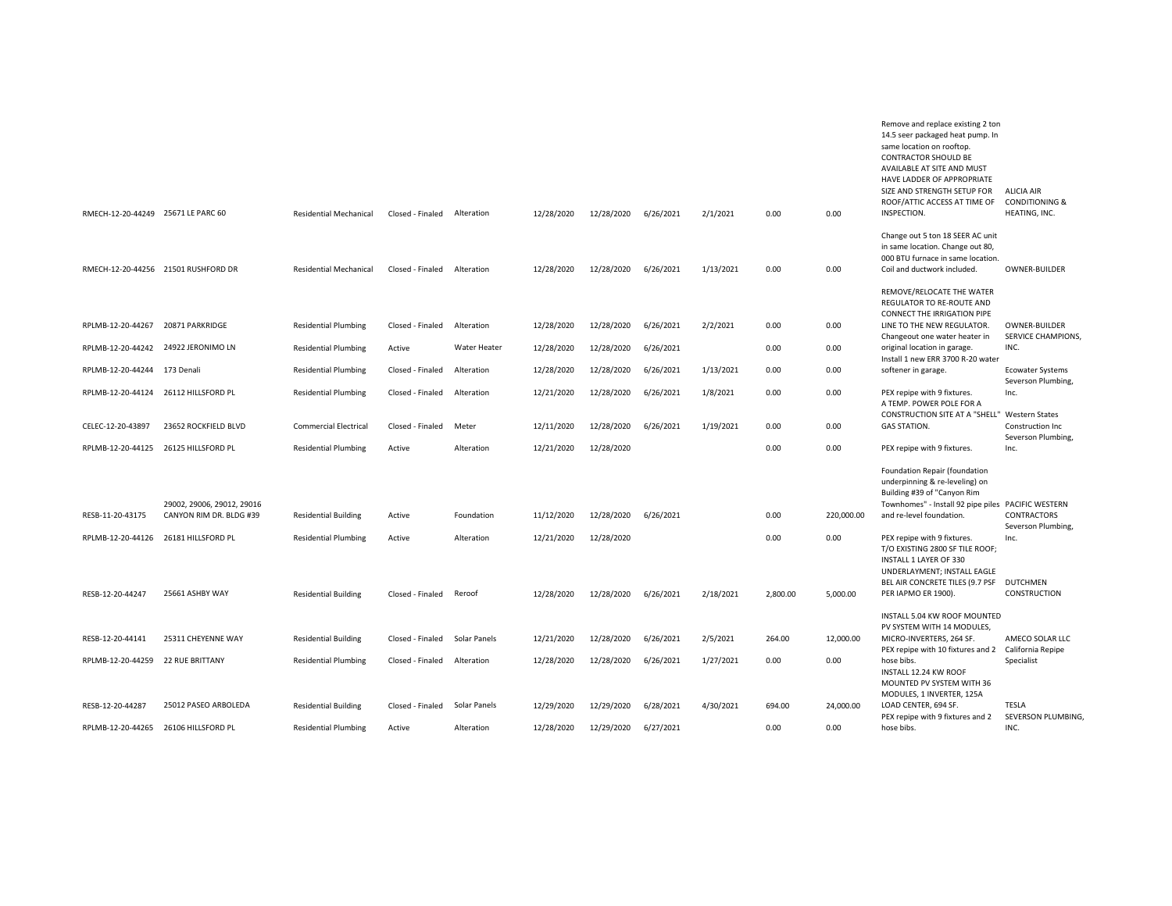| RMECH-12-20-44249 25671 LE PARC 60 |                                      | <b>Residential Mechanical</b> | Closed - Finaled | Alteration   | 12/28/2020 | 12/28/2020 | 6/26/2021 | 2/1/2021  | 0.00     | 0.00       | Remove and replace existing 2 ton<br>14.5 seer packaged heat pump. In<br>same location on rooftop.<br><b>CONTRACTOR SHOULD BE</b><br>AVAILABLE AT SITE AND MUST<br>HAVE LADDER OF APPROPRIATE<br>SIZE AND STRENGTH SETUP FOR<br>ROOF/ATTIC ACCESS AT TIME OF<br>INSPECTION. | <b>ALICIA AIR</b><br><b>CONDITIONING &amp;</b><br>HEATING, INC. |
|------------------------------------|--------------------------------------|-------------------------------|------------------|--------------|------------|------------|-----------|-----------|----------|------------|-----------------------------------------------------------------------------------------------------------------------------------------------------------------------------------------------------------------------------------------------------------------------------|-----------------------------------------------------------------|
|                                    |                                      |                               |                  |              |            |            |           |           |          |            |                                                                                                                                                                                                                                                                             |                                                                 |
|                                    | RMECH-12-20-44256 21501 RUSHFORD DR  | <b>Residential Mechanical</b> | Closed - Finaled | Alteration   | 12/28/2020 | 12/28/2020 | 6/26/2021 | 1/13/2021 | 0.00     | 0.00       | Change out 5 ton 18 SEER AC unit<br>in same location. Change out 80,<br>000 BTU furnace in same location.<br>Coil and ductwork included.                                                                                                                                    | OWNER-BUILDER                                                   |
|                                    |                                      |                               |                  |              |            |            |           |           |          |            |                                                                                                                                                                                                                                                                             |                                                                 |
|                                    |                                      |                               |                  |              |            |            |           |           |          |            | REMOVE/RELOCATE THE WATER<br>REGULATOR TO RE-ROUTE AND                                                                                                                                                                                                                      |                                                                 |
| RPLMB-12-20-44267                  | 20871 PARKRIDGE                      | <b>Residential Plumbing</b>   | Closed - Finaled | Alteration   | 12/28/2020 | 12/28/2020 | 6/26/2021 | 2/2/2021  | 0.00     | 0.00       | CONNECT THE IRRIGATION PIPE<br>LINE TO THE NEW REGULATOR.                                                                                                                                                                                                                   | OWNER-BUILDER                                                   |
|                                    |                                      |                               |                  |              |            |            |           |           |          |            | Changeout one water heater in                                                                                                                                                                                                                                               | <b>SERVICE CHAMPIONS</b>                                        |
| RPLMB-12-20-44242                  | 24922 JERONIMO LN                    | <b>Residential Plumbing</b>   | Active           | Water Heater | 12/28/2020 | 12/28/2020 | 6/26/2021 |           | 0.00     | 0.00       | original location in garage.<br>Install 1 new ERR 3700 R-20 water                                                                                                                                                                                                           | INC.                                                            |
| RPLMB-12-20-44244 173 Denali       |                                      | <b>Residential Plumbing</b>   | Closed - Finaled | Alteration   | 12/28/2020 | 12/28/2020 | 6/26/2021 | 1/13/2021 | 0.00     | 0.00       | softener in garage.                                                                                                                                                                                                                                                         | <b>Ecowater Systems</b><br>Severson Plumbing,                   |
|                                    | RPLMB-12-20-44124 26112 HILLSFORD PL | <b>Residential Plumbing</b>   | Closed - Finaled | Alteration   | 12/21/2020 | 12/28/2020 | 6/26/2021 | 1/8/2021  | 0.00     | 0.00       | PEX repipe with 9 fixtures.<br>A TEMP. POWER POLE FOR A                                                                                                                                                                                                                     | Inc.                                                            |
|                                    |                                      |                               |                  |              |            |            |           |           |          |            | CONSTRUCTION SITE AT A "SHELL" Western States                                                                                                                                                                                                                               |                                                                 |
| CELEC-12-20-43897                  | 23652 ROCKFIELD BLVD                 | <b>Commercial Electrical</b>  | Closed - Finaled | Meter        | 12/11/2020 | 12/28/2020 | 6/26/2021 | 1/19/2021 | 0.00     | 0.00       | <b>GAS STATION.</b>                                                                                                                                                                                                                                                         | Construction Inc<br>Severson Plumbing,                          |
| RPLMB-12-20-44125                  | 26125 HILLSFORD PL                   | <b>Residential Plumbing</b>   | Active           | Alteration   | 12/21/2020 | 12/28/2020 |           |           | 0.00     | 0.00       | PEX repipe with 9 fixtures.                                                                                                                                                                                                                                                 | Inc.                                                            |
|                                    |                                      |                               |                  |              |            |            |           |           |          |            | Foundation Repair (foundation                                                                                                                                                                                                                                               |                                                                 |
|                                    |                                      |                               |                  |              |            |            |           |           |          |            | underpinning & re-leveling) on                                                                                                                                                                                                                                              |                                                                 |
|                                    | 29002, 29006, 29012, 29016           |                               |                  |              |            |            |           |           |          |            | Building #39 of "Canyon Rim<br>Townhomes" - Install 92 pipe piles PACIFIC WESTERN                                                                                                                                                                                           |                                                                 |
| RESB-11-20-43175                   | CANYON RIM DR. BLDG #39              | <b>Residential Building</b>   | Active           | Foundation   | 11/12/2020 | 12/28/2020 | 6/26/2021 |           | 0.00     | 220,000.00 | and re-level foundation.                                                                                                                                                                                                                                                    | CONTRACTORS                                                     |
| RPLMB-12-20-44126                  | 26181 HILLSFORD PL                   | <b>Residential Plumbing</b>   | Active           | Alteration   | 12/21/2020 | 12/28/2020 |           |           | 0.00     | 0.00       | PEX repipe with 9 fixtures.                                                                                                                                                                                                                                                 | Severson Plumbing,<br>Inc.                                      |
|                                    |                                      |                               |                  |              |            |            |           |           |          |            | T/O EXISTING 2800 SF TILE ROOF;<br>INSTALL 1 LAYER OF 330                                                                                                                                                                                                                   |                                                                 |
|                                    |                                      |                               |                  |              |            |            |           |           |          |            | UNDERLAYMENT; INSTALL EAGLE                                                                                                                                                                                                                                                 |                                                                 |
| RESB-12-20-44247                   | 25661 ASHBY WAY                      | <b>Residential Building</b>   | Closed - Finaled | Reroof       | 12/28/2020 | 12/28/2020 | 6/26/2021 | 2/18/2021 | 2,800.00 | 5,000.00   | BEL AIR CONCRETE TILES (9.7 PSF DUTCHMEN<br>PER IAPMO ER 1900).                                                                                                                                                                                                             | CONSTRUCTION                                                    |
|                                    |                                      |                               |                  |              |            |            |           |           |          |            |                                                                                                                                                                                                                                                                             |                                                                 |
|                                    |                                      |                               |                  |              |            |            |           |           |          |            | INSTALL 5.04 KW ROOF MOUNTED<br>PV SYSTEM WITH 14 MODULES.                                                                                                                                                                                                                  |                                                                 |
| RESB-12-20-44141                   | 25311 CHEYENNE WAY                   | <b>Residential Building</b>   | Closed - Finaled | Solar Panels | 12/21/2020 | 12/28/2020 | 6/26/2021 | 2/5/2021  | 264.00   | 12,000.00  | MICRO-INVERTERS, 264 SF.                                                                                                                                                                                                                                                    | AMECO SOLAR LLC                                                 |
| RPLMB-12-20-44259                  | <b>22 RUE BRITTANY</b>               | <b>Residential Plumbing</b>   | Closed - Finaled | Alteration   | 12/28/2020 | 12/28/2020 | 6/26/2021 | 1/27/2021 | 0.00     | 0.00       | PEX repipe with 10 fixtures and 2<br>hose bibs.                                                                                                                                                                                                                             | California Repipe<br>Specialist                                 |
|                                    |                                      |                               |                  |              |            |            |           |           |          |            | INSTALL 12.24 KW ROOF<br>MOUNTED PV SYSTEM WITH 36                                                                                                                                                                                                                          |                                                                 |
| RESB-12-20-44287                   | 25012 PASEO ARBOLEDA                 | <b>Residential Building</b>   | Closed - Finaled | Solar Panels | 12/29/2020 | 12/29/2020 | 6/28/2021 | 4/30/2021 | 694.00   | 24,000.00  | MODULES, 1 INVERTER, 125A<br>LOAD CENTER, 694 SF.                                                                                                                                                                                                                           | <b>TESLA</b>                                                    |
|                                    |                                      |                               |                  |              |            |            |           |           |          |            | PEX repipe with 9 fixtures and 2                                                                                                                                                                                                                                            | SEVERSON PLUMBING                                               |
| RPLMB-12-20-44265                  | 26106 HILLSFORD PL                   | <b>Residential Plumbing</b>   | Active           | Alteration   | 12/28/2020 | 12/29/2020 | 6/27/2021 |           | 0.00     | 0.00       | hose bibs.                                                                                                                                                                                                                                                                  | INC.                                                            |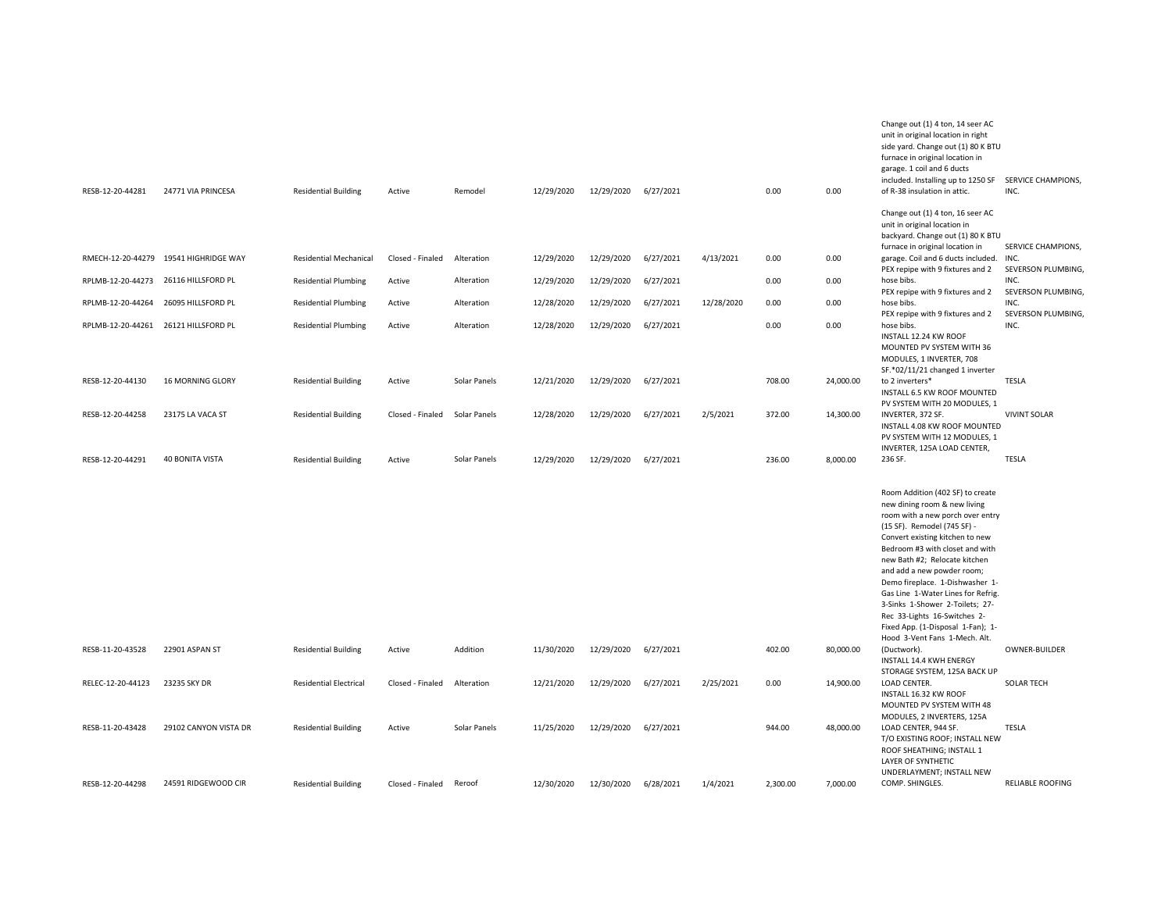|                                      |                        |                               |                  |              |            |                      |           |            |          |           | unit in original location in right<br>side yard. Change out (1) 80 K BTU<br>furnace in original location in<br>garage. 1 coil and 6 ducts<br>included. Installing up to 1250 SF SERVICE CHAMPIONS,                                                                                                                                                                                                                                                                                                        |                            |
|--------------------------------------|------------------------|-------------------------------|------------------|--------------|------------|----------------------|-----------|------------|----------|-----------|-----------------------------------------------------------------------------------------------------------------------------------------------------------------------------------------------------------------------------------------------------------------------------------------------------------------------------------------------------------------------------------------------------------------------------------------------------------------------------------------------------------|----------------------------|
| RESB-12-20-44281                     | 24771 VIA PRINCESA     | <b>Residential Building</b>   | Active           | Remodel      | 12/29/2020 | 12/29/2020           | 6/27/2021 |            | 0.00     | 0.00      | of R-38 insulation in attic.                                                                                                                                                                                                                                                                                                                                                                                                                                                                              | INC.                       |
|                                      |                        |                               |                  |              |            |                      |           |            |          |           | Change out (1) 4 ton, 16 seer AC<br>unit in original location in<br>backyard. Change out (1) 80 K BTU<br>furnace in original location in                                                                                                                                                                                                                                                                                                                                                                  | SERVICE CHAMPIONS,         |
| RMECH-12-20-44279                    | 19541 HIGHRIDGE WAY    | <b>Residential Mechanical</b> | Closed - Finaled | Alteration   | 12/29/2020 | 12/29/2020           | 6/27/2021 | 4/13/2021  | 0.00     | 0.00      | garage. Coil and 6 ducts included.<br>PEX repipe with 9 fixtures and 2                                                                                                                                                                                                                                                                                                                                                                                                                                    | INC.<br>SEVERSON PLUMBING, |
| RPLMB-12-20-44273                    | 26116 HILLSFORD PL     | <b>Residential Plumbing</b>   | Active           | Alteration   | 12/29/2020 | 12/29/2020           | 6/27/2021 |            | 0.00     | 0.00      | hose bibs.<br>PEX repipe with 9 fixtures and 2                                                                                                                                                                                                                                                                                                                                                                                                                                                            | INC.<br>SEVERSON PLUMBING, |
| RPLMB-12-20-44264                    | 26095 HILLSFORD PL     | <b>Residential Plumbing</b>   | Active           | Alteration   | 12/28/2020 | 12/29/2020           | 6/27/2021 | 12/28/2020 | 0.00     | 0.00      | hose bibs.<br>PEX repipe with 9 fixtures and 2                                                                                                                                                                                                                                                                                                                                                                                                                                                            | INC.<br>SEVERSON PLUMBING. |
| RPLMB-12-20-44261 26121 HILLSFORD PL |                        | <b>Residential Plumbing</b>   | Active           | Alteration   | 12/28/2020 | 12/29/2020           | 6/27/2021 |            | 0.00     | 0.00      | hose bibs.<br>INSTALL 12.24 KW ROOF<br>MOUNTED PV SYSTEM WITH 36<br>MODULES, 1 INVERTER, 708<br>SF.*02/11/21 changed 1 inverter                                                                                                                                                                                                                                                                                                                                                                           | INC.                       |
| RESB-12-20-44130                     | 16 MORNING GLORY       | <b>Residential Building</b>   | Active           | Solar Panels | 12/21/2020 | 12/29/2020           | 6/27/2021 |            | 708.00   | 24,000.00 | to 2 inverters*<br>INSTALL 6.5 KW ROOF MOUNTED<br>PV SYSTEM WITH 20 MODULES, 1                                                                                                                                                                                                                                                                                                                                                                                                                            | <b>TESLA</b>               |
| RESB-12-20-44258                     | 23175 LA VACA ST       | <b>Residential Building</b>   | Closed - Finaled | Solar Panels | 12/28/2020 | 12/29/2020           | 6/27/2021 | 2/5/2021   | 372.00   | 14,300.00 | INVERTER, 372 SF.<br>INSTALL 4.08 KW ROOF MOUNTED<br>PV SYSTEM WITH 12 MODULES, 1<br>INVERTER, 125A LOAD CENTER,                                                                                                                                                                                                                                                                                                                                                                                          | <b>VIVINT SOLAR</b>        |
| RESB-12-20-44291                     | <b>40 BONITA VISTA</b> | <b>Residential Building</b>   | Active           | Solar Panels | 12/29/2020 | 12/29/2020           | 6/27/2021 |            | 236.00   | 8,000.00  | 236 SF.                                                                                                                                                                                                                                                                                                                                                                                                                                                                                                   | <b>TESLA</b>               |
| RESB-11-20-43528                     | 22901 ASPAN ST         | <b>Residential Building</b>   | Active           | Addition     | 11/30/2020 | 12/29/2020           | 6/27/2021 |            | 402.00   | 80,000.00 | Room Addition (402 SF) to create<br>new dining room & new living<br>room with a new porch over entry<br>(15 SF). Remodel (745 SF) -<br>Convert existing kitchen to new<br>Bedroom #3 with closet and with<br>new Bath #2; Relocate kitchen<br>and add a new powder room;<br>Demo fireplace. 1-Dishwasher 1-<br>Gas Line 1-Water Lines for Refrig.<br>3-Sinks 1-Shower 2-Toilets; 27-<br>Rec 33-Lights 16-Switches 2-<br>Fixed App. (1-Disposal 1-Fan); 1-<br>Hood 3-Vent Fans 1-Mech. Alt.<br>(Ductwork). | OWNER-BUILDER              |
|                                      |                        |                               |                  |              |            |                      |           |            |          |           | INSTALL 14.4 KWH ENERGY<br>STORAGE SYSTEM, 125A BACK UP                                                                                                                                                                                                                                                                                                                                                                                                                                                   |                            |
| RELEC-12-20-44123                    | 23235 SKY DR           | <b>Residential Electrical</b> | Closed - Finaled | Alteration   | 12/21/2020 | 12/29/2020           | 6/27/2021 | 2/25/2021  | 0.00     | 14,900.00 | LOAD CENTER.<br>INSTALL 16.32 KW ROOF<br>MOUNTED PV SYSTEM WITH 48<br>MODULES, 2 INVERTERS, 125A                                                                                                                                                                                                                                                                                                                                                                                                          | <b>SOLAR TECH</b>          |
| RESB-11-20-43428                     | 29102 CANYON VISTA DR  | <b>Residential Building</b>   | Active           | Solar Panels | 11/25/2020 | 12/29/2020 6/27/2021 |           |            | 944.00   | 48,000.00 | LOAD CENTER, 944 SF.<br>T/O EXISTING ROOF; INSTALL NEW<br>ROOF SHEATHING; INSTALL 1<br>LAYER OF SYNTHETIC<br>UNDERLAYMENT; INSTALL NEW                                                                                                                                                                                                                                                                                                                                                                    | <b>TESLA</b>               |
| RESB-12-20-44298                     | 24591 RIDGEWOOD CIR    | <b>Residential Building</b>   | Closed - Finaled | Reroof       | 12/30/2020 | 12/30/2020           | 6/28/2021 | 1/4/2021   | 2,300.00 | 7,000.00  | COMP. SHINGLES.                                                                                                                                                                                                                                                                                                                                                                                                                                                                                           | <b>RELIABLE ROOFING</b>    |

Change out (1) 4 ton, 14 seer AC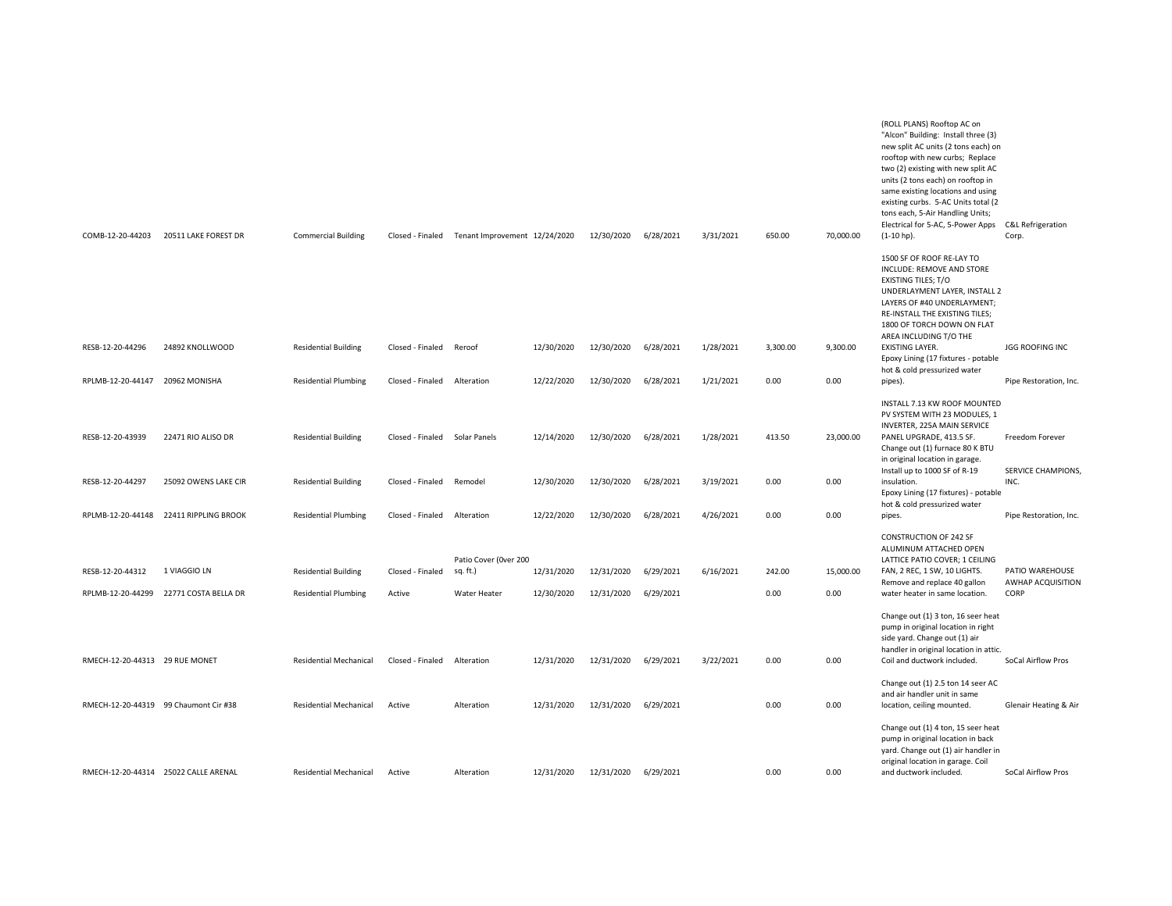| COMB-12-20-44203               | 20511 LAKE FOREST DR                   | <b>Commercial Building</b>    | Closed - Finaled              | Tenant Improvement 12/24/2020 |            | 12/30/2020 | 6/28/2021 | 3/31/2021 | 650.00   | 70,000.00 | (ROLL PLANS) Rooftop AC on<br>"Alcon" Building: Install three (3)<br>new split AC units (2 tons each) on<br>rooftop with new curbs; Replace<br>two (2) existing with new split AC<br>units (2 tons each) on rooftop in<br>same existing locations and using<br>existing curbs. 5-AC Units total (2<br>tons each, 5-Air Handling Units;<br>Electrical for 5-AC, 5-Power Apps<br>$(1-10$ hp). | <b>C&amp;L Refrigeration</b><br>Corp. |
|--------------------------------|----------------------------------------|-------------------------------|-------------------------------|-------------------------------|------------|------------|-----------|-----------|----------|-----------|---------------------------------------------------------------------------------------------------------------------------------------------------------------------------------------------------------------------------------------------------------------------------------------------------------------------------------------------------------------------------------------------|---------------------------------------|
|                                |                                        |                               |                               |                               |            |            |           |           |          |           | 1500 SF OF ROOF RE-LAY TO<br>INCLUDE: REMOVE AND STORE<br><b>EXISTING TILES; T/O</b><br>UNDERLAYMENT LAYER, INSTALL 2<br>LAYERS OF #40 UNDERLAYMENT;<br>RE-INSTALL THE EXISTING TILES;<br>1800 OF TORCH DOWN ON FLAT<br>AREA INCLUDING T/O THE                                                                                                                                              |                                       |
| RESB-12-20-44296               | 24892 KNOLLWOOD                        | <b>Residential Building</b>   | Closed - Finaled              | Reroof                        | 12/30/2020 | 12/30/2020 | 6/28/2021 | 1/28/2021 | 3,300.00 | 9,300.00  | <b>EXISTING LAYER.</b><br>Epoxy Lining (17 fixtures - potable<br>hot & cold pressurized water                                                                                                                                                                                                                                                                                               | <b>JGG ROOFING INC</b>                |
| RPLMB-12-20-44147              | 20962 MONISHA                          | <b>Residential Plumbing</b>   | Closed - Finaled              | Alteration                    | 12/22/2020 | 12/30/2020 | 6/28/2021 | 1/21/2021 | 0.00     | 0.00      | pipes).                                                                                                                                                                                                                                                                                                                                                                                     | Pipe Restoration, Inc.                |
| RESB-12-20-43939               | 22471 RIO ALISO DR                     | <b>Residential Building</b>   | Closed - Finaled Solar Panels |                               | 12/14/2020 | 12/30/2020 | 6/28/2021 | 1/28/2021 | 413.50   | 23,000.00 | INSTALL 7.13 KW ROOF MOUNTED<br>PV SYSTEM WITH 23 MODULES. 1<br><b>INVERTER, 225A MAIN SERVICE</b><br>PANEL UPGRADE, 413.5 SF.<br>Change out (1) furnace 80 K BTU<br>in original location in garage.                                                                                                                                                                                        | Freedom Forever                       |
| RESB-12-20-44297               | 25092 OWENS LAKE CIR                   | <b>Residential Building</b>   | Closed - Finaled              | Remodel                       | 12/30/2020 | 12/30/2020 | 6/28/2021 | 3/19/2021 | 0.00     | 0.00      | Install up to 1000 SF of R-19<br>insulation.<br>Epoxy Lining (17 fixtures) - potable                                                                                                                                                                                                                                                                                                        | SERVICE CHAMPIONS,<br>INC.            |
|                                | RPLMB-12-20-44148 22411 RIPPLING BROOK | <b>Residential Plumbing</b>   | Closed - Finaled Alteration   |                               | 12/22/2020 | 12/30/2020 | 6/28/2021 | 4/26/2021 | 0.00     | 0.00      | hot & cold pressurized water<br>pipes.                                                                                                                                                                                                                                                                                                                                                      | Pipe Restoration, Inc.                |
|                                |                                        |                               |                               | Patio Cover (Over 200         |            |            |           |           |          |           | <b>CONSTRUCTION OF 242 SF</b><br>ALUMINUM ATTACHED OPEN<br>LATTICE PATIO COVER; 1 CEILING                                                                                                                                                                                                                                                                                                   |                                       |
| RESB-12-20-44312               | 1 VIAGGIO LN                           | <b>Residential Building</b>   | Closed - Finaled              | sq. ft.)                      | 12/31/2020 | 12/31/2020 | 6/29/2021 | 6/16/2021 | 242.00   | 15,000.00 | FAN, 2 REC, 1 SW, 10 LIGHTS.<br>Remove and replace 40 gallon                                                                                                                                                                                                                                                                                                                                | PATIO WAREHOUSE<br>AWHAP ACQUISITION  |
| RPLMB-12-20-44299              | 22771 COSTA BELLA DR                   | <b>Residential Plumbing</b>   | Active                        | Water Heater                  | 12/30/2020 | 12/31/2020 | 6/29/2021 |           | 0.00     | 0.00      | water heater in same location.                                                                                                                                                                                                                                                                                                                                                              | CORP                                  |
| RMECH-12-20-44313 29 RUE MONET |                                        | <b>Residential Mechanical</b> | Closed - Finaled              | Alteration                    | 12/31/2020 | 12/31/2020 | 6/29/2021 | 3/22/2021 | 0.00     | 0.00      | Change out (1) 3 ton, 16 seer heat<br>pump in original location in right<br>side yard. Change out (1) air<br>handler in original location in attic.<br>Coil and ductwork included.                                                                                                                                                                                                          | SoCal Airflow Pros                    |
|                                |                                        |                               |                               |                               |            |            |           |           |          |           | Change out (1) 2.5 ton 14 seer AC<br>and air handler unit in same                                                                                                                                                                                                                                                                                                                           |                                       |
|                                | RMECH-12-20-44319 99 Chaumont Cir #38  | <b>Residential Mechanical</b> | Active                        | Alteration                    | 12/31/2020 | 12/31/2020 | 6/29/2021 |           | 0.00     | 0.00      | location, ceiling mounted.                                                                                                                                                                                                                                                                                                                                                                  | Glenair Heating & Air                 |
|                                | RMECH-12-20-44314 25022 CALLE ARENAL   | <b>Residential Mechanical</b> | Active                        | Alteration                    | 12/31/2020 | 12/31/2020 | 6/29/2021 |           | 0.00     | 0.00      | Change out (1) 4 ton, 15 seer heat<br>pump in original location in back<br>yard. Change out (1) air handler in<br>original location in garage. Coil<br>and ductwork included.                                                                                                                                                                                                               | SoCal Airflow Pros                    |